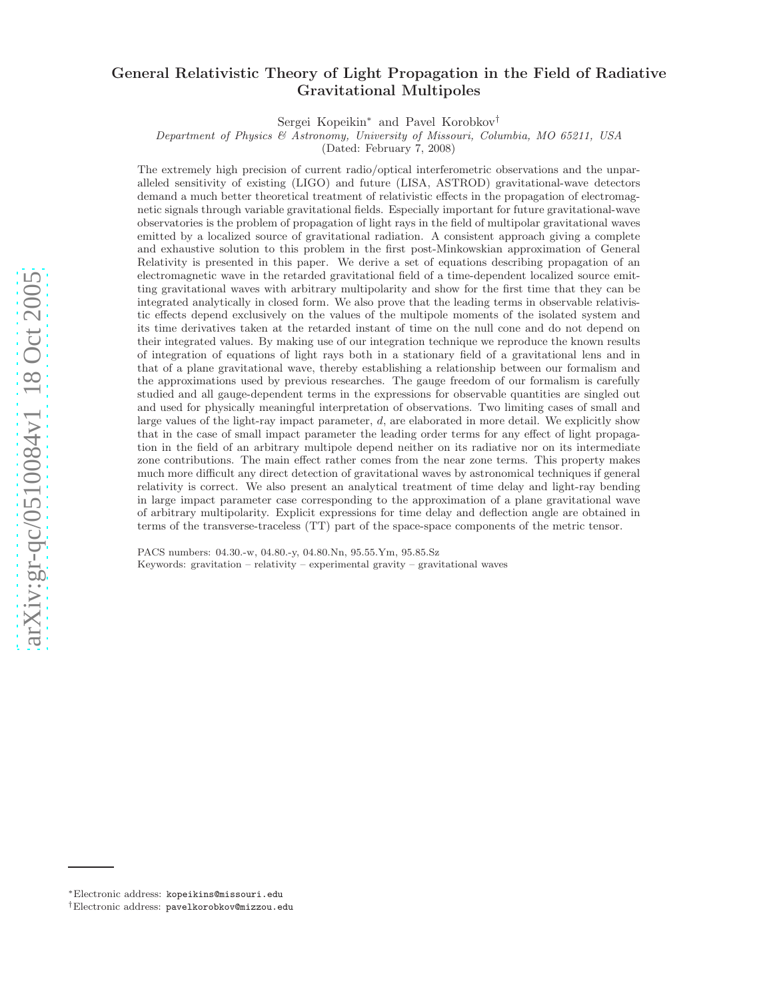# General Relativistic Theory of Light Propagation in the Field of Radiative Gravitational Multipoles

Sergei Kopeikin <sup>∗</sup> and Pavel Korobkov †

*Department of Physics & Astronomy, University of Missouri, Columbia, MO 65211, USA*

(Dated: February 7, 2008)

The extremely high precision of current radio/optical interferometric observations and the unparalleled sensitivity of existing (LIGO) and future (LISA, ASTROD) gravitational-wave detectors demand a much better theoretical treatment of relativistic effects in the propagation of electromagnetic signals through variable gravitational fields. Especially important for future gravitational-wave observatories is the problem of propagation of light rays in the field of multipolar gravitational waves emitted by a localized source of gravitational radiation. A consistent approach giving a complete and exhaustive solution to this problem in the first post-Minkowskian approximation of General Relativity is presented in this paper. We derive a set of equations describing propagation of an electromagnetic wave in the retarded gravitational field of a time-dependent localized source emitting gravitational waves with arbitrary multipolarity and show for the first time that they can be integrated analytically in closed form. We also prove that the leading terms in observable relativistic effects depend exclusively on the values of the multipole moments of the isolated system and its time derivatives taken at the retarded instant of time on the null cone and do not depend on their integrated values. By making use of our integration technique we reproduce the known results of integration of equations of light rays both in a stationary field of a gravitational lens and in that of a plane gravitational wave, thereby establishing a relationship between our formalism and the approximations used by previous researches. The gauge freedom of our formalism is carefully studied and all gauge-dependent terms in the expressions for observable quantities are singled out and used for physically meaningful interpretation of observations. Two limiting cases of small and large values of the light-ray impact parameter,  $d$ , are elaborated in more detail. We explicitly show that in the case of small impact parameter the leading order terms for any effect of light propagation in the field of an arbitrary multipole depend neither on its radiative nor on its intermediate zone contributions. The main effect rather comes from the near zone terms. This property makes much more difficult any direct detection of gravitational waves by astronomical techniques if general relativity is correct. We also present an analytical treatment of time delay and light-ray bending in large impact parameter case corresponding to the approximation of a plane gravitational wave of arbitrary multipolarity. Explicit expressions for time delay and deflection angle are obtained in terms of the transverse-traceless (TT) part of the space-space components of the metric tensor.

PACS numbers: 04.30.-w, 04.80.-y, 04.80.Nn, 95.55.Ym, 95.85.Sz Keywords: gravitation – relativity – experimental gravity – gravitational waves

<sup>∗</sup>Electronic address: kopeikins@missouri.edu

<sup>†</sup>Electronic address: pavelkorobkov@mizzou.edu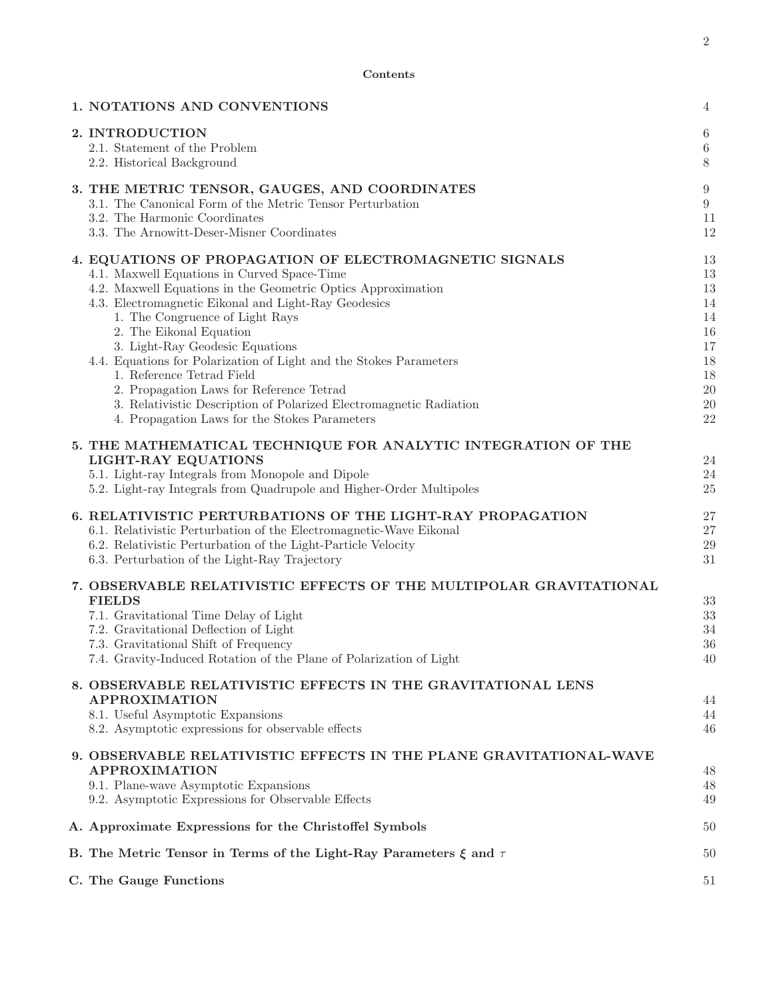| 1. NOTATIONS AND CONVENTIONS                                                                                                                                                                                                                                                                                                                                                                                                                                                                                                                                                                         | 4                                                                    |
|------------------------------------------------------------------------------------------------------------------------------------------------------------------------------------------------------------------------------------------------------------------------------------------------------------------------------------------------------------------------------------------------------------------------------------------------------------------------------------------------------------------------------------------------------------------------------------------------------|----------------------------------------------------------------------|
| 2. INTRODUCTION<br>2.1. Statement of the Problem<br>2.2. Historical Background                                                                                                                                                                                                                                                                                                                                                                                                                                                                                                                       | 6<br>$\,6\,$<br>$8\,$                                                |
| 3. THE METRIC TENSOR, GAUGES, AND COORDINATES<br>3.1. The Canonical Form of the Metric Tensor Perturbation<br>3.2. The Harmonic Coordinates<br>3.3. The Arnowitt-Deser-Misner Coordinates                                                                                                                                                                                                                                                                                                                                                                                                            | $\boldsymbol{9}$<br>$\boldsymbol{9}$<br>11<br>12                     |
| 4. EQUATIONS OF PROPAGATION OF ELECTROMAGNETIC SIGNALS<br>4.1. Maxwell Equations in Curved Space-Time<br>4.2. Maxwell Equations in the Geometric Optics Approximation<br>4.3. Electromagnetic Eikonal and Light-Ray Geodesics<br>1. The Congruence of Light Rays<br>2. The Eikonal Equation<br>3. Light-Ray Geodesic Equations<br>4.4. Equations for Polarization of Light and the Stokes Parameters<br>1. Reference Tetrad Field<br>2. Propagation Laws for Reference Tetrad<br>3. Relativistic Description of Polarized Electromagnetic Radiation<br>4. Propagation Laws for the Stokes Parameters | 13<br>13<br>13<br>14<br>14<br>16<br>17<br>18<br>18<br>20<br>20<br>22 |
| 5. THE MATHEMATICAL TECHNIQUE FOR ANALYTIC INTEGRATION OF THE<br><b>LIGHT-RAY EQUATIONS</b><br>5.1. Light-ray Integrals from Monopole and Dipole<br>5.2. Light-ray Integrals from Quadrupole and Higher-Order Multipoles                                                                                                                                                                                                                                                                                                                                                                             | 24<br>24<br>25                                                       |
| 6. RELATIVISTIC PERTURBATIONS OF THE LIGHT-RAY PROPAGATION<br>6.1. Relativistic Perturbation of the Electromagnetic-Wave Eikonal<br>6.2. Relativistic Perturbation of the Light-Particle Velocity<br>6.3. Perturbation of the Light-Ray Trajectory                                                                                                                                                                                                                                                                                                                                                   | 27<br>$27\,$<br>$\,29$<br>31                                         |
| 7. OBSERVABLE RELATIVISTIC EFFECTS OF THE MULTIPOLAR GRAVITATIONAL<br><b>FIELDS</b><br>7.1. Gravitational Time Delay of Light<br>7.2. Gravitational Deflection of Light<br>7.3. Gravitational Shift of Frequency<br>7.4. Gravity-Induced Rotation of the Plane of Polarization of Light                                                                                                                                                                                                                                                                                                              | 33<br>33<br>34<br>36<br>40                                           |
| 8. OBSERVABLE RELATIVISTIC EFFECTS IN THE GRAVITATIONAL LENS<br><b>APPROXIMATION</b><br>8.1. Useful Asymptotic Expansions<br>8.2. Asymptotic expressions for observable effects                                                                                                                                                                                                                                                                                                                                                                                                                      | 44<br>44<br>46                                                       |
| 9. OBSERVABLE RELATIVISTIC EFFECTS IN THE PLANE GRAVITATIONAL-WAVE<br><b>APPROXIMATION</b><br>9.1. Plane-wave Asymptotic Expansions<br>9.2. Asymptotic Expressions for Observable Effects                                                                                                                                                                                                                                                                                                                                                                                                            | 48<br>48<br>49                                                       |
| A. Approximate Expressions for the Christoffel Symbols                                                                                                                                                                                                                                                                                                                                                                                                                                                                                                                                               | 50                                                                   |
| B. The Metric Tensor in Terms of the Light-Ray Parameters $\xi$ and $\tau$                                                                                                                                                                                                                                                                                                                                                                                                                                                                                                                           | 50                                                                   |
| C. The Gauge Functions                                                                                                                                                                                                                                                                                                                                                                                                                                                                                                                                                                               | 51                                                                   |

Contents

2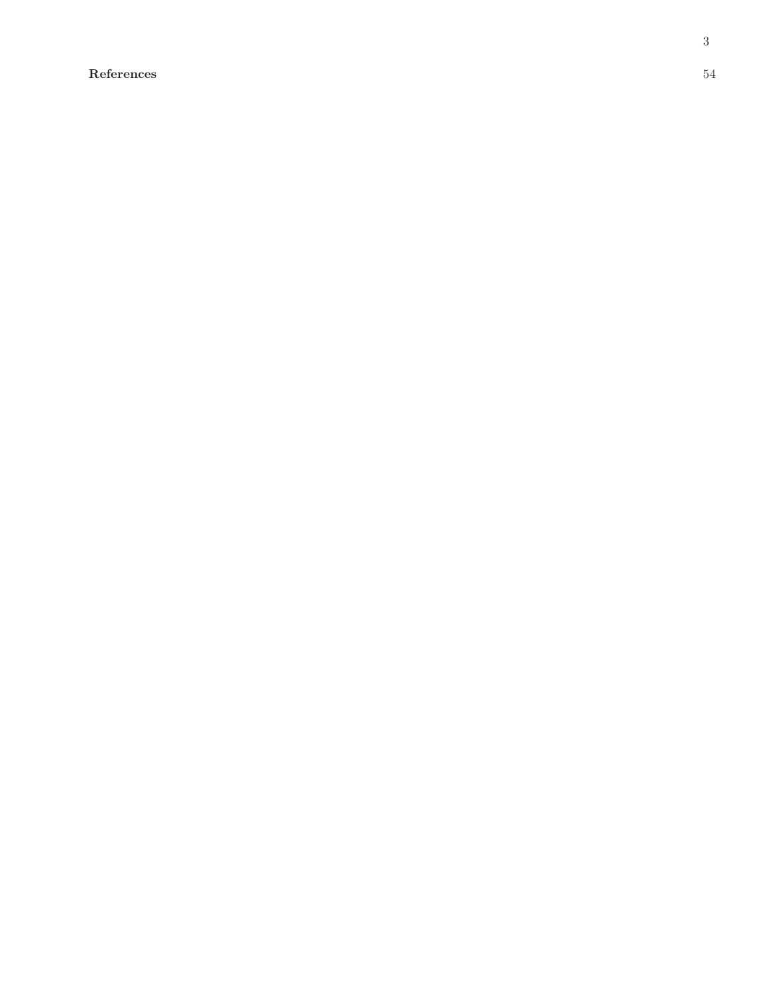References 54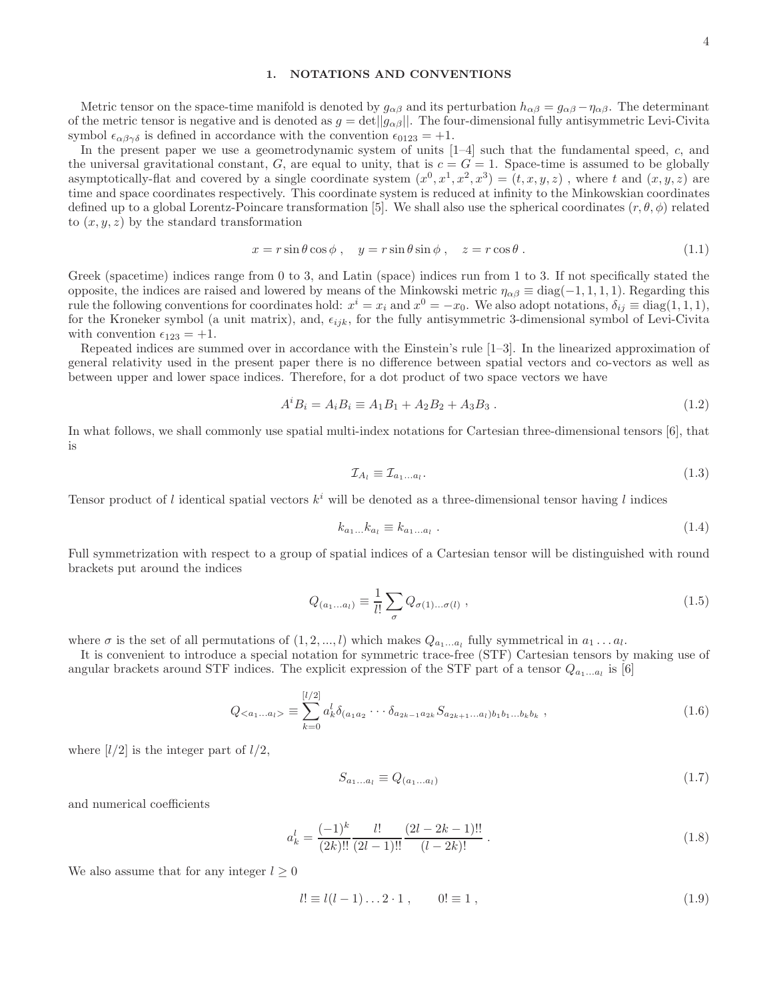### 1. NOTATIONS AND CONVENTIONS

Metric tensor on the space-time manifold is denoted by  $g_{\alpha\beta}$  and its perturbation  $h_{\alpha\beta} = g_{\alpha\beta} - \eta_{\alpha\beta}$ . The determinant of the metric tensor is negative and is denoted as  $g = det||g_{\alpha\beta}||$ . The four-dimensional fully antisymmetric Levi-Civita symbol  $\epsilon_{\alpha\beta\gamma\delta}$  is defined in accordance with the convention  $\epsilon_{0123} = +1$ .

In the present paper we use a geometrodynamic system of units [1–4] such that the fundamental speed, c, and the universal gravitational constant, G, are equal to unity, that is  $c = G = 1$ . Space-time is assumed to be globally asymptotically-flat and covered by a single coordinate system  $(x^0, x^1, x^2, x^3) = (t, x, y, z)$ , where t and  $(x, y, z)$  are time and space coordinates respectively. This coordinate system is reduced at infinity to the Minkowskian coordinates defined up to a global Lorentz-Poincare transformation [5]. We shall also use the spherical coordinates  $(r, \theta, \phi)$  related to  $(x, y, z)$  by the standard transformation

$$
x = r\sin\theta\cos\phi \,, \quad y = r\sin\theta\sin\phi \,, \quad z = r\cos\theta \,.
$$
 (1.1)

Greek (spacetime) indices range from 0 to 3, and Latin (space) indices run from 1 to 3. If not specifically stated the opposite, the indices are raised and lowered by means of the Minkowski metric  $\eta_{\alpha\beta} \equiv \text{diag}(-1, 1, 1, 1)$ . Regarding this rule the following conventions for coordinates hold:  $x^i = x_i$  and  $x^0 = -x_0$ . We also adopt notations,  $\delta_{ij} \equiv \text{diag}(1,1,1)$ , for the Kroneker symbol (a unit matrix), and,  $\epsilon_{ijk}$ , for the fully antisymmetric 3-dimensional symbol of Levi-Civita with convention  $\epsilon_{123} = +1$ .

Repeated indices are summed over in accordance with the Einstein's rule [1–3]. In the linearized approximation of general relativity used in the present paper there is no difference between spatial vectors and co-vectors as well as between upper and lower space indices. Therefore, for a dot product of two space vectors we have

$$
A^{i}B_{i} = A_{i}B_{i} \equiv A_{1}B_{1} + A_{2}B_{2} + A_{3}B_{3}. \qquad (1.2)
$$

In what follows, we shall commonly use spatial multi-index notations for Cartesian three-dimensional tensors [6], that is

$$
\mathcal{I}_{A_l} \equiv \mathcal{I}_{a_1...a_l}.\tag{1.3}
$$

Tensor product of l identical spatial vectors  $k^i$  will be denoted as a three-dimensional tensor having l indices

$$
k_{a_1...}k_{a_l} \equiv k_{a_1...a_l} \tag{1.4}
$$

Full symmetrization with respect to a group of spatial indices of a Cartesian tensor will be distinguished with round brackets put around the indices

$$
Q_{(a_1...a_l)} \equiv \frac{1}{l!} \sum_{\sigma} Q_{\sigma(1)\dots\sigma(l)} , \qquad (1.5)
$$

where  $\sigma$  is the set of all permutations of  $(1, 2, ..., l)$  which makes  $Q_{a_1...a_l}$  fully symmetrical in  $a_1...a_l$ .

It is convenient to introduce a special notation for symmetric trace-free (STF) Cartesian tensors by making use of angular brackets around STF indices. The explicit expression of the STF part of a tensor  $Q_{a_1...a_l}$  is [6]

$$
Q_{\langle a_1...a_l \rangle} \equiv \sum_{k=0}^{[l/2]} a_k^l \delta_{(a_1 a_2} \cdots \delta_{a_{2k-1} a_{2k}} S_{a_{2k+1}...a_l) b_1 b_1...b_k b_k}, \qquad (1.6)
$$

where  $\lfloor l/2 \rfloor$  is the integer part of  $l/2$ ,

$$
S_{a_1\ldots a_l} \equiv Q_{(a_1\ldots a_l)}\tag{1.7}
$$

and numerical coefficients

$$
a_k^l = \frac{(-1)^k}{(2k)!!} \frac{l!}{(2l-1)!!} \frac{(2l-2k-1)!!}{(l-2k)!} .
$$
\n(1.8)

We also assume that for any integer  $l \geq 0$ 

$$
l! \equiv l(l-1)\dots 2 \cdot 1 \,, \qquad 0! \equiv 1 \,, \tag{1.9}
$$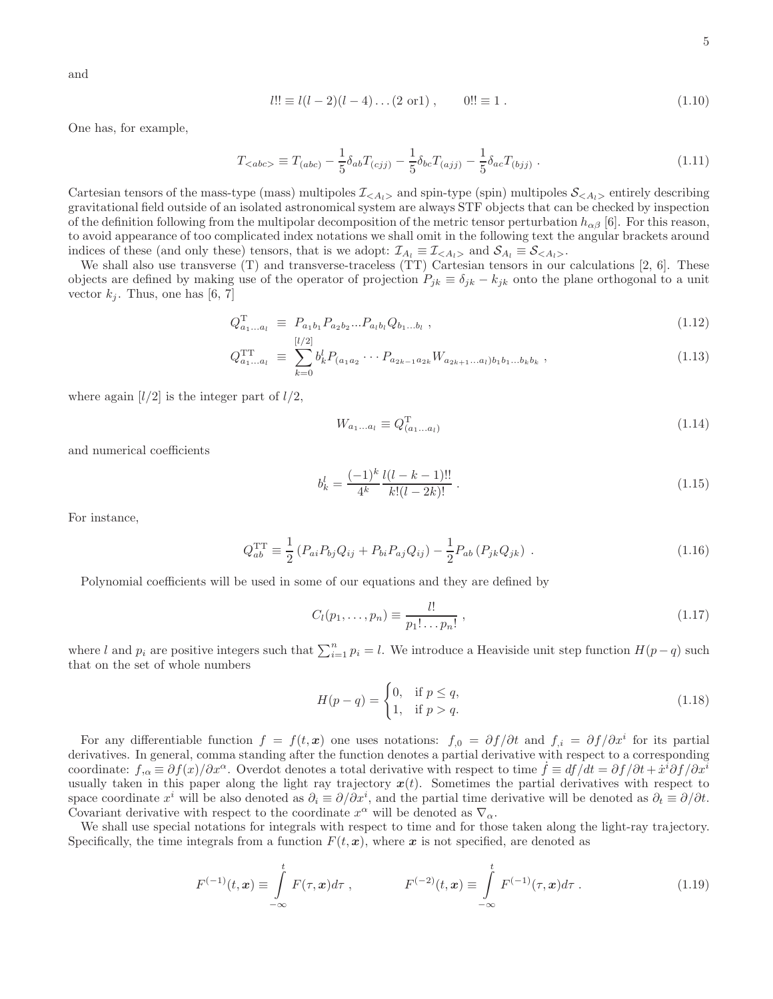$$
l!! \equiv l(l-2)(l-4)\dots(2 \text{ or } 1), \qquad 0!! \equiv 1. \tag{1.10}
$$

One has, for example,

$$
T_{\langle abc \rangle} \equiv T_{(abc)} - \frac{1}{5} \delta_{ab} T_{(cjj)} - \frac{1}{5} \delta_{bc} T_{(ajj)} - \frac{1}{5} \delta_{ac} T_{(bjj)} . \tag{1.11}
$$

Cartesian tensors of the mass-type (mass) multipoles  $\mathcal{I}_{\langle A_l \rangle}$  and spin-type (spin) multipoles  $\mathcal{S}_{\langle A_l \rangle}$  entirely describing gravitational field outside of an isolated astronomical system are always STF objects that can be checked by inspection of the definition following from the multipolar decomposition of the metric tensor perturbation  $h_{\alpha\beta}$  [6]. For this reason, to avoid appearance of too complicated index notations we shall omit in the following text the angular brackets around indices of these (and only these) tensors, that is we adopt:  $\mathcal{I}_{A_l} \equiv \mathcal{I}_{\langle A_l \rangle}$  and  $\mathcal{S}_{A_l} \equiv \mathcal{S}_{\langle A_l \rangle}$ .

We shall also use transverse  $(T)$  and transverse-traceless  $(TT)$  Cartesian tensors in our calculations [2, 6]. These objects are defined by making use of the operator of projection  $P_{jk} \equiv \delta_{jk} - k_{jk}$  onto the plane orthogonal to a unit vector  $k_j$ . Thus, one has [6, 7]

$$
Q_{a_1...a_l}^{\mathrm{T}} \equiv P_{a_1b_1} P_{a_2b_2} ... P_{a_lb_l} Q_{b_1...b_l} \tag{1.12}
$$

$$
Q_{a_1...a_l}^{\text{TT}} \equiv \sum_{k=0}^{[l/2]} b_k^l P_{(a_1 a_2} \cdots P_{a_{2k-1} a_{2k}} W_{a_{2k+1}...a_l) b_1 b_1...b_k b_k}, \qquad (1.13)
$$

where again  $\lfloor l/2 \rfloor$  is the integer part of  $l/2$ ,

$$
W_{a_1...a_l} \equiv Q_{(a_1...a_l)}^{\mathrm{T}} \tag{1.14}
$$

and numerical coefficients

$$
b_k^l = \frac{(-1)^k}{4^k} \frac{l(l-k-1)!!}{k!(l-2k)!} \,. \tag{1.15}
$$

For instance,

$$
Q_{ab}^{\rm TT} \equiv \frac{1}{2} \left( P_{ai} P_{bj} Q_{ij} + P_{bi} P_{aj} Q_{ij} \right) - \frac{1}{2} P_{ab} \left( P_{jk} Q_{jk} \right) \,. \tag{1.16}
$$

Polynomial coefficients will be used in some of our equations and they are defined by

$$
C_l(p_1, ..., p_n) \equiv \frac{l!}{p_1! \dots p_n!} \,, \tag{1.17}
$$

where l and  $p_i$  are positive integers such that  $\sum_{i=1}^n p_i = l$ . We introduce a Heaviside unit step function  $H(p - q)$  such that on the set of whole numbers

$$
H(p - q) = \begin{cases} 0, & \text{if } p \le q, \\ 1, & \text{if } p > q. \end{cases}
$$
 (1.18)

For any differentiable function  $f = f(t, x)$  one uses notations:  $f_{0} = \partial f / \partial t$  and  $f_{i} = \partial f / \partial x^{i}$  for its partial derivatives. In general, comma standing after the function denotes a partial derivative with respect to a corresponding coordinate:  $f_{,\alpha} \equiv \partial f(x)/\partial x^{\alpha}$ . Overdot denotes a total derivative with respect to time  $\dot{f} = df/dt = \partial f/\partial t + \dot{x}^i \partial f/\partial x^i$ usually taken in this paper along the light ray trajectory  $x(t)$ . Sometimes the partial derivatives with respect to space coordinate  $x^i$  will be also denoted as  $\partial_i \equiv \partial/\partial x^i$ , and the partial time derivative will be denoted as  $\partial_t \equiv \partial/\partial t$ . Covariant derivative with respect to the coordinate  $x^{\alpha}$  will be denoted as  $\nabla_{\alpha}$ .

We shall use special notations for integrals with respect to time and for those taken along the light-ray trajectory. Specifically, the time integrals from a function  $F(t, x)$ , where x is not specified, are denoted as

$$
F^{(-1)}(t, x) \equiv \int_{-\infty}^{t} F(\tau, x) d\tau , \qquad F^{(-2)}(t, x) \equiv \int_{-\infty}^{t} F^{(-1)}(\tau, x) d\tau . \qquad (1.19)
$$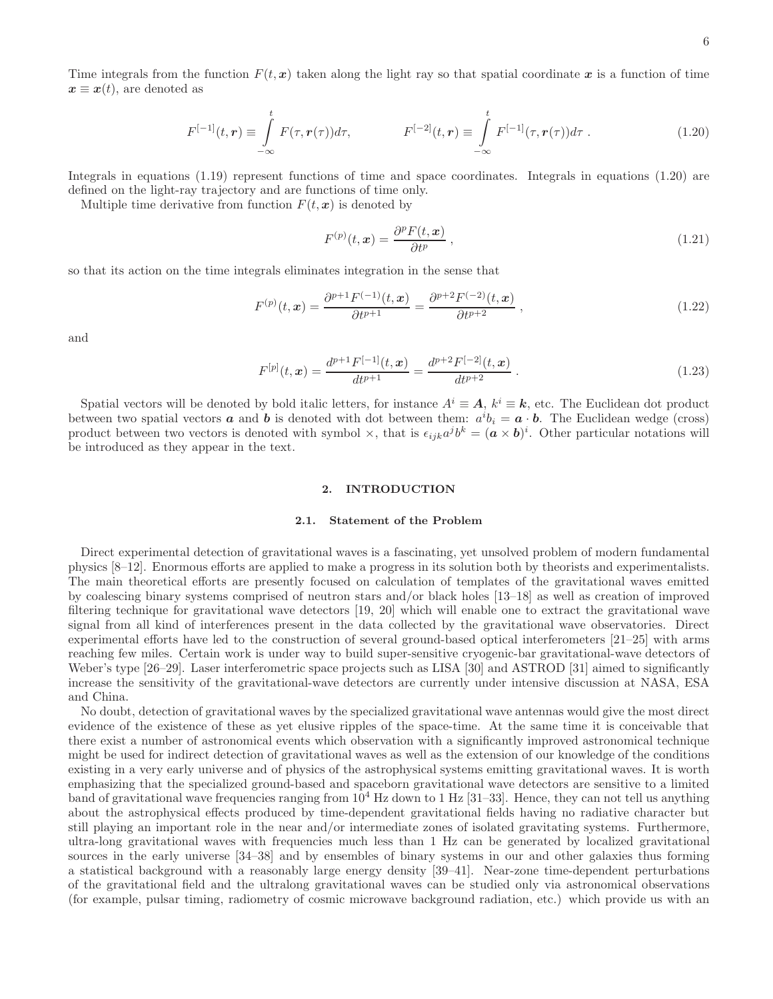Time integrals from the function  $F(t, x)$  taken along the light ray so that spatial coordinate x is a function of time  $\mathbf{x} \equiv \mathbf{x}(t)$ , are denoted as

$$
F^{[-1]}(t,\mathbf{r}) \equiv \int_{-\infty}^{t} F(\tau,\mathbf{r}(\tau))d\tau, \qquad F^{[-2]}(t,\mathbf{r}) \equiv \int_{-\infty}^{t} F^{[-1]}(\tau,\mathbf{r}(\tau))d\tau. \qquad (1.20)
$$

Integrals in equations (1.19) represent functions of time and space coordinates. Integrals in equations (1.20) are defined on the light-ray trajectory and are functions of time only.

Multiple time derivative from function  $F(t, x)$  is denoted by

$$
F^{(p)}(t,x) = \frac{\partial^p F(t,x)}{\partial t^p} \,, \tag{1.21}
$$

so that its action on the time integrals eliminates integration in the sense that

$$
F^{(p)}(t, x) = \frac{\partial^{p+1} F^{(-1)}(t, x)}{\partial t^{p+1}} = \frac{\partial^{p+2} F^{(-2)}(t, x)}{\partial t^{p+2}}, \qquad (1.22)
$$

and

$$
F^{[p]}(t, x) = \frac{d^{p+1} F^{[-1]}(t, x)}{dt^{p+1}} = \frac{d^{p+2} F^{[-2]}(t, x)}{dt^{p+2}}.
$$
\n(1.23)

Spatial vectors will be denoted by bold italic letters, for instance  $A^i \equiv A$ ,  $k^i \equiv k$ , etc. The Euclidean dot product between two spatial vectors **a** and **b** is denoted with dot between them:  $a^i b_i = a \cdot b$ . The Euclidean wedge (cross) product between two vectors is denoted with symbol  $\times$ , that is  $\epsilon_{ijk}a^jb^k = (\mathbf{a} \times \mathbf{b})^i$ . Other particular notations will be introduced as they appear in the text.

#### 2. INTRODUCTION

# 2.1. Statement of the Problem

Direct experimental detection of gravitational waves is a fascinating, yet unsolved problem of modern fundamental physics [8–12]. Enormous efforts are applied to make a progress in its solution both by theorists and experimentalists. The main theoretical efforts are presently focused on calculation of templates of the gravitational waves emitted by coalescing binary systems comprised of neutron stars and/or black holes [13–18] as well as creation of improved filtering technique for gravitational wave detectors [19, 20] which will enable one to extract the gravitational wave signal from all kind of interferences present in the data collected by the gravitational wave observatories. Direct experimental efforts have led to the construction of several ground-based optical interferometers [21–25] with arms reaching few miles. Certain work is under way to build super-sensitive cryogenic-bar gravitational-wave detectors of Weber's type [26–29]. Laser interferometric space projects such as LISA [30] and ASTROD [31] aimed to significantly increase the sensitivity of the gravitational-wave detectors are currently under intensive discussion at NASA, ESA and China.

No doubt, detection of gravitational waves by the specialized gravitational wave antennas would give the most direct evidence of the existence of these as yet elusive ripples of the space-time. At the same time it is conceivable that there exist a number of astronomical events which observation with a significantly improved astronomical technique might be used for indirect detection of gravitational waves as well as the extension of our knowledge of the conditions existing in a very early universe and of physics of the astrophysical systems emitting gravitational waves. It is worth emphasizing that the specialized ground-based and spaceborn gravitational wave detectors are sensitive to a limited band of gravitational wave frequencies ranging from  $10^4$  Hz down to 1 Hz [31–33]. Hence, they can not tell us anything about the astrophysical effects produced by time-dependent gravitational fields having no radiative character but still playing an important role in the near and/or intermediate zones of isolated gravitating systems. Furthermore, ultra-long gravitational waves with frequencies much less than 1 Hz can be generated by localized gravitational sources in the early universe [34–38] and by ensembles of binary systems in our and other galaxies thus forming a statistical background with a reasonably large energy density [39–41]. Near-zone time-dependent perturbations of the gravitational field and the ultralong gravitational waves can be studied only via astronomical observations (for example, pulsar timing, radiometry of cosmic microwave background radiation, etc.) which provide us with an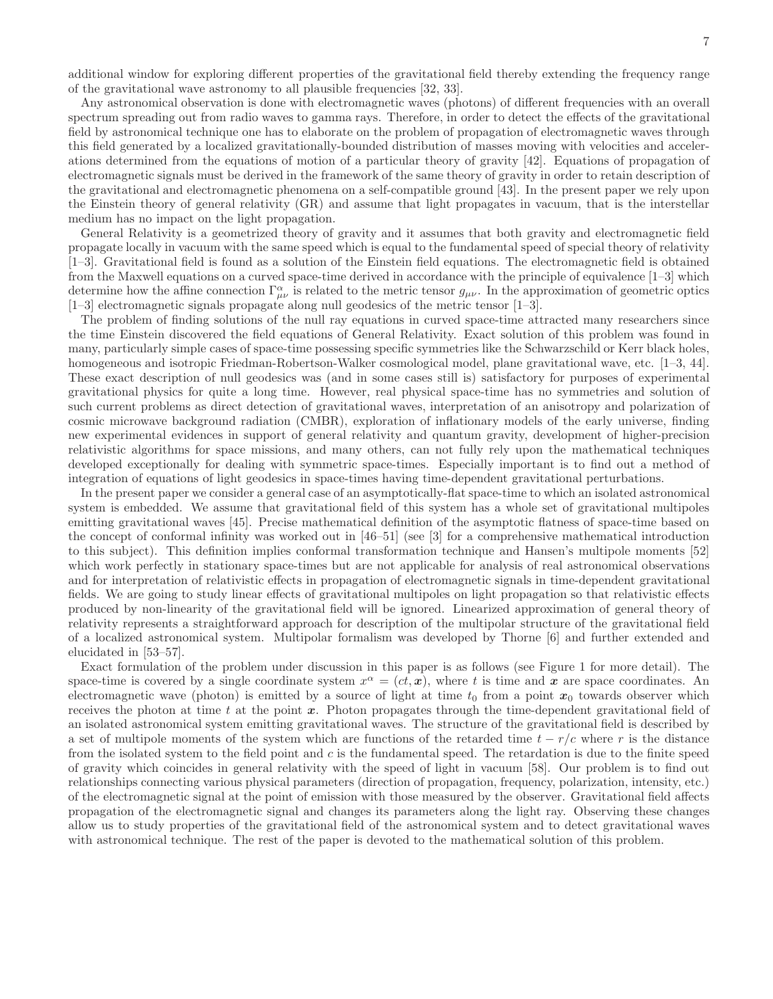7

additional window for exploring different properties of the gravitational field thereby extending the frequency range of the gravitational wave astronomy to all plausible frequencies [32, 33].

Any astronomical observation is done with electromagnetic waves (photons) of different frequencies with an overall spectrum spreading out from radio waves to gamma rays. Therefore, in order to detect the effects of the gravitational field by astronomical technique one has to elaborate on the problem of propagation of electromagnetic waves through this field generated by a localized gravitationally-bounded distribution of masses moving with velocities and accelerations determined from the equations of motion of a particular theory of gravity [42]. Equations of propagation of electromagnetic signals must be derived in the framework of the same theory of gravity in order to retain description of the gravitational and electromagnetic phenomena on a self-compatible ground [43]. In the present paper we rely upon the Einstein theory of general relativity (GR) and assume that light propagates in vacuum, that is the interstellar medium has no impact on the light propagation.

General Relativity is a geometrized theory of gravity and it assumes that both gravity and electromagnetic field propagate locally in vacuum with the same speed which is equal to the fundamental speed of special theory of relativity [1–3]. Gravitational field is found as a solution of the Einstein field equations. The electromagnetic field is obtained from the Maxwell equations on a curved space-time derived in accordance with the principle of equivalence [1–3] which determine how the affine connection  $\Gamma^{\alpha}_{\mu\nu}$  is related to the metric tensor  $g_{\mu\nu}$ . In the approximation of geometric optics [1–3] electromagnetic signals propagate along null geodesics of the metric tensor [1–3].

The problem of finding solutions of the null ray equations in curved space-time attracted many researchers since the time Einstein discovered the field equations of General Relativity. Exact solution of this problem was found in many, particularly simple cases of space-time possessing specific symmetries like the Schwarzschild or Kerr black holes, homogeneous and isotropic Friedman-Robertson-Walker cosmological model, plane gravitational wave, etc. [1–3, 44]. These exact description of null geodesics was (and in some cases still is) satisfactory for purposes of experimental gravitational physics for quite a long time. However, real physical space-time has no symmetries and solution of such current problems as direct detection of gravitational waves, interpretation of an anisotropy and polarization of cosmic microwave background radiation (CMBR), exploration of inflationary models of the early universe, finding new experimental evidences in support of general relativity and quantum gravity, development of higher-precision relativistic algorithms for space missions, and many others, can not fully rely upon the mathematical techniques developed exceptionally for dealing with symmetric space-times. Especially important is to find out a method of integration of equations of light geodesics in space-times having time-dependent gravitational perturbations.

In the present paper we consider a general case of an asymptotically-flat space-time to which an isolated astronomical system is embedded. We assume that gravitational field of this system has a whole set of gravitational multipoles emitting gravitational waves [45]. Precise mathematical definition of the asymptotic flatness of space-time based on the concept of conformal infinity was worked out in [46–51] (see [3] for a comprehensive mathematical introduction to this subject). This definition implies conformal transformation technique and Hansen's multipole moments [52] which work perfectly in stationary space-times but are not applicable for analysis of real astronomical observations and for interpretation of relativistic effects in propagation of electromagnetic signals in time-dependent gravitational fields. We are going to study linear effects of gravitational multipoles on light propagation so that relativistic effects produced by non-linearity of the gravitational field will be ignored. Linearized approximation of general theory of relativity represents a straightforward approach for description of the multipolar structure of the gravitational field of a localized astronomical system. Multipolar formalism was developed by Thorne [6] and further extended and elucidated in [53–57].

Exact formulation of the problem under discussion in this paper is as follows (see Figure 1 for more detail). The space-time is covered by a single coordinate system  $x^{\alpha} = (ct, x)$ , where t is time and x are space coordinates. An electromagnetic wave (photon) is emitted by a source of light at time  $t_0$  from a point  $x_0$  towards observer which receives the photon at time t at the point  $x$ . Photon propagates through the time-dependent gravitational field of an isolated astronomical system emitting gravitational waves. The structure of the gravitational field is described by a set of multipole moments of the system which are functions of the retarded time  $t - r/c$  where r is the distance from the isolated system to the field point and  $c$  is the fundamental speed. The retardation is due to the finite speed of gravity which coincides in general relativity with the speed of light in vacuum [58]. Our problem is to find out relationships connecting various physical parameters (direction of propagation, frequency, polarization, intensity, etc.) of the electromagnetic signal at the point of emission with those measured by the observer. Gravitational field affects propagation of the electromagnetic signal and changes its parameters along the light ray. Observing these changes allow us to study properties of the gravitational field of the astronomical system and to detect gravitational waves with astronomical technique. The rest of the paper is devoted to the mathematical solution of this problem.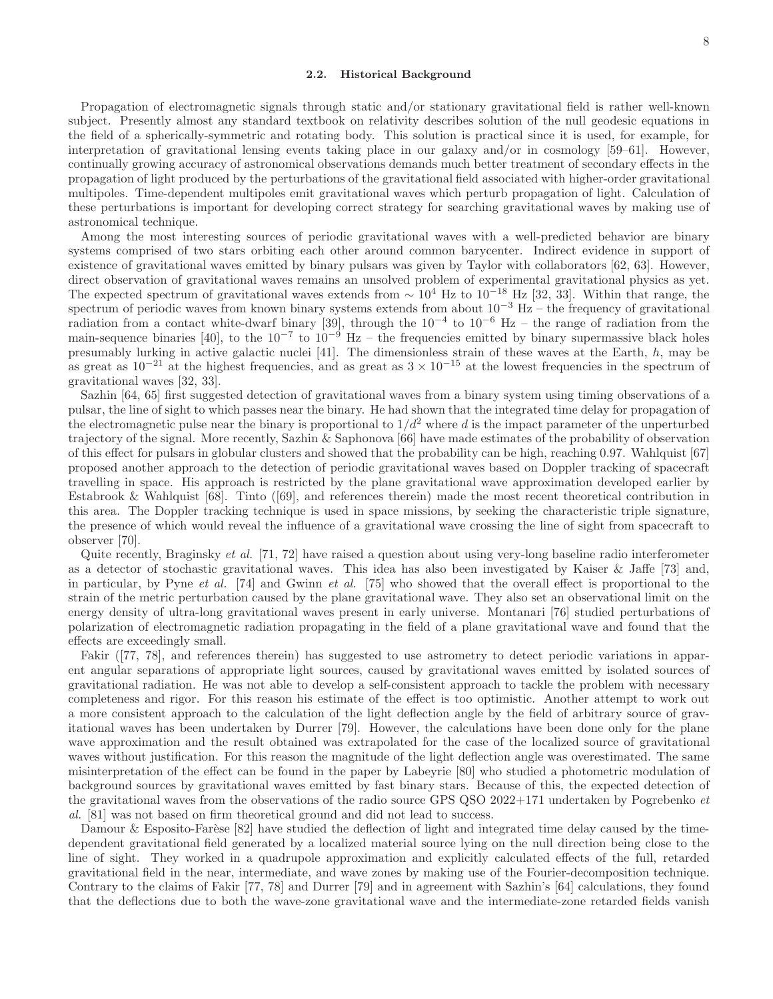#### 2.2. Historical Background

Propagation of electromagnetic signals through static and/or stationary gravitational field is rather well-known subject. Presently almost any standard textbook on relativity describes solution of the null geodesic equations in the field of a spherically-symmetric and rotating body. This solution is practical since it is used, for example, for interpretation of gravitational lensing events taking place in our galaxy and/or in cosmology [59–61]. However, continually growing accuracy of astronomical observations demands much better treatment of secondary effects in the propagation of light produced by the perturbations of the gravitational field associated with higher-order gravitational multipoles. Time-dependent multipoles emit gravitational waves which perturb propagation of light. Calculation of these perturbations is important for developing correct strategy for searching gravitational waves by making use of astronomical technique.

Among the most interesting sources of periodic gravitational waves with a well-predicted behavior are binary systems comprised of two stars orbiting each other around common barycenter. Indirect evidence in support of existence of gravitational waves emitted by binary pulsars was given by Taylor with collaborators [62, 63]. However, direct observation of gravitational waves remains an unsolved problem of experimental gravitational physics as yet. The expected spectrum of gravitational waves extends from  $\sim 10^4$  Hz to  $10^{-18}$  Hz [32, 33]. Within that range, the spectrum of periodic waves from known binary systems extends from about 10<sup>-3</sup> Hz – the frequency of gravitational radiation from a contact white-dwarf binary [39], through the  $10^{-4}$  to  $10^{-6}$  Hz – the range of radiation from the main-sequence binaries [40], to the  $10^{-7}$  to  $10^{-9}$  Hz – the frequencies emitted by binary supermassive black holes presumably lurking in active galactic nuclei [41]. The dimensionless strain of these waves at the Earth, h, may be as great as  $10^{-21}$  at the highest frequencies, and as great as  $3 \times 10^{-15}$  at the lowest frequencies in the spectrum of gravitational waves [32, 33].

Sazhin [64, 65] first suggested detection of gravitational waves from a binary system using timing observations of a pulsar, the line of sight to which passes near the binary. He had shown that the integrated time delay for propagation of the electromagnetic pulse near the binary is proportional to  $1/d^2$  where d is the impact parameter of the unperturbed trajectory of the signal. More recently, Sazhin & Saphonova [66] have made estimates of the probability of observation of this effect for pulsars in globular clusters and showed that the probability can be high, reaching 0.97. Wahlquist [67] proposed another approach to the detection of periodic gravitational waves based on Doppler tracking of spacecraft travelling in space. His approach is restricted by the plane gravitational wave approximation developed earlier by Estabrook & Wahlquist [68]. Tinto ([69], and references therein) made the most recent theoretical contribution in this area. The Doppler tracking technique is used in space missions, by seeking the characteristic triple signature, the presence of which would reveal the influence of a gravitational wave crossing the line of sight from spacecraft to observer [70].

Quite recently, Braginsky et al. [71, 72] have raised a question about using very-long baseline radio interferometer as a detector of stochastic gravitational waves. This idea has also been investigated by Kaiser & Jaffe [73] and, in particular, by Pyne et al. [74] and Gwinn et al. [75] who showed that the overall effect is proportional to the strain of the metric perturbation caused by the plane gravitational wave. They also set an observational limit on the energy density of ultra-long gravitational waves present in early universe. Montanari [76] studied perturbations of polarization of electromagnetic radiation propagating in the field of a plane gravitational wave and found that the effects are exceedingly small.

Fakir ([77, 78], and references therein) has suggested to use astrometry to detect periodic variations in apparent angular separations of appropriate light sources, caused by gravitational waves emitted by isolated sources of gravitational radiation. He was not able to develop a self-consistent approach to tackle the problem with necessary completeness and rigor. For this reason his estimate of the effect is too optimistic. Another attempt to work out a more consistent approach to the calculation of the light deflection angle by the field of arbitrary source of gravitational waves has been undertaken by Durrer [79]. However, the calculations have been done only for the plane wave approximation and the result obtained was extrapolated for the case of the localized source of gravitational waves without justification. For this reason the magnitude of the light deflection angle was overestimated. The same misinterpretation of the effect can be found in the paper by Labeyrie [80] who studied a photometric modulation of background sources by gravitational waves emitted by fast binary stars. Because of this, the expected detection of the gravitational waves from the observations of the radio source GPS QSO 2022+171 undertaken by Pogrebenko et al. [81] was not based on firm theoretical ground and did not lead to success.

Damour & Esposito-Farèse  $[82]$  have studied the deflection of light and integrated time delay caused by the timedependent gravitational field generated by a localized material source lying on the null direction being close to the line of sight. They worked in a quadrupole approximation and explicitly calculated effects of the full, retarded gravitational field in the near, intermediate, and wave zones by making use of the Fourier-decomposition technique. Contrary to the claims of Fakir [77, 78] and Durrer [79] and in agreement with Sazhin's [64] calculations, they found that the deflections due to both the wave-zone gravitational wave and the intermediate-zone retarded fields vanish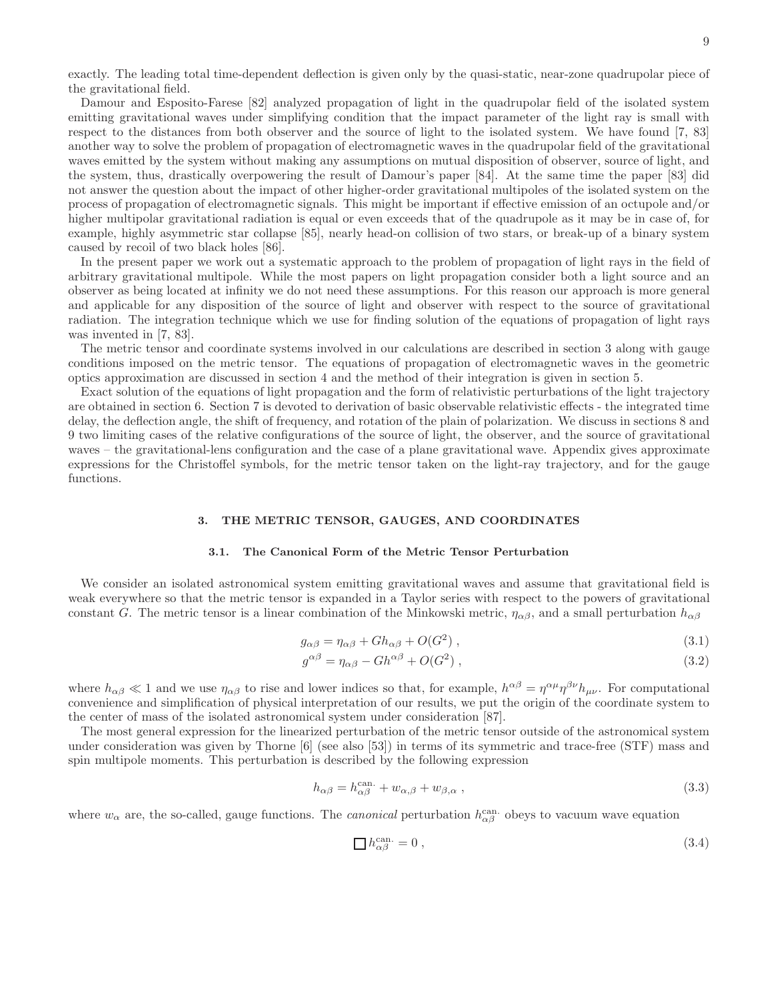9

exactly. The leading total time-dependent deflection is given only by the quasi-static, near-zone quadrupolar piece of the gravitational field.

Damour and Esposito-Farese [82] analyzed propagation of light in the quadrupolar field of the isolated system emitting gravitational waves under simplifying condition that the impact parameter of the light ray is small with respect to the distances from both observer and the source of light to the isolated system. We have found [7, 83] another way to solve the problem of propagation of electromagnetic waves in the quadrupolar field of the gravitational waves emitted by the system without making any assumptions on mutual disposition of observer, source of light, and the system, thus, drastically overpowering the result of Damour's paper [84]. At the same time the paper [83] did not answer the question about the impact of other higher-order gravitational multipoles of the isolated system on the process of propagation of electromagnetic signals. This might be important if effective emission of an octupole and/or higher multipolar gravitational radiation is equal or even exceeds that of the quadrupole as it may be in case of, for example, highly asymmetric star collapse [85], nearly head-on collision of two stars, or break-up of a binary system caused by recoil of two black holes [86].

In the present paper we work out a systematic approach to the problem of propagation of light rays in the field of arbitrary gravitational multipole. While the most papers on light propagation consider both a light source and an observer as being located at infinity we do not need these assumptions. For this reason our approach is more general and applicable for any disposition of the source of light and observer with respect to the source of gravitational radiation. The integration technique which we use for finding solution of the equations of propagation of light rays was invented in [7, 83].

The metric tensor and coordinate systems involved in our calculations are described in section 3 along with gauge conditions imposed on the metric tensor. The equations of propagation of electromagnetic waves in the geometric optics approximation are discussed in section 4 and the method of their integration is given in section 5.

Exact solution of the equations of light propagation and the form of relativistic perturbations of the light trajectory are obtained in section 6. Section 7 is devoted to derivation of basic observable relativistic effects - the integrated time delay, the deflection angle, the shift of frequency, and rotation of the plain of polarization. We discuss in sections 8 and 9 two limiting cases of the relative configurations of the source of light, the observer, and the source of gravitational waves – the gravitational-lens configuration and the case of a plane gravitational wave. Appendix gives approximate expressions for the Christoffel symbols, for the metric tensor taken on the light-ray trajectory, and for the gauge functions.

### 3. THE METRIC TENSOR, GAUGES, AND COORDINATES

#### 3.1. The Canonical Form of the Metric Tensor Perturbation

We consider an isolated astronomical system emitting gravitational waves and assume that gravitational field is weak everywhere so that the metric tensor is expanded in a Taylor series with respect to the powers of gravitational constant G. The metric tensor is a linear combination of the Minkowski metric,  $\eta_{\alpha\beta}$ , and a small perturbation  $h_{\alpha\beta}$ 

$$
g_{\alpha\beta} = \eta_{\alpha\beta} + Gh_{\alpha\beta} + O(G^2) \,, \tag{3.1}
$$

$$
g^{\alpha\beta} = \eta_{\alpha\beta} - G h^{\alpha\beta} + O(G^2) \,, \tag{3.2}
$$

where  $h_{\alpha\beta} \ll 1$  and we use  $\eta_{\alpha\beta}$  to rise and lower indices so that, for example,  $h^{\alpha\beta} = \eta^{\alpha\mu} \eta^{\beta\nu} h_{\mu\nu}$ . For computational convenience and simplification of physical interpretation of our results, we put the origin of the coordinate system to the center of mass of the isolated astronomical system under consideration [87].

The most general expression for the linearized perturbation of the metric tensor outside of the astronomical system under consideration was given by Thorne [6] (see also [53]) in terms of its symmetric and trace-free (STF) mass and spin multipole moments. This perturbation is described by the following expression

$$
h_{\alpha\beta} = h_{\alpha\beta}^{\text{can.}} + w_{\alpha,\beta} + w_{\beta,\alpha} \,, \tag{3.3}
$$

where  $w_{\alpha}$  are, the so-called, gauge functions. The *canonical* perturbation  $h_{\alpha\beta}^{\text{can}}$  obeys to vacuum wave equation

$$
\Box h_{\alpha\beta}^{\text{can.}} = 0 \,, \tag{3.4}
$$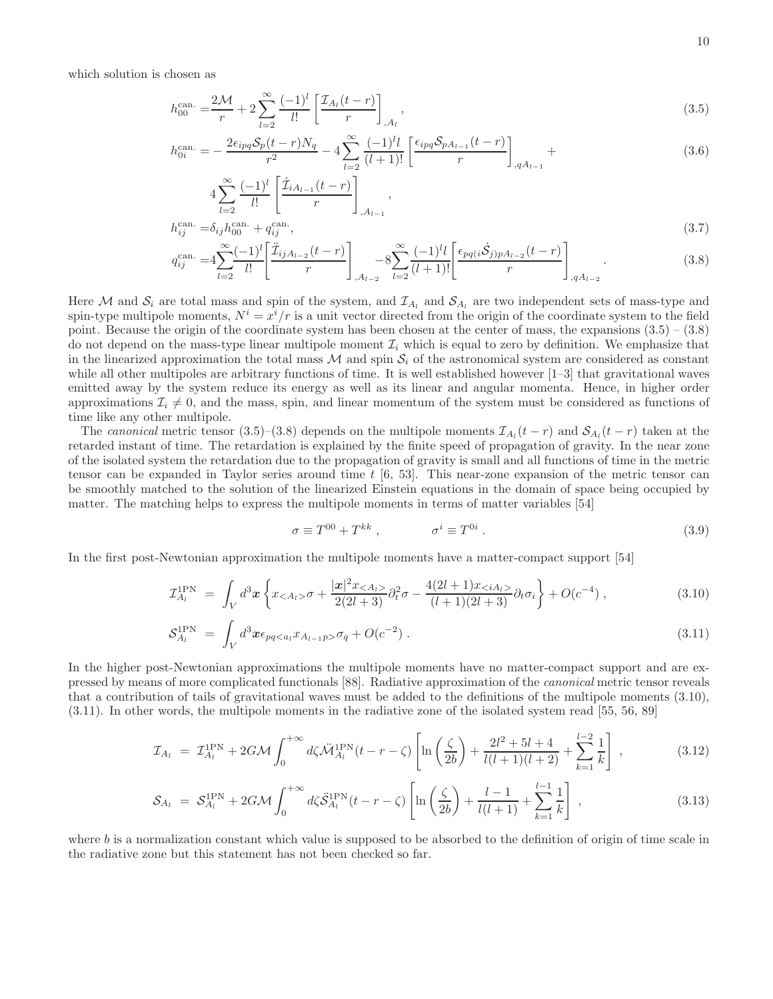which solution is chosen as

 $_{l=2}$ 

$$
h_{00}^{\text{can.}} = \frac{2\mathcal{M}}{r} + 2\sum_{l=2}^{\infty} \frac{(-1)^l}{l!} \left[ \frac{\mathcal{I}_{A_l}(t-r)}{r} \right]_{,A_l},\tag{3.5}
$$

$$
h_{0i}^{\text{can.}} = -\frac{2\epsilon_{ipq}S_p(t-r)N_q}{r^2} - 4\sum_{l=2}^{\infty} \frac{(-1)^l l}{(l+1)!} \left[ \frac{\epsilon_{ipq}S_{pA_{l-1}}(t-r)}{r} \right]_{,qA_{l-1}} + \tag{3.6}
$$

$$
4\sum_{l=2}^{\infty} \frac{(-1)^l}{l!} \left[ \frac{\dot{\mathcal{I}}_{iA_{l-1}}(t-r)}{r} \right]_{,A_{l-1}},
$$
  
an.  $-\delta_{l,l} \text{can.} + \sigma^{\text{can.}}_{l,l} \tag{3.7}$ 

$$
h_{ij}^{\text{can.}} = \delta_{ij} h_{00}^{\text{can.}} + q_{ij}^{\text{can.}},
$$
\n
$$
q_{ij}^{\text{can.}} = 4 \sum_{l=2}^{\infty} \frac{(-1)^l}{l!} \left[ \frac{\ddot{Z}_{ijA_{l-2}}(t-r)}{r} \right]_{,A_{l-2}} - 8 \sum_{l=2}^{\infty} \frac{(-1)^l l}{(l+1)!} \left[ \frac{\epsilon_{pq(i} \dot{S}_{j)pA_{l-2}}(t-r)}{r} \right]_{,qA_{l-2}},
$$
\n(3.8)

Here M and  $S_i$  are total mass and spin of the system, and  $\mathcal{I}_{A_l}$  and  $\mathcal{S}_{A_l}$  are two independent sets of mass-type and spin-type multipole moments,  $N^i = x^i/r$  is a unit vector directed from the origin of the coordinate system to the field point. Because the origin of the coordinate system has been chosen at the center of mass, the expansions  $(3.5) - (3.8)$ do not depend on the mass-type linear multipole moment  $\mathcal{I}_i$  which is equal to zero by definition. We emphasize that in the linearized approximation the total mass  $M$  and spin  $S_i$  of the astronomical system are considered as constant while all other multipoles are arbitrary functions of time. It is well established however  $[1-3]$  that gravitational waves emitted away by the system reduce its energy as well as its linear and angular momenta. Hence, in higher order approximations  $\mathcal{I}_i \neq 0$ , and the mass, spin, and linear momentum of the system must be considered as functions of time like any other multipole.

 $_{l=2}$ 

The canonical metric tensor (3.5)–(3.8) depends on the multipole moments  $\mathcal{I}_{A_l}(t-r)$  and  $\mathcal{S}_{A_l}(t-r)$  taken at the retarded instant of time. The retardation is explained by the finite speed of propagation of gravity. In the near zone of the isolated system the retardation due to the propagation of gravity is small and all functions of time in the metric tensor can be expanded in Taylor series around time  $t \, [6, 53]$ . This near-zone expansion of the metric tensor can be smoothly matched to the solution of the linearized Einstein equations in the domain of space being occupied by matter. The matching helps to express the multipole moments in terms of matter variables [54]

$$
\sigma \equiv T^{00} + T^{kk} , \qquad \qquad \sigma^i \equiv T^{0i} . \tag{3.9}
$$

 $\int_{aA_1}$ 

In the first post-Newtonian approximation the multipole moments have a matter-compact support [54]

$$
\mathcal{I}_{A_l}^{\text{1PN}} = \int_V d^3x \left\{ x_{}\sigma + \frac{|x|^2 x_{}}{2(2l+3)} \partial_t^2 \sigma - \frac{4(2l+1)x_{}}{(l+1)(2l+3)} \partial_t \sigma_i \right\} + O(c^{-4}), \tag{3.10}
$$

$$
S_{A_l}^{\text{1PN}} = \int_V d^3x \epsilon_{pq < a_l} x_{A_{l-1}p > \sigma_q} + O(c^{-2}) \,. \tag{3.11}
$$

In the higher post-Newtonian approximations the multipole moments have no matter-compact support and are expressed by means of more complicated functionals [88]. Radiative approximation of the canonical metric tensor reveals that a contribution of tails of gravitational waves must be added to the definitions of the multipole moments (3.10), (3.11). In other words, the multipole moments in the radiative zone of the isolated system read [55, 56, 89]

$$
\mathcal{I}_{A_l} = \mathcal{I}_{A_l}^{\text{1PN}} + 2GM \int_0^{+\infty} d\zeta \ddot{\mathcal{M}}_{A_l}^{\text{1PN}}(t - r - \zeta) \left[ \ln \left( \frac{\zeta}{2b} \right) + \frac{2l^2 + 5l + 4}{l(l+1)(l+2)} + \sum_{k=1}^{l-2} \frac{1}{k} \right] \,, \tag{3.12}
$$

$$
S_{A_l} = S_{A_l}^{\text{1PN}} + 2G\mathcal{M} \int_0^{+\infty} d\zeta \ddot{S}_{A_l}^{\text{1PN}}(t - r - \zeta) \left[ \ln \left( \frac{\zeta}{2b} \right) + \frac{l - 1}{l(l + 1)} + \sum_{k=1}^{l - 1} \frac{1}{k} \right] , \tag{3.13}
$$

where  $b$  is a normalization constant which value is supposed to be absorbed to the definition of origin of time scale in the radiative zone but this statement has not been checked so far.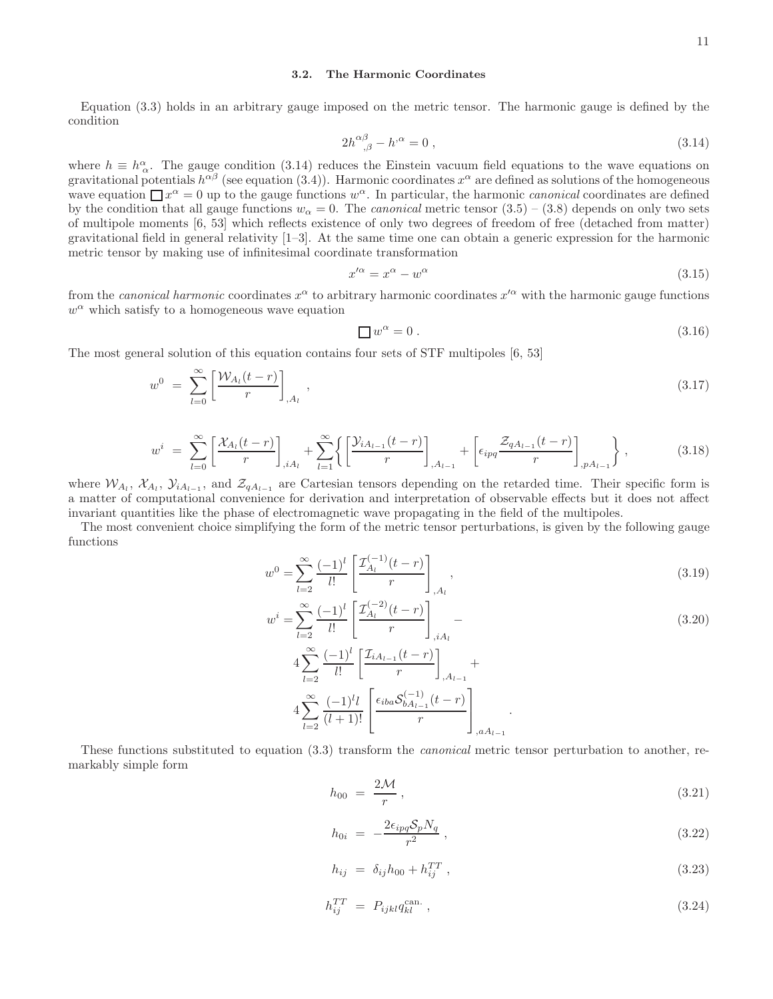# 3.2. The Harmonic Coordinates

Equation (3.3) holds in an arbitrary gauge imposed on the metric tensor. The harmonic gauge is defined by the condition

$$
2h^{\alpha\beta}_{\ \ ,\beta} - h^{\alpha} = 0 \ , \tag{3.14}
$$

where  $h \equiv h^{\alpha}_{\alpha}$ . The gauge condition (3.14) reduces the Einstein vacuum field equations to the wave equations on gravitational potentials  $h^{\alpha\beta}$  (see equation (3.4)). Harmonic coordinates  $x^{\alpha}$  are defined as solutions of the homogeneous wave equation  $\Box x^{\alpha} = 0$  up to the gauge functions  $w^{\alpha}$ . In particular, the harmonic *canonical* coordinates are defined by the condition that all gauge functions  $w_{\alpha} = 0$ . The *canonical* metric tensor  $(3.5) - (3.8)$  depends on only two sets of multipole moments [6, 53] which reflects existence of only two degrees of freedom of free (detached from matter) gravitational field in general relativity [1–3]. At the same time one can obtain a generic expression for the harmonic metric tensor by making use of infinitesimal coordinate transformation

$$
x^{\prime \alpha} = x^{\alpha} - w^{\alpha} \tag{3.15}
$$

from the *canonical harmonic* coordinates  $x^{\alpha}$  to arbitrary harmonic coordinates  $x'^{\alpha}$  with the harmonic gauge functions  $w^{\alpha}$  which satisfy to a homogeneous wave equation

$$
\Box w^{\alpha} = 0. \tag{3.16}
$$

The most general solution of this equation contains four sets of STF multipoles [6, 53]

$$
w^{0} = \sum_{l=0}^{\infty} \left[ \frac{\mathcal{W}_{A_{l}}(t-r)}{r} \right]_{,A_{l}}, \qquad (3.17)
$$

$$
w^{i} = \sum_{l=0}^{\infty} \left[ \frac{\mathcal{X}_{A_{l}}(t-r)}{r} \right]_{,iA_{l}} + \sum_{l=1}^{\infty} \left\{ \left[ \frac{\mathcal{Y}_{iA_{l-1}}(t-r)}{r} \right]_{,A_{l-1}} + \left[ \epsilon_{ipq} \frac{\mathcal{Z}_{qA_{l-1}}(t-r)}{r} \right]_{,pA_{l-1}} \right\},
$$
(3.18)

where  $W_{A_l}$ ,  $X_{A_l}$ ,  $Y_{iA_{l-1}}$ , and  $Z_{qA_{l-1}}$  are Cartesian tensors depending on the retarded time. Their specific form is a matter of computational convenience for derivation and interpretation of observable effects but it does not affect invariant quantities like the phase of electromagnetic wave propagating in the field of the multipoles.

The most convenient choice simplifying the form of the metric tensor perturbations, is given by the following gauge functions

$$
w^{0} = \sum_{l=2}^{\infty} \frac{(-1)^{l}}{l!} \left[ \frac{\mathcal{I}_{A_{l}}^{(-1)}(t-r)}{r} \right]_{,A_{l}},
$$
\n(3.19)

$$
w^{i} = \sum_{l=2}^{\infty} \frac{(-1)^{l}}{l!} \left[ \frac{\mathcal{I}_{A_{l}}^{(-2)}(t-r)}{r} \right]_{,iA_{l}} - 4 \sum_{l=2}^{\infty} \frac{(-1)^{l}}{l!} \left[ \frac{\mathcal{I}_{iA_{l-1}}(t-r)}{r} \right]_{,A_{l-1}} + 4 \sum_{l=2}^{\infty} \frac{(-1)^{l}}{(l+1)!} \left[ \frac{\epsilon_{iba} \mathcal{S}_{bA_{l-1}}^{(-1)}(t-r)}{r} \right]_{,aA_{l-1}}.
$$
\n(3.20)

These functions substituted to equation (3.3) transform the *canonical* metric tensor perturbation to another, remarkably simple form

$$
h_{00} = \frac{2\mathcal{M}}{r},\tag{3.21}
$$

$$
h_{0i} = -\frac{2\epsilon_{ipq}\mathcal{S}_p N_q}{r^2} \,,\tag{3.22}
$$

$$
h_{ij} = \delta_{ij} h_{00} + h_{ij}^{TT} , \qquad (3.23)
$$

$$
h_{ij}^{TT} = P_{ijkl} q_{kl}^{\text{can.}} \,, \tag{3.24}
$$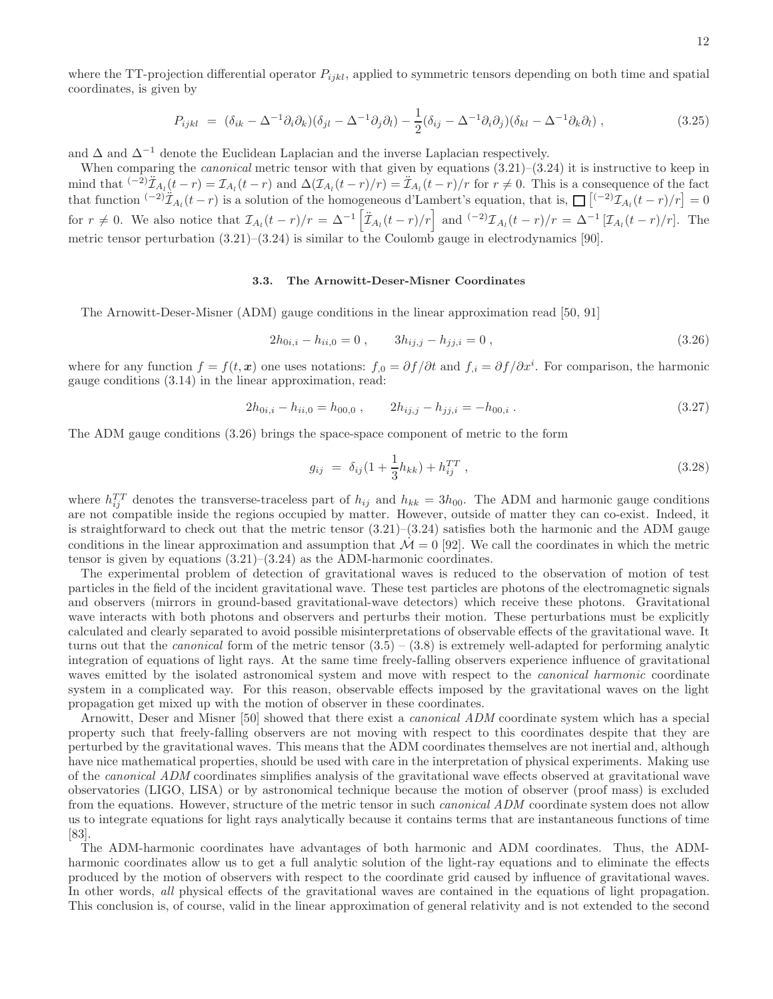$$
P_{ijkl} = (\delta_{ik} - \Delta^{-1}\partial_i\partial_k)(\delta_{jl} - \Delta^{-1}\partial_j\partial_l) - \frac{1}{2}(\delta_{ij} - \Delta^{-1}\partial_i\partial_j)(\delta_{kl} - \Delta^{-1}\partial_k\partial_l) ,
$$
\n(3.25)

and  $\Delta$  and  $\Delta^{-1}$  denote the Euclidean Laplacian and the inverse Laplacian respectively.

When comparing the *canonical* metric tensor with that given by equations  $(3.21)$ – $(3.24)$  it is instructive to keep in mind that  $\lambda^{-2} \mathcal{I}_{A_l}(t-r) = \mathcal{I}_{A_l}(t-r)$  and  $\Delta(\mathcal{I}_{A_l}(t-r)/r) = \mathcal{I}_{A_l}(t-r)/r$  for  $r \neq 0$ . This is a consequence of the fact that function  $(-2)\mathcal{I}_{A_l}(t-r)$  is a solution of the homogeneous d'Lambert's equation, that is,  $\prod_{i=1}^{\infty} \left[(-2)\mathcal{I}_{A_l}(t-r)/r\right] = 0$ for  $r \neq 0$ . We also notice that  $\mathcal{I}_{A_l}(t-r)/r = \Delta^{-1} \left[ \tilde{\mathcal{I}}_{A_l}(t-r)/r \right]$  and  $\left( \tilde{\mathcal{I}}_{A_l}(t-r)/r = \Delta^{-1} \left[ \mathcal{I}_{A_l}(t-r)/r \right]$ . The metric tensor perturbation  $(3.21)$ – $(3.24)$  is similar to the Coulomb gauge in electrodynamics [90].

# 3.3. The Arnowitt-Deser-Misner Coordinates

The Arnowitt-Deser-Misner (ADM) gauge conditions in the linear approximation read [50, 91]

$$
2h_{0i,i} - h_{ii,0} = 0, \t 3h_{ij,j} - h_{jj,i} = 0,
$$
\t(3.26)

where for any function  $f = f(t, x)$  one uses notations:  $f_{0} = \partial f / \partial t$  and  $f_{i} = \partial f / \partial x^{i}$ . For comparison, the harmonic gauge conditions (3.14) in the linear approximation, read:

$$
2h_{0i,i} - h_{ii,0} = h_{00,0} , \t 2h_{ij,j} - h_{jj,i} = -h_{00,i} . \t (3.27)
$$

The ADM gauge conditions (3.26) brings the space-space component of metric to the form

$$
g_{ij} = \delta_{ij} (1 + \frac{1}{3} h_{kk}) + h_{ij}^{TT} , \qquad (3.28)
$$

where  $h_{ij}^{TT}$  denotes the transverse-traceless part of  $h_{ij}$  and  $h_{kk} = 3h_{00}$ . The ADM and harmonic gauge conditions are not compatible inside the regions occupied by matter. However, outside of matter they can co-exist. Indeed, it is straightforward to check out that the metric tensor  $(3.21)$ – $(3.24)$  satisfies both the harmonic and the ADM gauge conditions in the linear approximation and assumption that  $\dot{M} = 0$  [92]. We call the coordinates in which the metric tensor is given by equations  $(3.21)$ – $(3.24)$  as the ADM-harmonic coordinates.

The experimental problem of detection of gravitational waves is reduced to the observation of motion of test particles in the field of the incident gravitational wave. These test particles are photons of the electromagnetic signals and observers (mirrors in ground-based gravitational-wave detectors) which receive these photons. Gravitational wave interacts with both photons and observers and perturbs their motion. These perturbations must be explicitly calculated and clearly separated to avoid possible misinterpretations of observable effects of the gravitational wave. It turns out that the *canonical* form of the metric tensor  $(3.5) - (3.8)$  is extremely well-adapted for performing analytic integration of equations of light rays. At the same time freely-falling observers experience influence of gravitational waves emitted by the isolated astronomical system and move with respect to the *canonical harmonic* coordinate system in a complicated way. For this reason, observable effects imposed by the gravitational waves on the light propagation get mixed up with the motion of observer in these coordinates.

Arnowitt, Deser and Misner [50] showed that there exist a canonical ADM coordinate system which has a special property such that freely-falling observers are not moving with respect to this coordinates despite that they are perturbed by the gravitational waves. This means that the ADM coordinates themselves are not inertial and, although have nice mathematical properties, should be used with care in the interpretation of physical experiments. Making use of the canonical ADM coordinates simplifies analysis of the gravitational wave effects observed at gravitational wave observatories (LIGO, LISA) or by astronomical technique because the motion of observer (proof mass) is excluded from the equations. However, structure of the metric tensor in such *canonical ADM* coordinate system does not allow us to integrate equations for light rays analytically because it contains terms that are instantaneous functions of time [83].

The ADM-harmonic coordinates have advantages of both harmonic and ADM coordinates. Thus, the ADMharmonic coordinates allow us to get a full analytic solution of the light-ray equations and to eliminate the effects produced by the motion of observers with respect to the coordinate grid caused by influence of gravitational waves. In other words, all physical effects of the gravitational waves are contained in the equations of light propagation. This conclusion is, of course, valid in the linear approximation of general relativity and is not extended to the second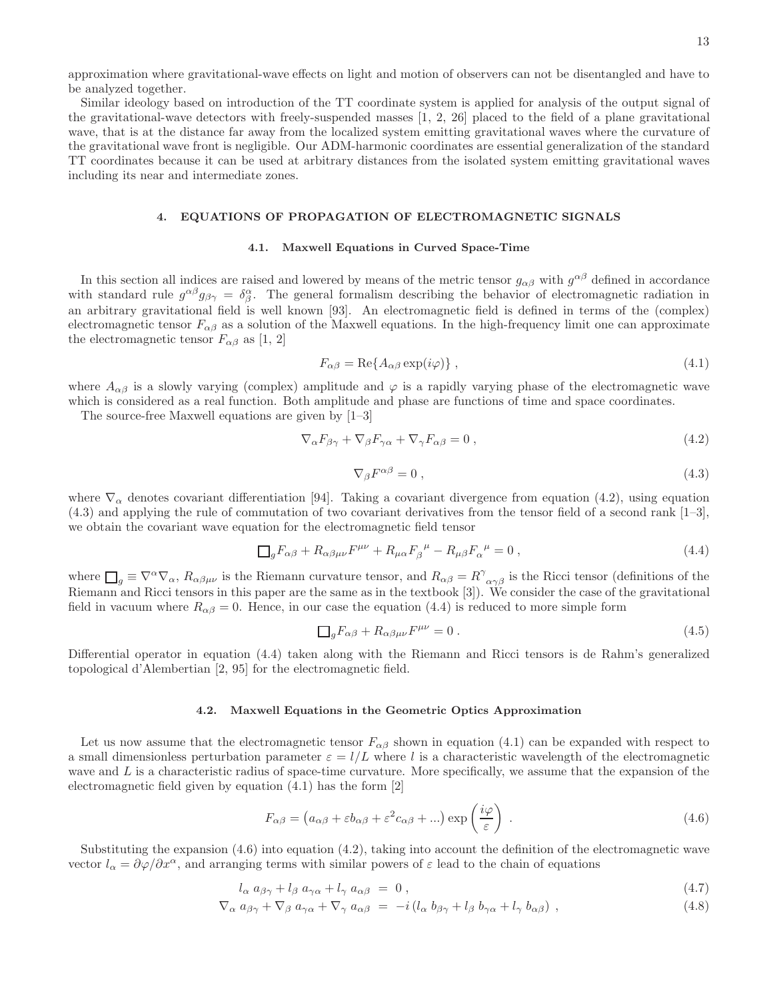approximation where gravitational-wave effects on light and motion of observers can not be disentangled and have to be analyzed together.

Similar ideology based on introduction of the TT coordinate system is applied for analysis of the output signal of the gravitational-wave detectors with freely-suspended masses [1, 2, 26] placed to the field of a plane gravitational wave, that is at the distance far away from the localized system emitting gravitational waves where the curvature of the gravitational wave front is negligible. Our ADM-harmonic coordinates are essential generalization of the standard TT coordinates because it can be used at arbitrary distances from the isolated system emitting gravitational waves including its near and intermediate zones.

# 4. EQUATIONS OF PROPAGATION OF ELECTROMAGNETIC SIGNALS

#### 4.1. Maxwell Equations in Curved Space-Time

In this section all indices are raised and lowered by means of the metric tensor  $g_{\alpha\beta}$  with  $g^{\alpha\beta}$  defined in accordance with standard rule  $g^{\alpha\beta}g_{\beta\gamma} = \delta^{\alpha}_{\beta}$ . The general formalism describing the behavior of electromagnetic radiation in an arbitrary gravitational field is well known [93]. An electromagnetic field is defined in terms of the (complex) electromagnetic tensor  $F_{\alpha\beta}$  as a solution of the Maxwell equations. In the high-frequency limit one can approximate the electromagnetic tensor  $F_{\alpha\beta}$  as [1, 2]

$$
F_{\alpha\beta} = \text{Re}\{A_{\alpha\beta}\exp(i\varphi)\}\,,\tag{4.1}
$$

where  $A_{\alpha\beta}$  is a slowly varying (complex) amplitude and  $\varphi$  is a rapidly varying phase of the electromagnetic wave which is considered as a real function. Both amplitude and phase are functions of time and space coordinates.

The source-free Maxwell equations are given by [1–3]

$$
\nabla_{\alpha} F_{\beta\gamma} + \nabla_{\beta} F_{\gamma\alpha} + \nabla_{\gamma} F_{\alpha\beta} = 0 , \qquad (4.2)
$$

$$
\nabla_{\beta} F^{\alpha \beta} = 0 \,, \tag{4.3}
$$

where  $\nabla_{\alpha}$  denotes covariant differentiation [94]. Taking a covariant divergence from equation (4.2), using equation (4.3) and applying the rule of commutation of two covariant derivatives from the tensor field of a second rank [1–3], we obtain the covariant wave equation for the electromagnetic field tensor

$$
\Box_g F_{\alpha\beta} + R_{\alpha\beta\mu\nu} F^{\mu\nu} + R_{\mu\alpha} F_{\beta}^{\ \mu} - R_{\mu\beta} F_{\alpha}^{\ \mu} = 0 \,, \tag{4.4}
$$

where  $\Box_g \equiv \nabla^\alpha \nabla_\alpha$ ,  $R_{\alpha\beta\mu\nu}$  is the Riemann curvature tensor, and  $R_{\alpha\beta} = R^{\gamma}{}_{\alpha\gamma\beta}$  is the Ricci tensor (definitions of the Riemann and Ricci tensors in this paper are the same as in the textbook [3]). We consider the case of the gravitational field in vacuum where  $R_{\alpha\beta} = 0$ . Hence, in our case the equation (4.4) is reduced to more simple form

$$
\Box_g F_{\alpha\beta} + R_{\alpha\beta\mu\nu} F^{\mu\nu} = 0.
$$
\n(4.5)

Differential operator in equation (4.4) taken along with the Riemann and Ricci tensors is de Rahm's generalized topological d'Alembertian [2, 95] for the electromagnetic field.

#### 4.2. Maxwell Equations in the Geometric Optics Approximation

Let us now assume that the electromagnetic tensor  $F_{\alpha\beta}$  shown in equation (4.1) can be expanded with respect to a small dimensionless perturbation parameter  $\varepsilon = l/L$  where l is a characteristic wavelength of the electromagnetic wave and  $L$  is a characteristic radius of space-time curvature. More specifically, we assume that the expansion of the electromagnetic field given by equation (4.1) has the form [2]

$$
F_{\alpha\beta} = (a_{\alpha\beta} + \varepsilon b_{\alpha\beta} + \varepsilon^2 c_{\alpha\beta} + \ldots) \exp\left(\frac{i\varphi}{\varepsilon}\right) . \tag{4.6}
$$

Substituting the expansion (4.6) into equation (4.2), taking into account the definition of the electromagnetic wave vector  $l_{\alpha} = \partial \varphi / \partial x^{\alpha}$ , and arranging terms with similar powers of  $\varepsilon$  lead to the chain of equations

$$
l_{\alpha} a_{\beta\gamma} + l_{\beta} a_{\gamma\alpha} + l_{\gamma} a_{\alpha\beta} = 0, \qquad (4.7)
$$

$$
\nabla_{\alpha} a_{\beta\gamma} + \nabla_{\beta} a_{\gamma\alpha} + \nabla_{\gamma} a_{\alpha\beta} = -i(l_{\alpha} b_{\beta\gamma} + l_{\beta} b_{\gamma\alpha} + l_{\gamma} b_{\alpha\beta}), \qquad (4.8)
$$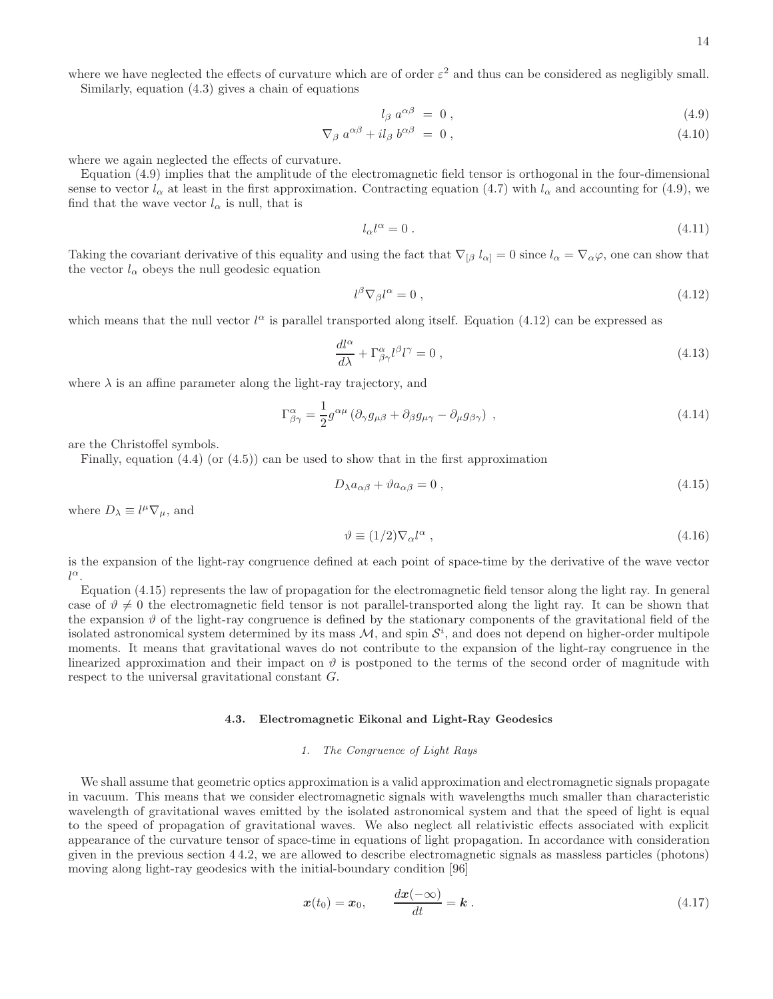where we have neglected the effects of curvature which are of order  $\varepsilon^2$  and thus can be considered as negligibly small. Similarly, equation (4.3) gives a chain of equations

$$
l_{\beta} a^{\alpha\beta} = 0 , \qquad (4.9)
$$

$$
\nabla_{\beta} a^{\alpha\beta} + i l_{\beta} b^{\alpha\beta} = 0 , \qquad (4.10)
$$

where we again neglected the effects of curvature.

Equation (4.9) implies that the amplitude of the electromagnetic field tensor is orthogonal in the four-dimensional sense to vector  $l_{\alpha}$  at least in the first approximation. Contracting equation (4.7) with  $l_{\alpha}$  and accounting for (4.9), we find that the wave vector  $l_{\alpha}$  is null, that is

$$
l_{\alpha}l^{\alpha} = 0. \tag{4.11}
$$

Taking the covariant derivative of this equality and using the fact that  $\nabla_{\beta} l_{\alpha} = 0$  since  $l_{\alpha} = \nabla_{\alpha} \varphi$ , one can show that the vector  $l_{\alpha}$  obeys the null geodesic equation

$$
l^{\beta}\nabla_{\beta}l^{\alpha} = 0 , \qquad (4.12)
$$

which means that the null vector  $l^{\alpha}$  is parallel transported along itself. Equation (4.12) can be expressed as

$$
\frac{dl^{\alpha}}{d\lambda} + \Gamma^{\alpha}_{\beta\gamma}l^{\beta}l^{\gamma} = 0 , \qquad (4.13)
$$

where  $\lambda$  is an affine parameter along the light-ray trajectory, and

$$
\Gamma^{\alpha}_{\beta\gamma} = \frac{1}{2} g^{\alpha\mu} \left( \partial_{\gamma} g_{\mu\beta} + \partial_{\beta} g_{\mu\gamma} - \partial_{\mu} g_{\beta\gamma} \right) , \qquad (4.14)
$$

are the Christoffel symbols.

Finally, equation  $(4.4)$  (or  $(4.5)$ ) can be used to show that in the first approximation

$$
D_{\lambda}a_{\alpha\beta} + \vartheta a_{\alpha\beta} = 0 , \qquad (4.15)
$$

where  $D_{\lambda} \equiv l^{\mu} \nabla_{\mu}$ , and

$$
\vartheta \equiv (1/2)\nabla_{\alpha}l^{\alpha} , \qquad (4.16)
$$

is the expansion of the light-ray congruence defined at each point of space-time by the derivative of the wave vector  $l^{\alpha}$ .

Equation (4.15) represents the law of propagation for the electromagnetic field tensor along the light ray. In general case of  $\vartheta \neq 0$  the electromagnetic field tensor is not parallel-transported along the light ray. It can be shown that the expansion  $\vartheta$  of the light-ray congruence is defined by the stationary components of the gravitational field of the isolated astronomical system determined by its mass  $M$ , and spin  $\mathcal{S}^i$ , and does not depend on higher-order multipole moments. It means that gravitational waves do not contribute to the expansion of the light-ray congruence in the linearized approximation and their impact on  $\vartheta$  is postponed to the terms of the second order of magnitude with respect to the universal gravitational constant G.

#### 4.3. Electromagnetic Eikonal and Light-Ray Geodesics

# *1. The Congruence of Light Rays*

We shall assume that geometric optics approximation is a valid approximation and electromagnetic signals propagate in vacuum. This means that we consider electromagnetic signals with wavelengths much smaller than characteristic wavelength of gravitational waves emitted by the isolated astronomical system and that the speed of light is equal to the speed of propagation of gravitational waves. We also neglect all relativistic effects associated with explicit appearance of the curvature tensor of space-time in equations of light propagation. In accordance with consideration given in the previous section 4 4.2, we are allowed to describe electromagnetic signals as massless particles (photons) moving along light-ray geodesics with the initial-boundary condition [96]

$$
\boldsymbol{x}(t_0) = \boldsymbol{x}_0, \qquad \frac{d\boldsymbol{x}(-\infty)}{dt} = \boldsymbol{k} \,. \tag{4.17}
$$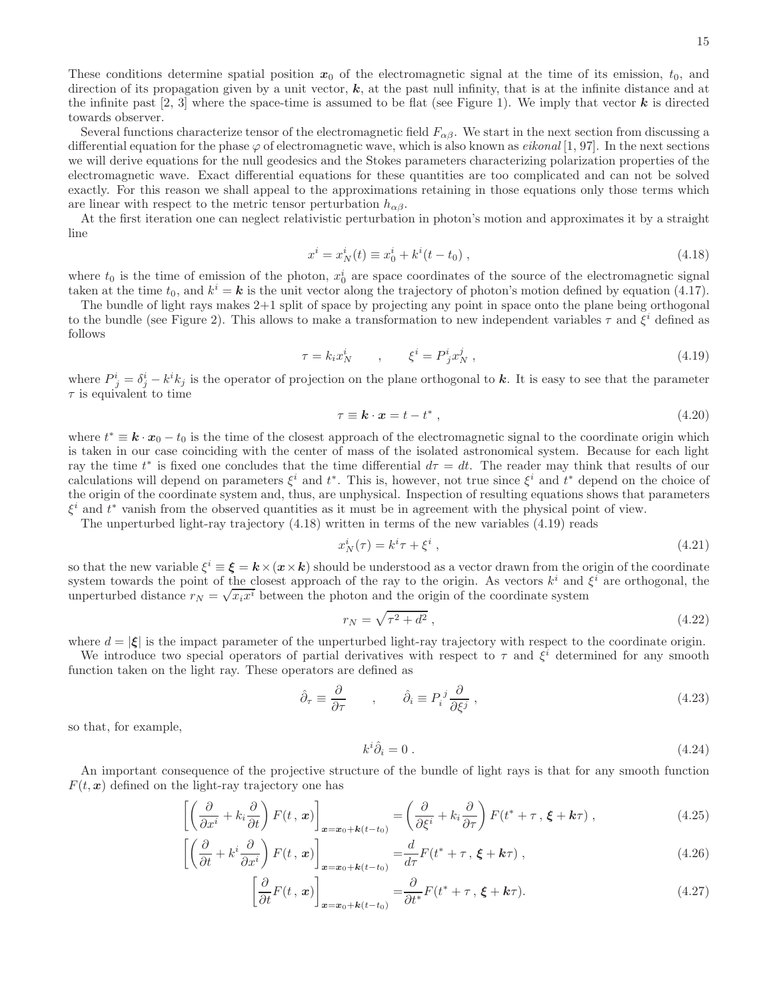These conditions determine spatial position  $x_0$  of the electromagnetic signal at the time of its emission,  $t_0$ , and direction of its propagation given by a unit vector,  $k$ , at the past null infinity, that is at the infinite distance and at the infinite past  $[2, 3]$  where the space-time is assumed to be flat (see Figure 1). We imply that vector  $\bf{k}$  is directed towards observer.

Several functions characterize tensor of the electromagnetic field  $F_{\alpha\beta}$ . We start in the next section from discussing a differential equation for the phase  $\varphi$  of electromagnetic wave, which is also known as *eikonal* [1, 97]. In the next sections we will derive equations for the null geodesics and the Stokes parameters characterizing polarization properties of the electromagnetic wave. Exact differential equations for these quantities are too complicated and can not be solved exactly. For this reason we shall appeal to the approximations retaining in those equations only those terms which are linear with respect to the metric tensor perturbation  $h_{\alpha\beta}$ .

At the first iteration one can neglect relativistic perturbation in photon's motion and approximates it by a straight line

$$
x^{i} = x_{N}^{i}(t) \equiv x_{0}^{i} + k^{i}(t - t_{0}), \qquad (4.18)
$$

where  $t_0$  is the time of emission of the photon,  $x_0^i$  are space coordinates of the source of the electromagnetic signal taken at the time  $t_0$ , and  $k^i = \mathbf{k}$  is the unit vector along the trajectory of photon's motion defined by equation (4.17).

The bundle of light rays makes 2+1 split of space by projecting any point in space onto the plane being orthogonal to the bundle (see Figure 2). This allows to make a transformation to new independent variables  $\tau$  and  $\xi^i$  defined as follows

$$
\tau = k_i x_N^i \qquad , \qquad \xi^i = P^i_j x_N^j \; , \tag{4.19}
$$

where  $P^i_j = \delta^i_j - k^i k_j$  is the operator of projection on the plane orthogonal to k. It is easy to see that the parameter  $\tau$  is equivalent to time

$$
\tau \equiv \mathbf{k} \cdot \mathbf{x} = t - t^*, \tag{4.20}
$$

where  $t^* \equiv \mathbf{k} \cdot \mathbf{x}_0 - t_0$  is the time of the closest approach of the electromagnetic signal to the coordinate origin which is taken in our case coinciding with the center of mass of the isolated astronomical system. Because for each light ray the time  $t^*$  is fixed one concludes that the time differential  $d\tau = dt$ . The reader may think that results of our calculations will depend on parameters  $\xi^i$  and  $t^*$ . This is, however, not true since  $\xi^i$  and  $t^*$  depend on the choice of the origin of the coordinate system and, thus, are unphysical. Inspection of resulting equations shows that parameters  $\xi^i$  and  $t^*$  vanish from the observed quantities as it must be in agreement with the physical point of view.

The unperturbed light-ray trajectory (4.18) written in terms of the new variables (4.19) reads

$$
x_N^i(\tau) = k^i \tau + \xi^i \,,\tag{4.21}
$$

so that the new variable  $\xi^i = \xi = k \times (x \times k)$  should be understood as a vector drawn from the origin of the coordinate system towards the point of the closest approach of the ray to the origin. As vectors  $k^i$  and  $\xi^i$  are orthogonal, the unperturbed distance  $r_N = \sqrt{x_i x^i}$  between the photon and the origin of the coordinate system

$$
r_N = \sqrt{\tau^2 + d^2} \,,\tag{4.22}
$$

where  $d = |\xi|$  is the impact parameter of the unperturbed light-ray trajectory with respect to the coordinate origin.

We introduce two special operators of partial derivatives with respect to  $\tau$  and  $\xi^i$  determined for any smooth function taken on the light ray. These operators are defined as

$$
\hat{\partial}_{\tau} \equiv \frac{\partial}{\partial \tau} \qquad , \qquad \hat{\partial}_{i} \equiv P_{i}{}^{j} \frac{\partial}{\partial \xi^{j}} \,, \tag{4.23}
$$

so that, for example,

$$
k^i \hat{\partial}_i = 0 \tag{4.24}
$$

An important consequence of the projective structure of the bundle of light rays is that for any smooth function  $F(t, x)$  defined on the light-ray trajectory one has

$$
\left[ \left( \frac{\partial}{\partial x^i} + k_i \frac{\partial}{\partial t} \right) F(t, x) \right]_{\mathbf{x} = \mathbf{x}_0 + \mathbf{k}(t - t_0)} = \left( \frac{\partial}{\partial \xi^i} + k_i \frac{\partial}{\partial \tau} \right) F(t^* + \tau, \xi + \mathbf{k}\tau) , \tag{4.25}
$$

$$
\left[ \left( \frac{\partial}{\partial t} + k^i \frac{\partial}{\partial x^i} \right) F(t, x) \right]_{\mathbf{x} = \mathbf{x}_0 + \mathbf{k}(t - t_0)} = \frac{d}{d\tau} F(t^* + \tau, \xi + \mathbf{k}\tau) , \qquad (4.26)
$$

$$
\left[\frac{\partial}{\partial t}F(t, \, \boldsymbol{x})\right]_{\boldsymbol{x} = \boldsymbol{x}_0 + \boldsymbol{k}(t - t_0)} = \frac{\partial}{\partial t^*}F(t^* + \tau, \, \boldsymbol{\xi} + \boldsymbol{k}\tau). \tag{4.27}
$$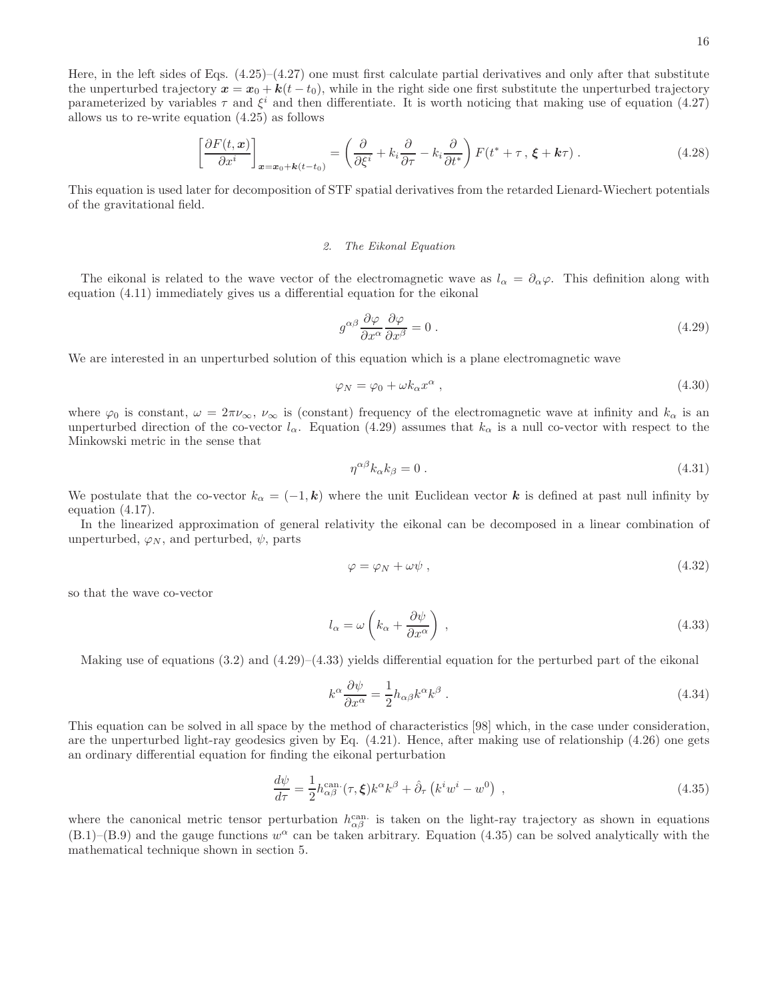Here, in the left sides of Eqs. (4.25)–(4.27) one must first calculate partial derivatives and only after that substitute the unperturbed trajectory  $x = x_0 + k(t - t_0)$ , while in the right side one first substitute the unperturbed trajectory parameterized by variables  $\tau$  and  $\xi^i$  and then differentiate. It is worth noticing that making use of equation (4.27) allows us to re-write equation (4.25) as follows

$$
\left[\frac{\partial F(t,\boldsymbol{x})}{\partial x^i}\right]_{\boldsymbol{x}=\boldsymbol{x}_0+\boldsymbol{k}(t-t_0)} = \left(\frac{\partial}{\partial \xi^i} + k_i \frac{\partial}{\partial \tau} - k_i \frac{\partial}{\partial t^*}\right) F(t^* + \tau, \xi + \boldsymbol{k}\tau) \,. \tag{4.28}
$$

This equation is used later for decomposition of STF spatial derivatives from the retarded Lienard-Wiechert potentials of the gravitational field.

#### *2. The Eikonal Equation*

The eikonal is related to the wave vector of the electromagnetic wave as  $l_{\alpha} = \partial_{\alpha}\varphi$ . This definition along with equation (4.11) immediately gives us a differential equation for the eikonal

$$
g^{\alpha\beta} \frac{\partial \varphi}{\partial x^{\alpha}} \frac{\partial \varphi}{\partial x^{\beta}} = 0.
$$
 (4.29)

We are interested in an unperturbed solution of this equation which is a plane electromagnetic wave

$$
\varphi_N = \varphi_0 + \omega k_\alpha x^\alpha \,,\tag{4.30}
$$

where  $\varphi_0$  is constant,  $\omega = 2\pi\nu_\infty$ ,  $\nu_\infty$  is (constant) frequency of the electromagnetic wave at infinity and  $k_\alpha$  is an unperturbed direction of the co-vector  $l_{\alpha}$ . Equation (4.29) assumes that  $k_{\alpha}$  is a null co-vector with respect to the Minkowski metric in the sense that

$$
\eta^{\alpha\beta}k_{\alpha}k_{\beta} = 0. \tag{4.31}
$$

We postulate that the co-vector  $k_{\alpha} = (-1, \mathbf{k})$  where the unit Euclidean vector k is defined at past null infinity by equation (4.17).

In the linearized approximation of general relativity the eikonal can be decomposed in a linear combination of unperturbed,  $\varphi_N$ , and perturbed,  $\psi$ , parts

$$
\varphi = \varphi_N + \omega \psi \,, \tag{4.32}
$$

so that the wave co-vector

$$
l_{\alpha} = \omega \left( k_{\alpha} + \frac{\partial \psi}{\partial x^{\alpha}} \right) , \qquad (4.33)
$$

Making use of equations  $(3.2)$  and  $(4.29)$ – $(4.33)$  yields differential equation for the perturbed part of the eikonal

$$
k^{\alpha} \frac{\partial \psi}{\partial x^{\alpha}} = \frac{1}{2} h_{\alpha\beta} k^{\alpha} k^{\beta} . \qquad (4.34)
$$

This equation can be solved in all space by the method of characteristics [98] which, in the case under consideration, are the unperturbed light-ray geodesics given by Eq. (4.21). Hence, after making use of relationship (4.26) one gets an ordinary differential equation for finding the eikonal perturbation

$$
\frac{d\psi}{d\tau} = \frac{1}{2} h_{\alpha\beta}^{\text{can.}}(\tau, \xi) k^{\alpha} k^{\beta} + \hat{\partial}_{\tau} \left( k^{i} w^{i} - w^{0} \right) , \qquad (4.35)
$$

where the canonical metric tensor perturbation  $h_{\alpha\beta}^{\text{can}}$  is taken on the light-ray trajectory as shown in equations  $(B.1)$ – $(B.9)$  and the gauge functions  $w^{\alpha}$  can be taken arbitrary. Equation (4.35) can be solved analytically with the mathematical technique shown in section 5.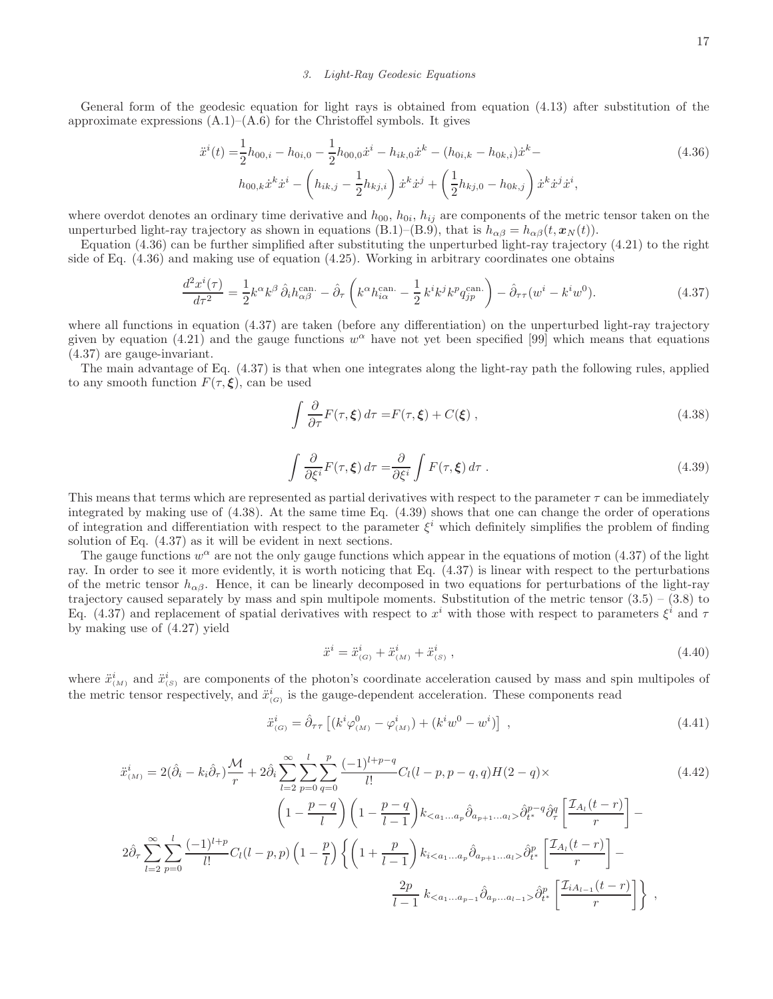#### *3. Light-Ray Geodesic Equations*

General form of the geodesic equation for light rays is obtained from equation (4.13) after substitution of the approximate expressions  $(A.1)$ – $(A.6)$  for the Christoffel symbols. It gives

$$
\ddot{x}^{i}(t) = \frac{1}{2}h_{00,i} - h_{0i,0} - \frac{1}{2}h_{00,0}\dot{x}^{i} - h_{ik,0}\dot{x}^{k} - (h_{0i,k} - h_{0k,i})\dot{x}^{k} - h_{00,k}\dot{x}^{k}\dot{x}^{i} - \left(h_{ik,j} - \frac{1}{2}h_{kj,i}\right)\dot{x}^{k}\dot{x}^{j} + \left(\frac{1}{2}h_{kj,0} - h_{0k,j}\right)\dot{x}^{k}\dot{x}^{j}\dot{x}^{i},
$$
\n(4.36)

where overdot denotes an ordinary time derivative and  $h_{00}$ ,  $h_{0i}$ ,  $h_{ij}$  are components of the metric tensor taken on the unperturbed light-ray trajectory as shown in equations (B.1)–(B.9), that is  $h_{\alpha\beta} = h_{\alpha\beta}(t, \mathbf{x}_N(t))$ .

Equation (4.36) can be further simplified after substituting the unperturbed light-ray trajectory (4.21) to the right side of Eq. (4.36) and making use of equation (4.25). Working in arbitrary coordinates one obtains

$$
\frac{d^2x^i(\tau)}{d\tau^2} = \frac{1}{2}k^{\alpha}k^{\beta}\,\hat{\partial}_i h_{\alpha\beta}^{\text{can.}} - \hat{\partial}_\tau \left(k^{\alpha}h_{i\alpha}^{\text{can.}} - \frac{1}{2}k^ik^jk^p q_{jp}^{\text{can.}}\right) - \hat{\partial}_\tau \tau (w^i - k^iw^0). \tag{4.37}
$$

where all functions in equation (4.37) are taken (before any differentiation) on the unperturbed light-ray trajectory given by equation (4.21) and the gauge functions  $w^{\alpha}$  have not yet been specified [99] which means that equations (4.37) are gauge-invariant.

The main advantage of Eq. (4.37) is that when one integrates along the light-ray path the following rules, applied to any smooth function  $F(\tau, \xi)$ , can be used

$$
\int \frac{\partial}{\partial \tau} F(\tau, \xi) d\tau = F(\tau, \xi) + C(\xi) , \qquad (4.38)
$$

$$
\int \frac{\partial}{\partial \xi^i} F(\tau, \xi) d\tau = \frac{\partial}{\partial \xi^i} \int F(\tau, \xi) d\tau . \tag{4.39}
$$

This means that terms which are represented as partial derivatives with respect to the parameter  $\tau$  can be immediately integrated by making use of (4.38). At the same time Eq. (4.39) shows that one can change the order of operations of integration and differentiation with respect to the parameter  $\xi^i$  which definitely simplifies the problem of finding solution of Eq. (4.37) as it will be evident in next sections.

The gauge functions  $w^{\alpha}$  are not the only gauge functions which appear in the equations of motion (4.37) of the light ray. In order to see it more evidently, it is worth noticing that Eq. (4.37) is linear with respect to the perturbations of the metric tensor  $h_{\alpha\beta}$ . Hence, it can be linearly decomposed in two equations for perturbations of the light-ray trajectory caused separately by mass and spin multipole moments. Substitution of the metric tensor  $(3.5) - (3.8)$  to Eq. (4.37) and replacement of spatial derivatives with respect to  $x^i$  with those with respect to parameters  $\xi^i$  and  $\tau$ by making use of (4.27) yield

$$
\ddot{x}^i = \ddot{x}^i_{(G)} + \ddot{x}^i_{(M)} + \ddot{x}^i_{(S)} ,\qquad (4.40)
$$

where  $\ddot{x}^i_{(M)}$  and  $\ddot{x}^i_{(S)}$  are components of the photon's coordinate acceleration caused by mass and spin multipoles of the metric tensor respectively, and  $\ddot{x}^i_{(G)}$  is the gauge-dependent acceleration. These components read

$$
\ddot{x}_{(G)}^i = \hat{\partial}_{\tau\tau} \left[ (k^i \varphi^0_{(M)} - \varphi^i_{(M)}) + (k^i w^0 - w^i) \right] , \qquad (4.41)
$$

$$
\ddot{x}_{(M)}^{i} = 2(\hat{\partial}_{i} - k_{i}\hat{\partial}_{\tau})\frac{\mathcal{M}}{r} + 2\hat{\partial}_{i}\sum_{l=2}^{\infty}\sum_{p=0}^{l}\sum_{q=0}^{p} \frac{(-1)^{l+p-q}}{l!}C_{l}(l-p,p-q,q)H(2-q)\times
$$
\n
$$
\left(1 - \frac{p-q}{l}\right)\left(1 - \frac{p-q}{l-1}\right)k_{< a_{1}...a_{p}}\hat{\partial}_{a_{p+1}...a_{l}}\hat{\partial}_{t}^{p-q}\hat{\partial}_{\tau}^{q}\left[\frac{\mathcal{I}_{A_{l}}(t-r)}{r}\right] -
$$
\n
$$
2\hat{\partial}_{\tau}\sum_{l=2}^{\infty}\sum_{p=0}^{l}\frac{(-1)^{l+p}}{l!}C_{l}(l-p,p)\left(1 - \frac{p}{l}\right)\left\{\left(1 + \frac{p}{l-1}\right)k_{i< a_{1}...a_{p}}\hat{\partial}_{a_{p+1}...a_{l}}\hat{\partial}_{t}^{p}\left[\frac{\mathcal{I}_{A_{l}}(t-r)}{r}\right] - \frac{2p}{l-1}k_{< a_{1}...a_{p-1}}\hat{\partial}_{a_{p}...a_{l-1}}\hat{\partial}_{a_{p}...a_{l-1}}\hat{\partial}_{t}^{p}\left[\frac{\mathcal{I}_{A_{l}}(t-r)}{r}\right]\right\},
$$
\n
$$
(4.42)
$$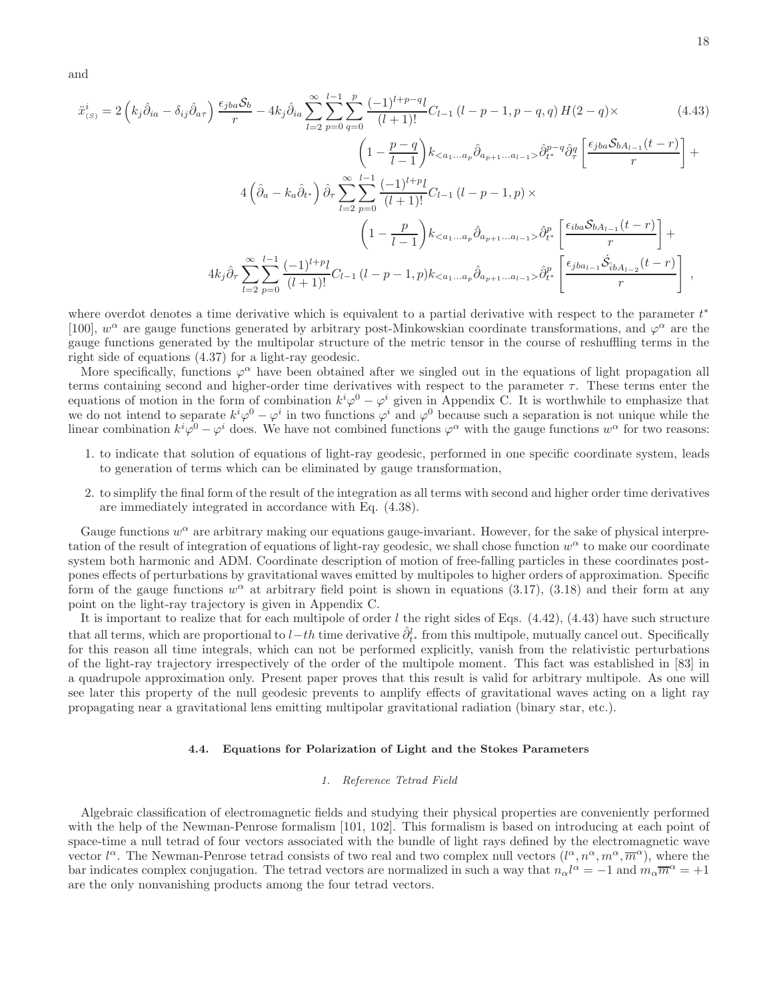and

$$
\ddot{x}_{(S)}^i = 2\left(k_j\hat{\partial}_{ia} - \delta_{ij}\hat{\partial}_{a\tau}\right)\frac{\epsilon_{jba}\mathcal{S}_b}{r} - 4k_j\hat{\partial}_{ia}\sum_{l=2}^{\infty}\sum_{p=0}^{l-1}\sum_{q=0}^p\frac{(-1)^{l+p-q}l}{(l+1)!}C_{l-1}\left(l-p-1,p-q,q\right)H(2-q)\times\tag{4.43}
$$

$$
\left(1 - \frac{p-q}{l-1}\right)k_{< a_1...a_p}\hat{\partial}_{a_{p+1}...a_{l-1}} > \hat{\partial}_{t}^{p-q}\hat{\partial}_{q}^q \left[\frac{\epsilon_{jba}\mathcal{S}_{bA_{l-1}}(t-r)}{r}\right] +
$$
  

$$
4\left(\hat{\partial}_{a} - k_{a}\hat{\partial}_{t^{*}}\right)\hat{\partial}_{\tau} \sum_{l=2}^{\infty} \sum_{p=0}^{l-1} \frac{(-1)^{l+p}l}{(l+1)!}C_{l-1}\left(l-p-1,p\right) \times
$$
  

$$
\left(1 - \frac{p}{l-1}\right)k_{< a_1...a_p}\hat{\partial}_{a_{p+1}...a_{l-1}} > \hat{\partial}_{t^{*}}^{p}\left[\frac{\epsilon_{iba}\mathcal{S}_{bA_{l-1}}(t-r)}{r}\right] +
$$
  

$$
4k_{j}\hat{\partial}_{\tau} \sum_{l=2}^{\infty} \sum_{p=0}^{l-1} \frac{(-1)^{l+p}l}{(l+1)!}C_{l-1}\left(l-p-1,p\right)k_{< a_1...a_p}\hat{\partial}_{a_{p+1}...a_{l-1}} > \hat{\partial}_{t^{*}}^{p}\left[\frac{\epsilon_{jba_{l-1}}\dot{\mathcal{S}}_{bA_{l-2}}(t-r)}{r}\right],
$$

where overdot denotes a time derivative which is equivalent to a partial derivative with respect to the parameter  $t^*$ [100],  $w^{\alpha}$  are gauge functions generated by arbitrary post-Minkowskian coordinate transformations, and  $\varphi^{\alpha}$  are the gauge functions generated by the multipolar structure of the metric tensor in the course of reshuffling terms in the right side of equations (4.37) for a light-ray geodesic.

More specifically, functions  $\varphi^{\alpha}$  have been obtained after we singled out in the equations of light propagation all terms containing second and higher-order time derivatives with respect to the parameter  $\tau$ . These terms enter the equations of motion in the form of combination  $k^i\varphi^0 - \varphi^i$  given in Appendix C. It is worthwhile to emphasize that we do not intend to separate  $k^i\varphi^0 - \varphi^i$  in two functions  $\varphi^i$  and  $\varphi^0$  because such a separation is not unique while the linear combination  $k^i\varphi^0 - \varphi^i$  does. We have not combined functions  $\varphi^\alpha$  with the gauge functions  $w^\alpha$  for two reasons:

- 1. to indicate that solution of equations of light-ray geodesic, performed in one specific coordinate system, leads to generation of terms which can be eliminated by gauge transformation,
- 2. to simplify the final form of the result of the integration as all terms with second and higher order time derivatives are immediately integrated in accordance with Eq. (4.38).

Gauge functions  $w^{\alpha}$  are arbitrary making our equations gauge-invariant. However, for the sake of physical interpretation of the result of integration of equations of light-ray geodesic, we shall chose function  $w^{\alpha}$  to make our coordinate system both harmonic and ADM. Coordinate description of motion of free-falling particles in these coordinates postpones effects of perturbations by gravitational waves emitted by multipoles to higher orders of approximation. Specific form of the gauge functions  $w^{\alpha}$  at arbitrary field point is shown in equations (3.17), (3.18) and their form at any point on the light-ray trajectory is given in Appendix C.

It is important to realize that for each multipole of order  $l$  the right sides of Eqs.  $(4.42)$ ,  $(4.43)$  have such structure that all terms, which are proportional to  $l-th$  time derivative  $\hat{\partial}_{t^*}^l$  from this multipole, mutually cancel out. Specifically for this reason all time integrals, which can not be performed explicitly, vanish from the relativistic perturbations of the light-ray trajectory irrespectively of the order of the multipole moment. This fact was established in [83] in a quadrupole approximation only. Present paper proves that this result is valid for arbitrary multipole. As one will see later this property of the null geodesic prevents to amplify effects of gravitational waves acting on a light ray propagating near a gravitational lens emitting multipolar gravitational radiation (binary star, etc.).

# 4.4. Equations for Polarization of Light and the Stokes Parameters

# *1. Reference Tetrad Field*

Algebraic classification of electromagnetic fields and studying their physical properties are conveniently performed with the help of the Newman-Penrose formalism [101, 102]. This formalism is based on introducing at each point of space-time a null tetrad of four vectors associated with the bundle of light rays defined by the electromagnetic wave vector  $l^{\alpha}$ . The Newman-Penrose tetrad consists of two real and two complex null vectors  $(l^{\alpha}, n^{\alpha}, m^{\alpha}, \overline{m}^{\alpha})$ , where the bar indicates complex conjugation. The tetrad vectors are normalized in such a way that  $n_{\alpha}l^{\alpha} = -1$  and  $m_{\alpha}\overline{m}^{\alpha} = +1$ are the only nonvanishing products among the four tetrad vectors.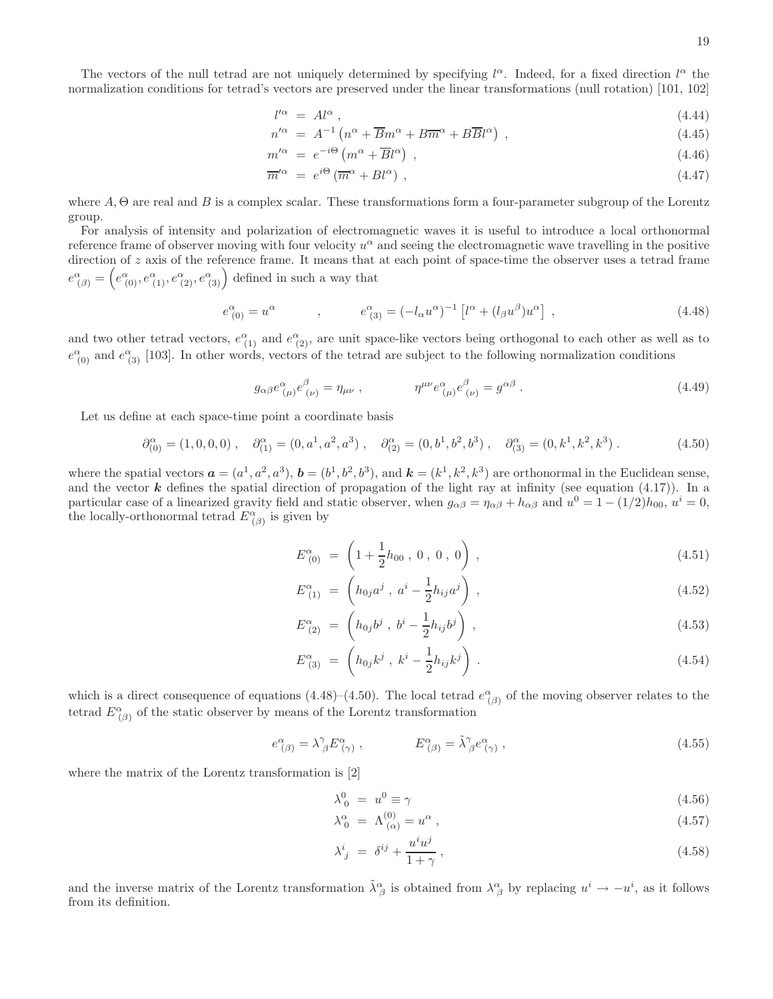19

The vectors of the null tetrad are not uniquely determined by specifying  $l^{\alpha}$ . Indeed, for a fixed direction  $l^{\alpha}$  the normalization conditions for tetrad's vectors are preserved under the linear transformations (null rotation) [101, 102]

$$
l^{\prime\alpha} \ = \ Al^{\alpha} \ , \tag{4.44}
$$

$$
n^{\prime \alpha} = A^{-1} \left( n^{\alpha} + \overline{B} m^{\alpha} + B \overline{m}^{\alpha} + B \overline{B} l^{\alpha} \right) , \qquad (4.45)
$$

$$
m^{\prime \alpha} = e^{-i\Theta} \left( m^{\alpha} + \overline{B} l^{\alpha} \right) , \qquad (4.46)
$$

$$
\overline{m}'^{\alpha} = e^{i\Theta} (\overline{m}^{\alpha} + B l^{\alpha}) , \qquad (4.47)
$$

where  $A, \Theta$  are real and  $B$  is a complex scalar. These transformations form a four-parameter subgroup of the Lorentz group.

For analysis of intensity and polarization of electromagnetic waves it is useful to introduce a local orthonormal reference frame of observer moving with four velocity  $u^{\alpha}$  and seeing the electromagnetic wave travelling in the positive direction of z axis of the reference frame. It means that at each point of space-time the observer uses a tetrad frame  $e^{\alpha}_{(\beta)} = \left(e^{\alpha}_{(0)}, e^{\alpha}_{(1)}, e^{\alpha}_{(2)}, e^{\alpha}_{(3)}\right)$  defined in such a way that

$$
e^{\alpha}_{(0)} = u^{\alpha} \t , \t e^{\alpha}_{(3)} = (-l_{\alpha}u^{\alpha})^{-1} \left[ l^{\alpha} + (l_{\beta}u^{\beta})u^{\alpha} \right] , \t (4.48)
$$

and two other tetrad vectors,  $e^{\alpha}_{(1)}$  and  $e^{\alpha}_{(2)}$ , are unit space-like vectors being orthogonal to each other as well as to  $e^{\alpha}_{(0)}$  and  $e^{\alpha}_{(3)}$  [103]. In other words, vectors of the tetrad are subject to the following normalization conditions

$$
g_{\alpha\beta}e^{\alpha}_{\ (\mu)}e^{\beta}_{\ (\nu)} = \eta_{\mu\nu} \ , \qquad \eta^{\mu\nu}e^{\alpha}_{\ (\mu)}e^{\beta}_{\ (\nu)} = g^{\alpha\beta} \ . \tag{4.49}
$$

Let us define at each space-time point a coordinate basis

$$
\partial_{(0)}^{\alpha} = (1,0,0,0) , \quad \partial_{(1)}^{\alpha} = (0, a^1, a^2, a^3) , \quad \partial_{(2)}^{\alpha} = (0, b^1, b^2, b^3) , \quad \partial_{(3)}^{\alpha} = (0, k^1, k^2, k^3) . \tag{4.50}
$$

where the spatial vectors  $\mathbf{a} = (a^1, a^2, a^3), \mathbf{b} = (b^1, b^2, b^3), \text{ and } \mathbf{k} = (k^1, k^2, k^3)$  are orthonormal in the Euclidean sense, and the vector  $k$  defines the spatial direction of propagation of the light ray at infinity (see equation (4.17)). In a particular case of a linearized gravity field and static observer, when  $g_{\alpha\beta} = \eta_{\alpha\beta} + h_{\alpha\beta}$  and  $u^0 = 1 - (1/2)h_{00}$ ,  $u^i = 0$ , the locally-orthonormal tetrad  $E^{\alpha}_{(\beta)}$  is given by

$$
E^{\alpha}_{(0)} = \left(1 + \frac{1}{2}h_{00}, 0, 0, 0\right), \qquad (4.51)
$$

$$
E_{(1)}^{\alpha} = \left( h_{0j} a^j , a^i - \frac{1}{2} h_{ij} a^j \right) , \qquad (4.52)
$$

$$
E^{\alpha}_{(2)} = \left( h_{0j} b^j , b^i - \frac{1}{2} h_{ij} b^j \right) , \qquad (4.53)
$$

$$
E^{\alpha}_{(3)} = \left( h_{0j} k^j , k^i - \frac{1}{2} h_{ij} k^j \right) . \tag{4.54}
$$

which is a direct consequence of equations (4.48)–(4.50). The local tetrad  $e^{\alpha}_{(\beta)}$  of the moving observer relates to the tetrad  $E^{\alpha}_{(\beta)}$  of the static observer by means of the Lorentz transformation

$$
e^{\alpha}_{(\beta)} = \lambda^{\gamma}_{\ \beta} E^{\alpha}_{(\gamma)} , \qquad E^{\alpha}_{(\beta)} = \tilde{\lambda}^{\gamma}_{\ \beta} e^{\alpha}_{(\gamma)} , \qquad (4.55)
$$

where the matrix of the Lorentz transformation is [2]

$$
\lambda_0^0 = u^0 \equiv \gamma \tag{4.56}
$$

$$
\lambda_0^\alpha = \Lambda_{(\alpha)}^{(0)} = u^\alpha \,,\tag{4.57}
$$

$$
\lambda^i_{\ j} = \delta^{ij} + \frac{u^i u^j}{1 + \gamma} \,,\tag{4.58}
$$

and the inverse matrix of the Lorentz transformation  $\tilde{\lambda}^{\alpha}_{\beta}$  is obtained from  $\lambda^{\alpha}_{\beta}$  by replacing  $u^{i} \to -u^{i}$ , as it follows from its definition.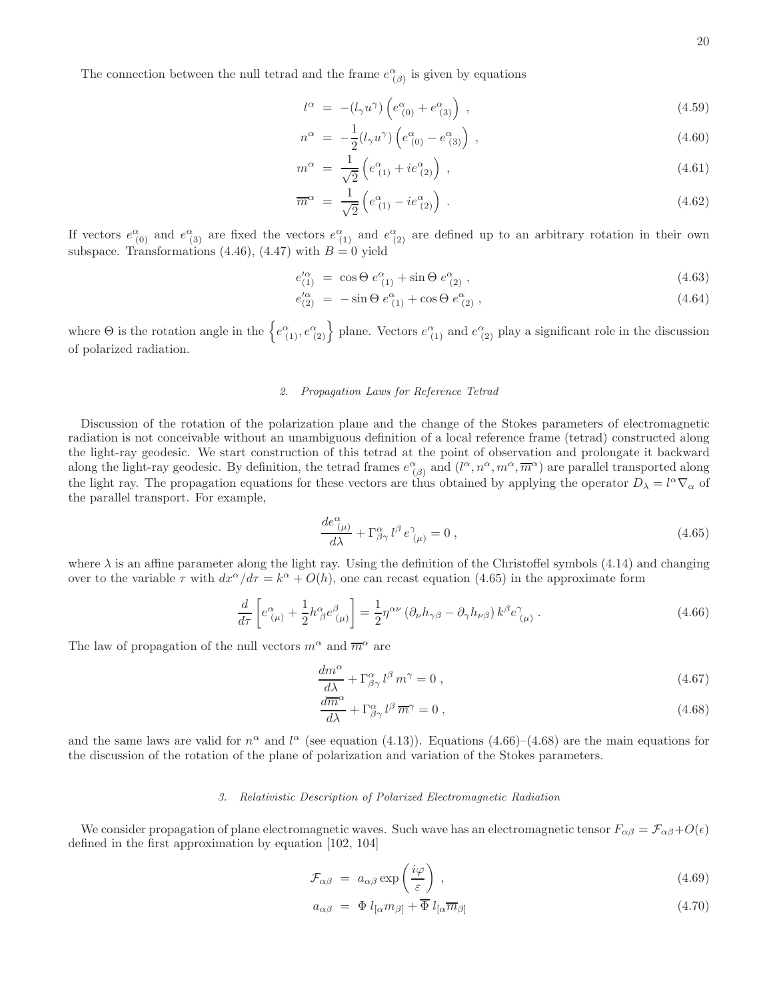The connection between the null tetrad and the frame  $e^{\alpha}_{(\beta)}$  is given by equations

$$
l^{\alpha} = -(l_{\gamma}u^{\gamma})\left(e^{\alpha}_{(0)} + e^{\alpha}_{(3)}\right) , \qquad (4.59)
$$

$$
n^{\alpha} = -\frac{1}{2}(l_{\gamma}u^{\gamma})\left(e^{\alpha}_{(0)} - e^{\alpha}_{(3)}\right) , \qquad (4.60)
$$

$$
m^{\alpha} = \frac{1}{\sqrt{2}} \left( e^{\alpha}_{(1)} + i e^{\alpha}_{(2)} \right) , \qquad (4.61)
$$

$$
\overline{m}^{\alpha} = \frac{1}{\sqrt{2}} \left( e^{\alpha}_{(1)} - i e^{\alpha}_{(2)} \right) . \tag{4.62}
$$

If vectors  $e^{\alpha}_{(0)}$  and  $e^{\alpha}_{(3)}$  are fixed the vectors  $e^{\alpha}_{(1)}$  and  $e^{\alpha}_{(2)}$  are defined up to an arbitrary rotation in their own subspace. Transformations (4.46), (4.47) with  $B = 0$  yield

$$
e_{(1)}^{\prime \alpha} = \cos \Theta \, e_{(1)}^{\alpha} + \sin \Theta \, e_{(2)}^{\alpha} \,, \tag{4.63}
$$

$$
e_{(2)}^{\prime \alpha} = -\sin \Theta \, e_{(1)}^{\alpha} + \cos \Theta \, e_{(2)}^{\alpha} \,, \tag{4.64}
$$

where  $\Theta$  is the rotation angle in the  $\left\{e_{(1)}^{\alpha}, e_{(2)}^{\alpha}\right\}$  plane. Vectors  $e_{(1)}^{\alpha}$  and  $e_{(2)}^{\alpha}$  play a significant role in the discussion of polarized radiation.

### *2. Propagation Laws for Reference Tetrad*

Discussion of the rotation of the polarization plane and the change of the Stokes parameters of electromagnetic radiation is not conceivable without an unambiguous definition of a local reference frame (tetrad) constructed along the light-ray geodesic. We start construction of this tetrad at the point of observation and prolongate it backward along the light-ray geodesic. By definition, the tetrad frames  $e^{\alpha}_{(\beta)}$  and  $(l^{\alpha}, n^{\alpha}, m^{\alpha}, \overline{m}^{\alpha})$  are parallel transported along the light ray. The propagation equations for these vectors are thus obtained by applying the operator  $D_{\lambda} = l^{\alpha} \nabla_{\alpha}$  of the parallel transport. For example,

$$
\frac{de^{\alpha}_{\ (\mu)}}{d\lambda} + \Gamma^{\alpha}_{\beta\gamma} l^{\beta} e^{\gamma}_{\ (\mu)} = 0 , \qquad (4.65)
$$

where  $\lambda$  is an affine parameter along the light ray. Using the definition of the Christoffel symbols (4.14) and changing over to the variable  $\tau$  with  $dx^{\alpha}/d\tau = k^{\alpha} + O(h)$ , one can recast equation (4.65) in the approximate form

$$
\frac{d}{d\tau} \left[ e^{\alpha}_{(\mu)} + \frac{1}{2} h^{\alpha}_{\ \beta} e^{\beta}_{(\mu)} \right] = \frac{1}{2} \eta^{\alpha \nu} \left( \partial_{\nu} h_{\gamma \beta} - \partial_{\gamma} h_{\nu \beta} \right) k^{\beta} e^{\gamma}_{(\mu)} . \tag{4.66}
$$

The law of propagation of the null vectors  $m^{\alpha}$  and  $\overline{m}^{\alpha}$  are

$$
\frac{dm^{\alpha}}{d\lambda} + \Gamma^{\alpha}_{\beta\gamma} l^{\beta} m^{\gamma} = 0 , \qquad (4.67)
$$

$$
\frac{d\overline{m}^{\alpha}}{d\lambda} + \Gamma^{\alpha}_{\beta\gamma} l^{\beta} \overline{m}^{\gamma} = 0 , \qquad (4.68)
$$

and the same laws are valid for  $n^{\alpha}$  and  $l^{\alpha}$  (see equation (4.13)). Equations (4.66)–(4.68) are the main equations for the discussion of the rotation of the plane of polarization and variation of the Stokes parameters.

# *3. Relativistic Description of Polarized Electromagnetic Radiation*

We consider propagation of plane electromagnetic waves. Such wave has an electromagnetic tensor  $F_{\alpha\beta} = \mathcal{F}_{\alpha\beta} + O(\epsilon)$ defined in the first approximation by equation [102, 104]

$$
\mathcal{F}_{\alpha\beta} = a_{\alpha\beta} \exp\left(\frac{i\varphi}{\varepsilon}\right) , \qquad (4.69)
$$

$$
a_{\alpha\beta} = \Phi l_{[\alpha} m_{\beta]} + \overline{\Phi} l_{[\alpha} \overline{m}_{\beta]}
$$
\n(4.70)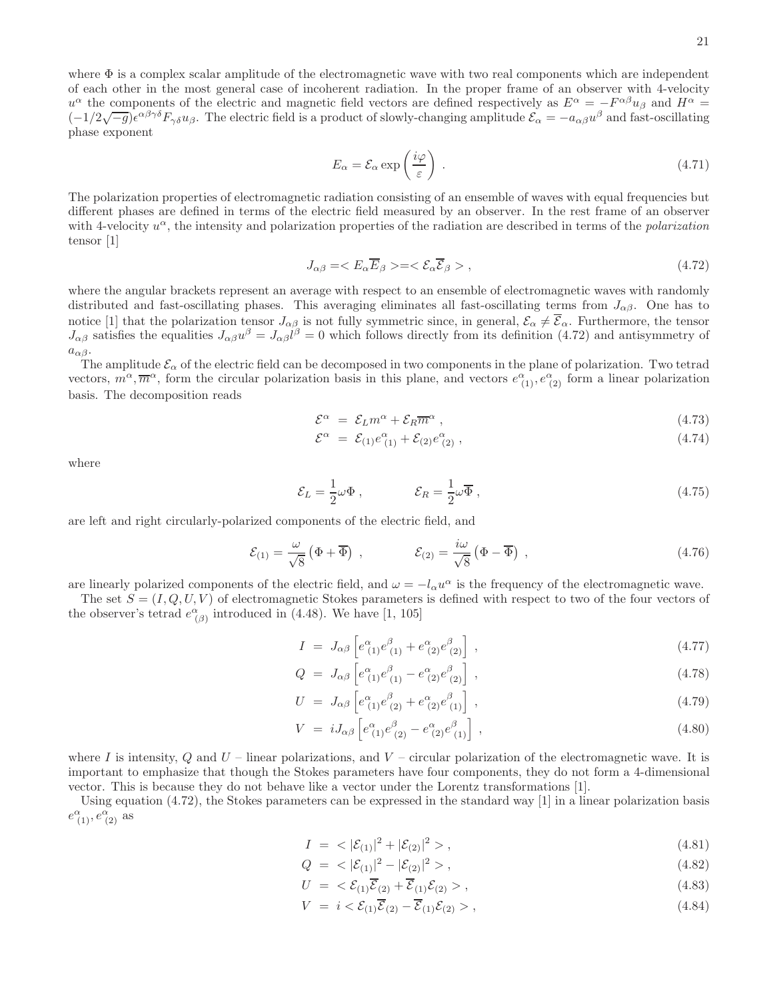where  $\Phi$  is a complex scalar amplitude of the electromagnetic wave with two real components which are independent of each other in the most general case of incoherent radiation. In the proper frame of an observer with 4-velocity  $u^{\alpha}$  the components of the electric and magnetic field vectors are defined respectively as  $E^{\alpha} = -F^{\alpha\beta}u_{\beta}$  and  $H^{\alpha} =$  $(-1/2\sqrt{-g})e^{\alpha\beta\gamma\delta}F_{\gamma\delta}u_{\beta}$ . The electric field is a product of slowly-changing amplitude  $\mathcal{E}_{\alpha} = -a_{\alpha\beta}u^{\beta}$  and fast-oscillating phase exponent

$$
E_{\alpha} = \mathcal{E}_{\alpha} \exp\left(\frac{i\varphi}{\varepsilon}\right) \tag{4.71}
$$

The polarization properties of electromagnetic radiation consisting of an ensemble of waves with equal frequencies but different phases are defined in terms of the electric field measured by an observer. In the rest frame of an observer with 4-velocity  $u^{\alpha}$ , the intensity and polarization properties of the radiation are described in terms of the *polarization* tensor [1]

$$
J_{\alpha\beta} = \langle E_{\alpha} \overline{E}_{\beta} \rangle = \langle \mathcal{E}_{\alpha} \overline{\mathcal{E}}_{\beta} \rangle , \qquad (4.72)
$$

where the angular brackets represent an average with respect to an ensemble of electromagnetic waves with randomly distributed and fast-oscillating phases. This averaging eliminates all fast-oscillating terms from  $J_{\alpha\beta}$ . One has to notice [1] that the polarization tensor  $J_{\alpha\beta}$  is not fully symmetric since, in general,  $\mathcal{E}_{\alpha} \neq \mathcal{E}_{\alpha}$ . Furthermore, the tensor  $J_{\alpha\beta}$  satisfies the equalities  $J_{\alpha\beta}u^{\beta}=J_{\alpha\beta}l^{\beta}=0$  which follows directly from its definition (4.72) and antisymmetry of  $a_{\alpha\beta}$ .

The amplitude  $\mathcal{E}_{\alpha}$  of the electric field can be decomposed in two components in the plane of polarization. Two tetrad vectors,  $m^{\alpha}$ ,  $\overline{m}^{\alpha}$ , form the circular polarization basis in this plane, and vectors  $e^{\alpha}_{(1)}, e^{\alpha}_{(2)}$  form a linear polarization basis. The decomposition reads

$$
\mathcal{E}^{\alpha} = \mathcal{E}_{L} m^{\alpha} + \mathcal{E}_{R} \overline{m}^{\alpha} , \qquad (4.73)
$$

$$
\mathcal{E}^{\alpha} = \mathcal{E}_{(1)} e^{\alpha}_{(1)} + \mathcal{E}_{(2)} e^{\alpha}_{(2)} , \qquad (4.74)
$$

where

$$
\mathcal{E}_L = \frac{1}{2}\omega\Phi\,,\qquad\qquad \mathcal{E}_R = \frac{1}{2}\omega\overline{\Phi}\,,\tag{4.75}
$$

are left and right circularly-polarized components of the electric field, and

$$
\mathcal{E}_{(1)} = \frac{\omega}{\sqrt{8}} \left( \Phi + \overline{\Phi} \right) , \qquad \qquad \mathcal{E}_{(2)} = \frac{i\omega}{\sqrt{8}} \left( \Phi - \overline{\Phi} \right) , \qquad (4.76)
$$

are linearly polarized components of the electric field, and  $\omega = -l_{\alpha}u^{\alpha}$  is the frequency of the electromagnetic wave.

The set  $S = (I, Q, U, V)$  of electromagnetic Stokes parameters is defined with respect to two of the four vectors of the observer's tetrad  $e^{\alpha}_{(\beta)}$  introduced in (4.48). We have [1, 105]

$$
I = J_{\alpha\beta} \left[ e^{\alpha}_{(1)} e^{\beta}_{(1)} + e^{\alpha}_{(2)} e^{\beta}_{(2)} \right],
$$
\n(4.77)

$$
Q = J_{\alpha\beta} \left[ e^{\alpha}_{(1)} e^{\beta}_{(1)} - e^{\alpha}_{(2)} e^{\beta}_{(2)} \right] , \qquad (4.78)
$$

$$
U = J_{\alpha\beta} \left[ e^{\alpha}_{(1)} e^{\beta}_{(2)} + e^{\alpha}_{(2)} e^{\beta}_{(1)} \right], \qquad (4.79)
$$

$$
V = iJ_{\alpha\beta} \left[ e^{\alpha}_{(1)} e^{\beta}_{(2)} - e^{\alpha}_{(2)} e^{\beta}_{(1)} \right],
$$
\n(4.80)

where I is intensity, Q and  $U$  – linear polarizations, and  $V$  – circular polarization of the electromagnetic wave. It is important to emphasize that though the Stokes parameters have four components, they do not form a 4-dimensional vector. This is because they do not behave like a vector under the Lorentz transformations [1].

Using equation (4.72), the Stokes parameters can be expressed in the standard way [1] in a linear polarization basis  $e^{\alpha}_{(1)}, e^{\alpha}_{(2)}$  as

$$
I = \langle |\mathcal{E}_{(1)}|^2 + |\mathcal{E}_{(2)}|^2 \rangle, \tag{4.81}
$$

$$
Q = \langle |\mathcal{E}_{(1)}|^2 - |\mathcal{E}_{(2)}|^2 \rangle, \tag{4.82}
$$

$$
U = \langle \mathcal{E}_{(1)} \overline{\mathcal{E}}_{(2)} + \overline{\mathcal{E}}_{(1)} \mathcal{E}_{(2)} \rangle, \qquad (4.83)
$$

$$
V = i < \mathcal{E}_{(1)}\overline{\mathcal{E}}_{(2)} - \overline{\mathcal{E}}_{(1)}\mathcal{E}_{(2)} > ,\tag{4.84}
$$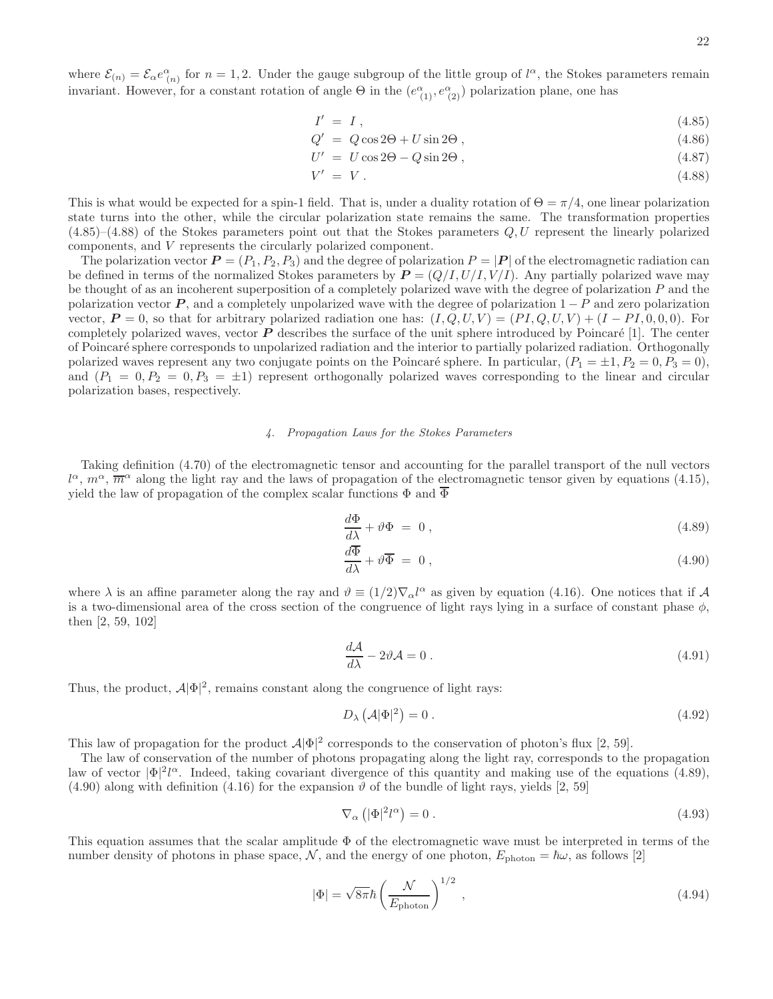where  $\mathcal{E}_{(n)} = \mathcal{E}_{\alpha} e^{\alpha}_{(n)}$  for  $n = 1, 2$ . Under the gauge subgroup of the little group of  $l^{\alpha}$ , the Stokes parameters remain invariant. However, for a constant rotation of angle  $\Theta$  in the  $(e^{\alpha}_{(1)}, e^{\alpha}_{(2)})$  polarization plane, one has

$$
I' = I \tag{4.85}
$$

$$
Q' = Q\cos 2\Theta + U\sin 2\Theta, \qquad (4.86)
$$

$$
U' = U\cos 2\Theta - Q\sin 2\Theta ,\qquad (4.87)
$$

$$
V' = V. \tag{4.88}
$$

This is what would be expected for a spin-1 field. That is, under a duality rotation of  $\Theta = \pi/4$ , one linear polarization state turns into the other, while the circular polarization state remains the same. The transformation properties  $(4.85)$ – $(4.88)$  of the Stokes parameters point out that the Stokes parameters  $Q, U$  represent the linearly polarized components, and V represents the circularly polarized component.

The polarization vector  $P = (P_1, P_2, P_3)$  and the degree of polarization  $P = |P|$  of the electromagnetic radiation can be defined in terms of the normalized Stokes parameters by  $P = (Q/I, U/I, V/I)$ . Any partially polarized wave may be thought of as an incoherent superposition of a completely polarized wave with the degree of polarization P and the polarization vector  $P$ , and a completely unpolarized wave with the degree of polarization  $1 - P$  and zero polarization vector,  $P = 0$ , so that for arbitrary polarized radiation one has:  $(I, Q, U, V) = (PI, Q, U, V) + (I - PI, 0, 0, 0)$ . For completely polarized waves, vector  $P$  describes the surface of the unit sphere introduced by Poincaré [1]. The center of Poincar´e sphere corresponds to unpolarized radiation and the interior to partially polarized radiation. Orthogonally polarized waves represent any two conjugate points on the Poincaré sphere. In particular,  $(P_1 = \pm 1, P_2 = 0, P_3 = 0)$ , and  $(P_1 = 0, P_2 = 0, P_3 = \pm 1)$  represent orthogonally polarized waves corresponding to the linear and circular polarization bases, respectively.

### *4. Propagation Laws for the Stokes Parameters*

Taking definition (4.70) of the electromagnetic tensor and accounting for the parallel transport of the null vectors  $l^{\alpha}, m^{\alpha}, \overline{m}^{\alpha}$  along the light ray and the laws of propagation of the electromagnetic tensor given by equations (4.15), yield the law of propagation of the complex scalar functions  $\Phi$  and  $\overline{\Phi}$ 

$$
\frac{d\Phi}{d\lambda} + \vartheta \Phi = 0, \qquad (4.89)
$$

$$
\frac{d\Phi}{d\lambda} + \vartheta \overline{\Phi} = 0 , \qquad (4.90)
$$

where  $\lambda$  is an affine parameter along the ray and  $\vartheta \equiv (1/2)\nabla_{\alpha}l^{\alpha}$  as given by equation (4.16). One notices that if A is a two-dimensional area of the cross section of the congruence of light rays lying in a surface of constant phase  $\phi$ , then [2, 59, 102]

$$
\frac{d\mathcal{A}}{d\lambda} - 2\vartheta \mathcal{A} = 0 \tag{4.91}
$$

Thus, the product,  $\mathcal{A}|\Phi|^2$ , remains constant along the congruence of light rays:

$$
D_{\lambda}\left(\mathcal{A}|\Phi|^2\right) = 0\,. \tag{4.92}
$$

This law of propagation for the product  $\mathcal{A}|\Phi|^2$  corresponds to the conservation of photon's flux [2, 59].

The law of conservation of the number of photons propagating along the light ray, corresponds to the propagation law of vector  $|\Phi|^2 l^{\alpha}$ . Indeed, taking covariant divergence of this quantity and making use of the equations (4.89),  $(4.90)$  along with definition  $(4.16)$  for the expansion  $\vartheta$  of the bundle of light rays, yields [2, 59]

$$
\nabla_{\alpha} \left( |\Phi|^2 l^{\alpha} \right) = 0 \,. \tag{4.93}
$$

This equation assumes that the scalar amplitude  $\Phi$  of the electromagnetic wave must be interpreted in terms of the number density of photons in phase space, N, and the energy of one photon,  $E_{\text{photon}} = \hbar \omega$ , as follows [2]

$$
|\Phi| = \sqrt{8\pi}\hbar \left(\frac{\mathcal{N}}{E_{\text{photon}}}\right)^{1/2},\qquad(4.94)
$$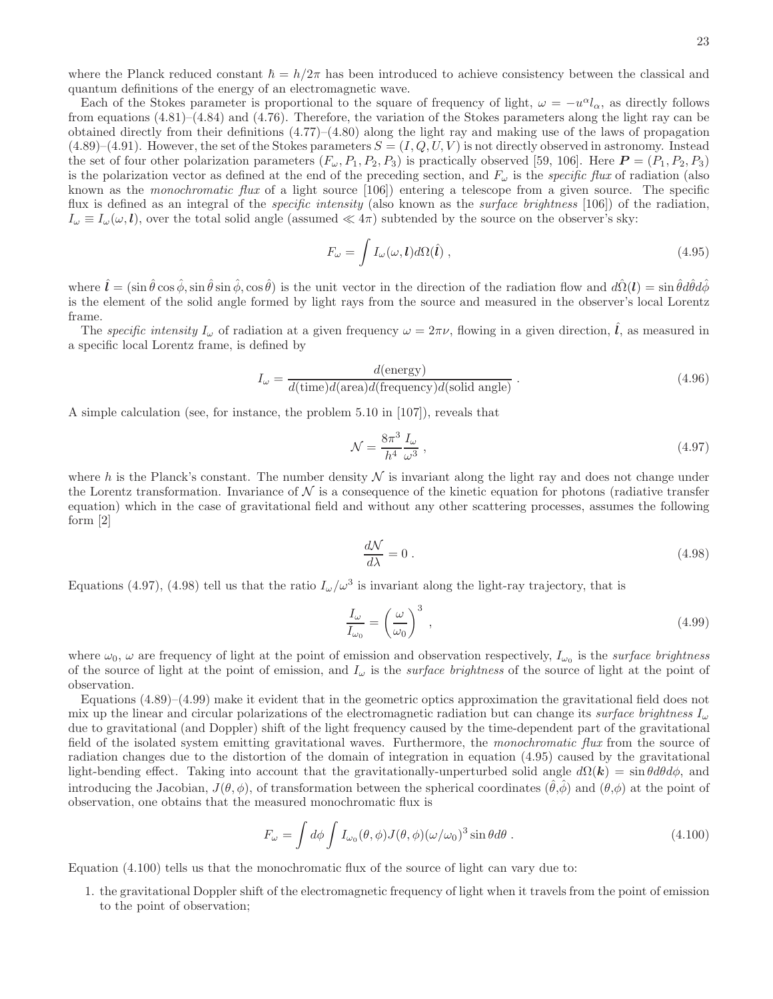where the Planck reduced constant  $\hbar = h/2\pi$  has been introduced to achieve consistency between the classical and quantum definitions of the energy of an electromagnetic wave.

Each of the Stokes parameter is proportional to the square of frequency of light,  $\omega = -u^{\alpha}l_{\alpha}$ , as directly follows from equations (4.81)–(4.84) and (4.76). Therefore, the variation of the Stokes parameters along the light ray can be obtained directly from their definitions  $(4.77)$ – $(4.80)$  along the light ray and making use of the laws of propagation  $(4.89)$ – $(4.91)$ . However, the set of the Stokes parameters  $S = (I, Q, U, V)$  is not directly observed in astronomy. Instead the set of four other polarization parameters  $(F_{\omega}, P_1, P_2, P_3)$  is practically observed [59, 106]. Here  $P = (P_1, P_2, P_3)$ is the polarization vector as defined at the end of the preceding section, and  $F_{\omega}$  is the *specific flux* of radiation (also known as the monochromatic flux of a light source [106]) entering a telescope from a given source. The specific flux is defined as an integral of the *specific intensity* (also known as the *surface brightness* [106]) of the radiation,  $I_{\omega} \equiv I_{\omega}(\omega, l)$ , over the total solid angle (assumed  $\ll 4\pi$ ) subtended by the source on the observer's sky:

$$
F_{\omega} = \int I_{\omega}(\omega, \mathbf{l}) d\Omega(\hat{\mathbf{l}}) , \qquad (4.95)
$$

where  $\hat{\mathbf{l}} = (\sin \hat{\theta} \cos \hat{\phi}, \sin \hat{\theta} \sin \hat{\phi}, \cos \hat{\theta})$  is the unit vector in the direction of the radiation flow and  $d\hat{\Omega}(\mathbf{l}) = \sin \hat{\theta} d\hat{\theta} d\hat{\phi}$ is the element of the solid angle formed by light rays from the source and measured in the observer's local Lorentz frame.

The specific intensity  $I_{\omega}$  of radiation at a given frequency  $\omega = 2\pi\nu$ , flowing in a given direction,  $\hat{l}$ , as measured in a specific local Lorentz frame, is defined by

$$
I_{\omega} = \frac{d(\text{energy})}{d(\text{time})d(\text{area})d(\text{frequency})d(\text{solid angle})} \,. \tag{4.96}
$$

A simple calculation (see, for instance, the problem 5.10 in [107]), reveals that

$$
\mathcal{N} = \frac{8\pi^3}{h^4} \frac{I_{\omega}}{\omega^3} \,,\tag{4.97}
$$

where h is the Planck's constant. The number density  $\mathcal N$  is invariant along the light ray and does not change under the Lorentz transformation. Invariance of  $N$  is a consequence of the kinetic equation for photons (radiative transfer equation) which in the case of gravitational field and without any other scattering processes, assumes the following form [2]

$$
\frac{d\mathcal{N}}{d\lambda} = 0\,. \tag{4.98}
$$

Equations (4.97), (4.98) tell us that the ratio  $I_{\omega}/\omega^3$  is invariant along the light-ray trajectory, that is

$$
\frac{I_{\omega}}{I_{\omega_0}} = \left(\frac{\omega}{\omega_0}\right)^3 \,,\tag{4.99}
$$

where  $\omega_0$ ,  $\omega$  are frequency of light at the point of emission and observation respectively,  $I_{\omega_0}$  is the *surface brightness* of the source of light at the point of emission, and  $I_\omega$  is the *surface brightness* of the source of light at the point of observation.

Equations (4.89)–(4.99) make it evident that in the geometric optics approximation the gravitational field does not mix up the linear and circular polarizations of the electromagnetic radiation but can change its surface brightness  $I_{\omega}$ due to gravitational (and Doppler) shift of the light frequency caused by the time-dependent part of the gravitational field of the isolated system emitting gravitational waves. Furthermore, the monochromatic flux from the source of radiation changes due to the distortion of the domain of integration in equation (4.95) caused by the gravitational light-bending effect. Taking into account that the gravitationally-unperturbed solid angle  $d\Omega(k) = \sin\theta d\theta d\phi$ , and introducing the Jacobian,  $J(\theta, \phi)$ , of transformation between the spherical coordinates  $(\hat{\theta}, \hat{\phi})$  and  $(\theta, \phi)$  at the point of observation, one obtains that the measured monochromatic flux is

$$
F_{\omega} = \int d\phi \int I_{\omega_0}(\theta, \phi) J(\theta, \phi) (\omega/\omega_0)^3 \sin \theta d\theta . \qquad (4.100)
$$

Equation (4.100) tells us that the monochromatic flux of the source of light can vary due to:

1. the gravitational Doppler shift of the electromagnetic frequency of light when it travels from the point of emission to the point of observation;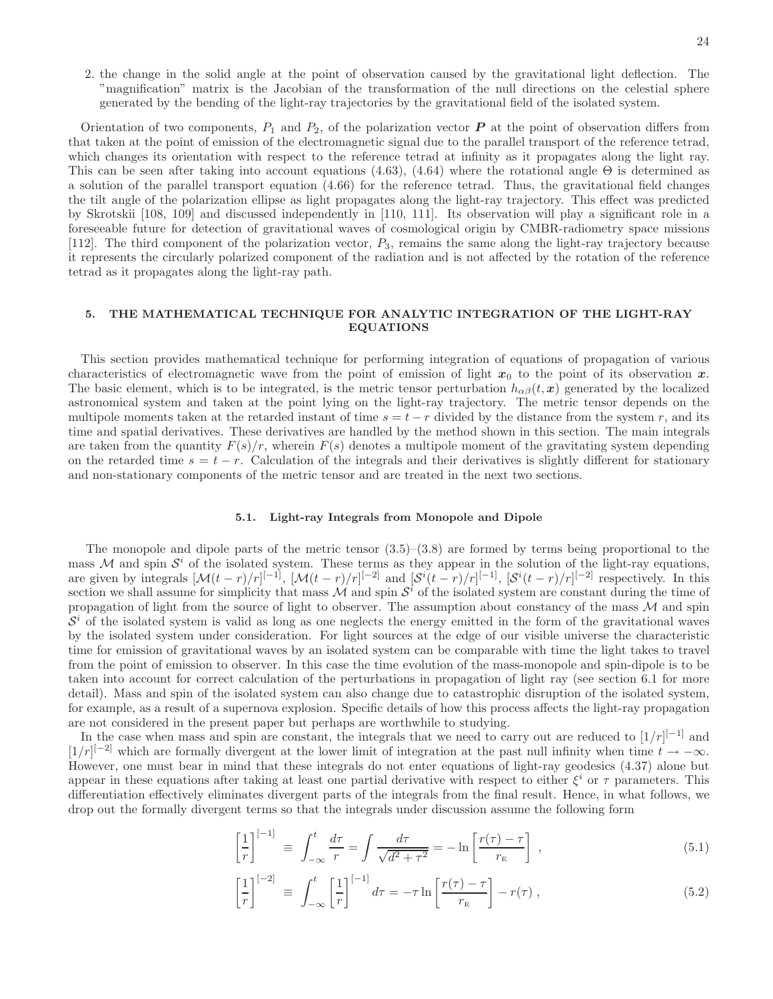2. the change in the solid angle at the point of observation caused by the gravitational light deflection. The "magnification" matrix is the Jacobian of the transformation of the null directions on the celestial sphere generated by the bending of the light-ray trajectories by the gravitational field of the isolated system.

Orientation of two components,  $P_1$  and  $P_2$ , of the polarization vector  $\bf{P}$  at the point of observation differs from that taken at the point of emission of the electromagnetic signal due to the parallel transport of the reference tetrad, which changes its orientation with respect to the reference tetrad at infinity as it propagates along the light ray. This can be seen after taking into account equations (4.63), (4.64) where the rotational angle  $\Theta$  is determined as a solution of the parallel transport equation (4.66) for the reference tetrad. Thus, the gravitational field changes the tilt angle of the polarization ellipse as light propagates along the light-ray trajectory. This effect was predicted by Skrotskii [108, 109] and discussed independently in [110, 111]. Its observation will play a significant role in a foreseeable future for detection of gravitational waves of cosmological origin by CMBR-radiometry space missions [112]. The third component of the polarization vector, P3, remains the same along the light-ray trajectory because it represents the circularly polarized component of the radiation and is not affected by the rotation of the reference tetrad as it propagates along the light-ray path.

# 5. THE MATHEMATICAL TECHNIQUE FOR ANALYTIC INTEGRATION OF THE LIGHT-RAY EQUATIONS

This section provides mathematical technique for performing integration of equations of propagation of various characteristics of electromagnetic wave from the point of emission of light  $x_0$  to the point of its observation x. The basic element, which is to be integrated, is the metric tensor perturbation  $h_{\alpha\beta}(t, x)$  generated by the localized astronomical system and taken at the point lying on the light-ray trajectory. The metric tensor depends on the multipole moments taken at the retarded instant of time  $s = t - r$  divided by the distance from the system r, and its time and spatial derivatives. These derivatives are handled by the method shown in this section. The main integrals are taken from the quantity  $F(s)/r$ , wherein  $F(s)$  denotes a multipole moment of the gravitating system depending on the retarded time  $s = t - r$ . Calculation of the integrals and their derivatives is slightly different for stationary and non-stationary components of the metric tensor and are treated in the next two sections.

#### 5.1. Light-ray Integrals from Monopole and Dipole

The monopole and dipole parts of the metric tensor  $(3.5)-(3.8)$  are formed by terms being proportional to the mass M and spin  $\mathcal{S}^i$  of the isolated system. These terms as they appear in the solution of the light-ray equations, are given by integrals  $[\mathcal{M}(t-r)/r]^{[-1]}$ ,  $[\mathcal{M}(t-r)/r]^{[-2]}$  and  $[\mathcal{S}^i(t-r)/r]^{[-1]}$ ,  $[\mathcal{S}^i(t-r)/r]^{[-2]}$  respectively. In this section we shall assume for simplicity that mass  $\mathcal M$  and spin  $\mathcal S^i$  of the isolated system are constant during the time of propagation of light from the source of light to observer. The assumption about constancy of the mass  $M$  and spin  $S<sup>i</sup>$  of the isolated system is valid as long as one neglects the energy emitted in the form of the gravitational waves by the isolated system under consideration. For light sources at the edge of our visible universe the characteristic time for emission of gravitational waves by an isolated system can be comparable with time the light takes to travel from the point of emission to observer. In this case the time evolution of the mass-monopole and spin-dipole is to be taken into account for correct calculation of the perturbations in propagation of light ray (see section 6.1 for more detail). Mass and spin of the isolated system can also change due to catastrophic disruption of the isolated system, for example, as a result of a supernova explosion. Specific details of how this process affects the light-ray propagation are not considered in the present paper but perhaps are worthwhile to studying.

In the case when mass and spin are constant, the integrals that we need to carry out are reduced to  $[1/r]^{[-1]}$  and  $[1/r]^{[-2]}$  which are formally divergent at the lower limit of integration at the past null infinity when time  $t \to -\infty$ . However, one must bear in mind that these integrals do not enter equations of light-ray geodesics (4.37) alone but appear in these equations after taking at least one partial derivative with respect to either  $\xi^i$  or  $\tau$  parameters. This differentiation effectively eliminates divergent parts of the integrals from the final result. Hence, in what follows, we drop out the formally divergent terms so that the integrals under discussion assume the following form

$$
\left[\frac{1}{r}\right]^{[-1]} \equiv \int_{-\infty}^{t} \frac{d\tau}{r} = \int \frac{d\tau}{\sqrt{d^2 + \tau^2}} = -\ln\left[\frac{r(\tau) - \tau}{r_{\rm E}}\right],\tag{5.1}
$$

$$
\left[\frac{1}{r}\right]^{[-2]} \equiv \int_{-\infty}^{t} \left[\frac{1}{r}\right]^{[-1]} d\tau = -\tau \ln\left[\frac{r(\tau) - \tau}{r_{\rm E}}\right] - r(\tau) ,\qquad (5.2)
$$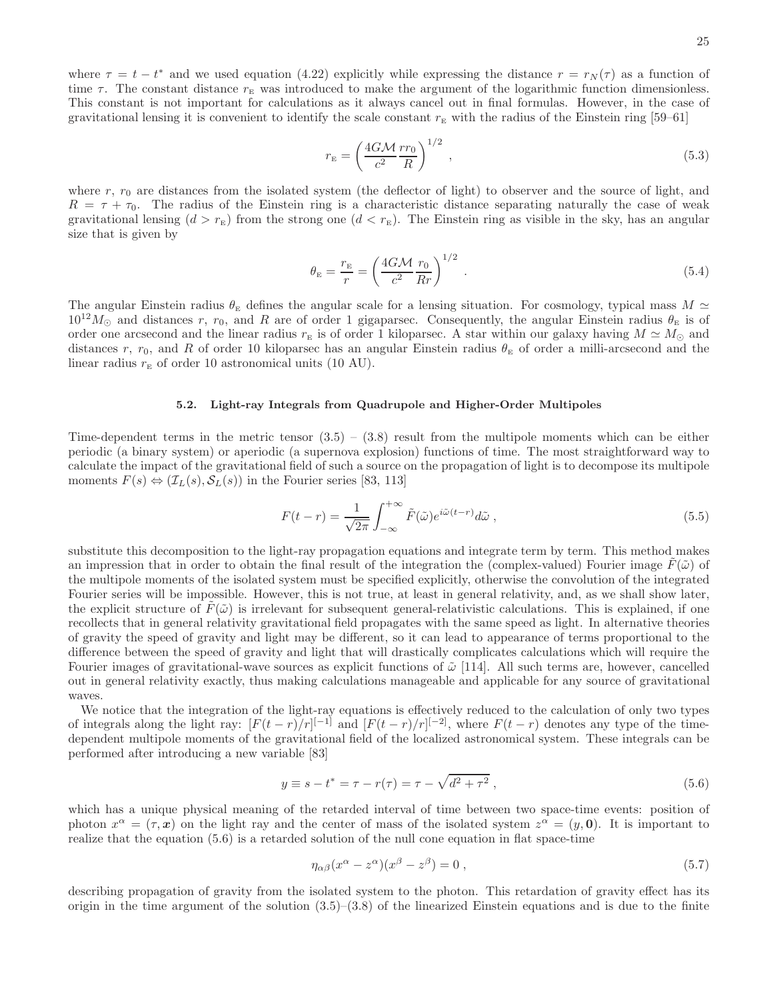25

where  $\tau = t - t^*$  and we used equation (4.22) explicitly while expressing the distance  $r = r_N(\tau)$  as a function of time  $\tau$ . The constant distance  $r_{\text{E}}$  was introduced to make the argument of the logarithmic function dimensionless. This constant is not important for calculations as it always cancel out in final formulas. However, in the case of gravitational lensing it is convenient to identify the scale constant  $r_{\rm E}$  with the radius of the Einstein ring [59–61]

$$
r_{\rm E} = \left(\frac{4GM}{c^2} \frac{rr_0}{R}\right)^{1/2} \,,\tag{5.3}
$$

where  $r$ ,  $r_0$  are distances from the isolated system (the deflector of light) to observer and the source of light, and  $R = \tau + \tau_0$ . The radius of the Einstein ring is a characteristic distance separating naturally the case of weak gravitational lensing  $(d > r<sub>E</sub>)$  from the strong one  $(d < r<sub>E</sub>)$ . The Einstein ring as visible in the sky, has an angular size that is given by

$$
\theta_{\rm E} = \frac{r_{\rm E}}{r} = \left(\frac{4GM}{c^2} \frac{r_0}{Rr}\right)^{1/2} \,. \tag{5.4}
$$

The angular Einstein radius  $\theta_{\rm E}$  defines the angular scale for a lensing situation. For cosmology, typical mass  $M \simeq$  $10^{12}M_{\odot}$  and distances r, r<sub>0</sub>, and R are of order 1 gigaparsec. Consequently, the angular Einstein radius  $\theta_{\rm E}$  is of order one arcsecond and the linear radius  $r<sub>E</sub>$  is of order 1 kiloparsec. A star within our galaxy having  $M \simeq M_{\odot}$  and distances r, r<sub>0</sub>, and R of order 10 kiloparsec has an angular Einstein radius  $\theta_{\rm E}$  of order a milli-arcsecond and the linear radius  $r_{\rm E}$  of order 10 astronomical units (10 AU).

#### 5.2. Light-ray Integrals from Quadrupole and Higher-Order Multipoles

Time-dependent terms in the metric tensor  $(3.5) - (3.8)$  result from the multipole moments which can be either periodic (a binary system) or aperiodic (a supernova explosion) functions of time. The most straightforward way to calculate the impact of the gravitational field of such a source on the propagation of light is to decompose its multipole moments  $F(s) \Leftrightarrow (\mathcal{I}_L(s), \mathcal{S}_L(s))$  in the Fourier series [83, 113]

$$
F(t-r) = \frac{1}{\sqrt{2\pi}} \int_{-\infty}^{+\infty} \tilde{F}(\tilde{\omega}) e^{i\tilde{\omega}(t-r)} d\tilde{\omega}, \qquad (5.5)
$$

substitute this decomposition to the light-ray propagation equations and integrate term by term. This method makes an impression that in order to obtain the final result of the integration the (complex-valued) Fourier image  $F(\tilde{\omega})$  of the multipole moments of the isolated system must be specified explicitly, otherwise the convolution of the integrated Fourier series will be impossible. However, this is not true, at least in general relativity, and, as we shall show later, the explicit structure of  $F(\tilde{\omega})$  is irrelevant for subsequent general-relativistic calculations. This is explained, if one recollects that in general relativity gravitational field propagates with the same speed as light. In alternative theories of gravity the speed of gravity and light may be different, so it can lead to appearance of terms proportional to the difference between the speed of gravity and light that will drastically complicates calculations which will require the Fourier images of gravitational-wave sources as explicit functions of  $\tilde{\omega}$  [114]. All such terms are, however, cancelled out in general relativity exactly, thus making calculations manageable and applicable for any source of gravitational waves.

We notice that the integration of the light-ray equations is effectively reduced to the calculation of only two types of integrals along the light ray:  $[F(t-r)/r]^{[-1]}$  and  $[F(t-r)/r]^{[-2]}$ , where  $F(t-r)$  denotes any type of the timedependent multipole moments of the gravitational field of the localized astronomical system. These integrals can be performed after introducing a new variable [83]

$$
y \equiv s - t^* = \tau - r(\tau) = \tau - \sqrt{d^2 + \tau^2} \,,\tag{5.6}
$$

which has a unique physical meaning of the retarded interval of time between two space-time events: position of photon  $x^{\alpha} = (\tau, x)$  on the light ray and the center of mass of the isolated system  $z^{\alpha} = (y, 0)$ . It is important to realize that the equation (5.6) is a retarded solution of the null cone equation in flat space-time

$$
\eta_{\alpha\beta}(x^{\alpha} - z^{\alpha})(x^{\beta} - z^{\beta}) = 0 , \qquad (5.7)
$$

describing propagation of gravity from the isolated system to the photon. This retardation of gravity effect has its origin in the time argument of the solution  $(3.5)-(3.8)$  of the linearized Einstein equations and is due to the finite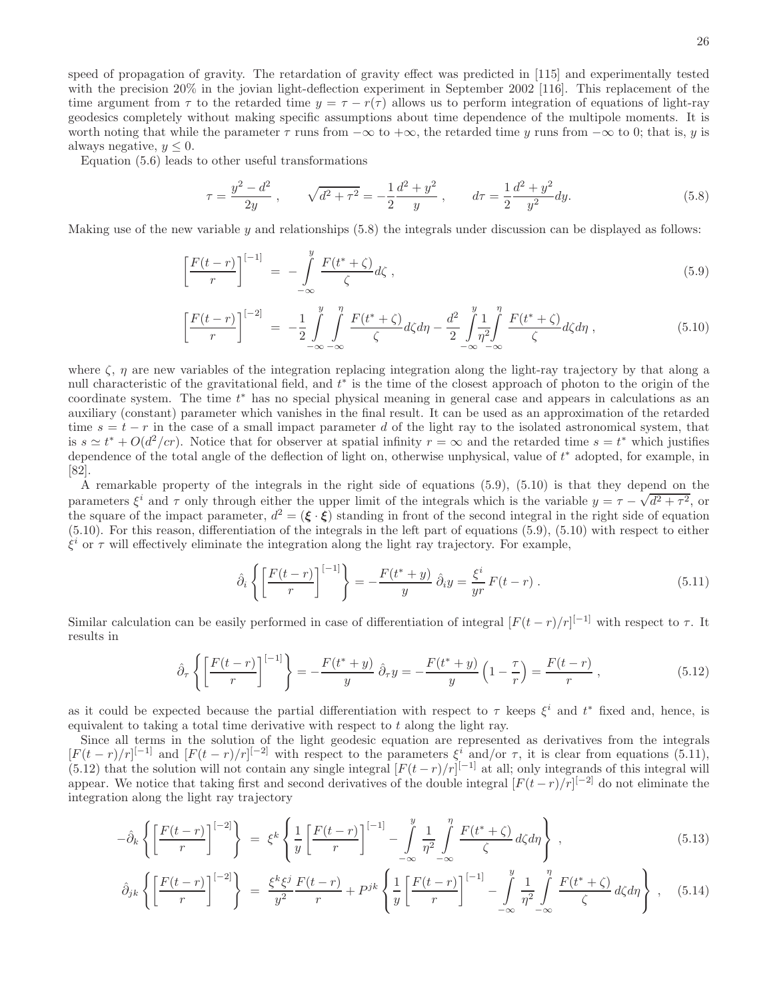speed of propagation of gravity. The retardation of gravity effect was predicted in [115] and experimentally tested with the precision 20% in the jovian light-deflection experiment in September 2002 [116]. This replacement of the time argument from  $\tau$  to the retarded time  $y = \tau - r(\tau)$  allows us to perform integration of equations of light-ray geodesics completely without making specific assumptions about time dependence of the multipole moments. It is worth noting that while the parameter  $\tau$  runs from  $-\infty$  to  $+\infty$ , the retarded time y runs from  $-\infty$  to 0; that is, y is always negative,  $y \leq 0$ .

Equation (5.6) leads to other useful transformations

$$
\tau = \frac{y^2 - d^2}{2y}, \qquad \sqrt{d^2 + \tau^2} = -\frac{1}{2}\frac{d^2 + y^2}{y}, \qquad d\tau = \frac{1}{2}\frac{d^2 + y^2}{y^2}dy.
$$
\n(5.8)

Making use of the new variable  $y$  and relationships  $(5.8)$  the integrals under discussion can be displayed as follows:

$$
\left[\frac{F(t-r)}{r}\right]^{[-1]} = -\int\limits_{-\infty}^{y} \frac{F(t^*+\zeta)}{\zeta} d\zeta ,\qquad (5.9)
$$

$$
\left[\frac{F(t-r)}{r}\right]^{[-2]} = -\frac{1}{2} \int_{-\infty}^{y} \int_{-\infty}^{\eta} \frac{F(t^*+\zeta)}{\zeta} d\zeta d\eta - \frac{d^2}{2} \int_{-\infty}^{y} \frac{1}{\eta^2} \int_{-\infty}^{\eta} \frac{F(t^*+\zeta)}{\zeta} d\zeta d\eta ,
$$
\n(5.10)

where  $\zeta$ ,  $\eta$  are new variables of the integration replacing integration along the light-ray trajectory by that along a null characteristic of the gravitational field, and  $t^*$  is the time of the closest approach of photon to the origin of the coordinate system. The time  $t^*$  has no special physical meaning in general case and appears in calculations as an auxiliary (constant) parameter which vanishes in the final result. It can be used as an approximation of the retarded time  $s = t - r$  in the case of a small impact parameter d of the light ray to the isolated astronomical system, that is  $s \simeq t^* + O(d^2/cr)$ . Notice that for observer at spatial infinity  $r = \infty$  and the retarded time  $s = t^*$  which justifies dependence of the total angle of the deflection of light on, otherwise unphysical, value of  $t^*$  adopted, for example, in [82].

A remarkable property of the integrals in the right side of equations (5.9), (5.10) is that they depend on the parameters  $\xi^i$  and  $\tau$  only through either the upper limit of the integrals which is the variable  $y = \tau - \sqrt{d^2 + \tau^2}$ , or the square of the impact parameter,  $d^2 = (\xi \cdot \xi)$  standing in front of the second integral in the right side of equation (5.10). For this reason, differentiation of the integrals in the left part of equations (5.9), (5.10) with respect to either  $\xi^i$  or  $\tau$  will effectively eliminate the integration along the light ray trajectory. For example,

$$
\hat{\partial}_i \left\{ \left[ \frac{F(t-r)}{r} \right]^{[-1]} \right\} = -\frac{F(t^*+y)}{y} \hat{\partial}_i y = \frac{\xi^i}{yr} F(t-r) . \tag{5.11}
$$

Similar calculation can be easily performed in case of differentiation of integral  $[F(t - r)/r]^{[-1]}$  with respect to  $\tau$ . It results in

$$
\hat{\partial}_{\tau}\left\{ \left[\frac{F(t-r)}{r}\right]^{[-1]} \right\} = -\frac{F(t^*+y)}{y} \hat{\partial}_{\tau}y = -\frac{F(t^*+y)}{y} \left(1 - \frac{\tau}{r}\right) = \frac{F(t-r)}{r},\tag{5.12}
$$

as it could be expected because the partial differentiation with respect to  $\tau$  keeps  $\xi^i$  and  $t^*$  fixed and, hence, is equivalent to taking a total time derivative with respect to t along the light ray.

Since all terms in the solution of the light geodesic equation are represented as derivatives from the integrals  $[F(t-r)/r]^{[-1]}$  and  $[F(t-r)/r]^{[-2]}$  with respect to the parameters  $\xi^{i}$  and/or  $\tau$ , it is clear from equations (5.11), (5.12) that the solution will not contain any single integral  $[F(t-r)/r]^{[-1]}$  at all; only integrands of this integral will appear. We notice that taking first and second derivatives of the double integral  $[F(t-r)/r]^{[-2]}$  do not eliminate the integration along the light ray trajectory

$$
-\hat{\partial}_k \left\{ \left[ \frac{F(t-r)}{r} \right]^{[-2]} \right\} = \xi^k \left\{ \frac{1}{y} \left[ \frac{F(t-r)}{r} \right]^{[-1]} - \int\limits_{-\infty}^y \frac{1}{\eta^2} \int\limits_{-\infty}^\eta \frac{F(t^* + \zeta)}{\zeta} d\zeta d\eta \right\} ,\tag{5.13}
$$

$$
\hat{\partial}_{jk}\left\{\left[\frac{F(t-r)}{r}\right]^{[-2]}\right\} = \frac{\xi^k \xi^j}{y^2} \frac{F(t-r)}{r} + P^{jk}\left\{\frac{1}{y}\left[\frac{F(t-r)}{r}\right]^{[-1]} - \int\limits_{-\infty}^y \frac{1}{\eta^2} \int\limits_{-\infty}^{\eta} \frac{F(t^*+\zeta)}{\zeta} d\zeta d\eta\right\}, \quad (5.14)
$$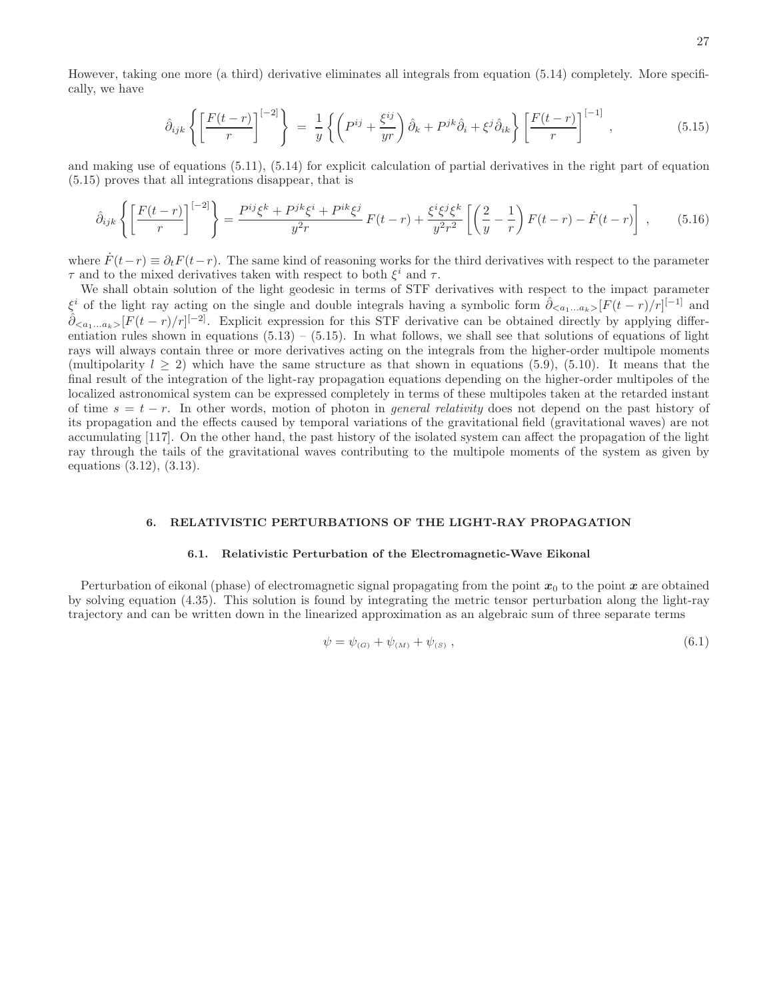However, taking one more (a third) derivative eliminates all integrals from equation (5.14) completely. More specifically, we have

$$
\hat{\partial}_{ijk} \left\{ \left[ \frac{F(t-r)}{r} \right]^{[-2]} \right\} = \frac{1}{y} \left\{ \left( P^{ij} + \frac{\xi^{ij}}{yr} \right) \hat{\partial}_k + P^{jk} \hat{\partial}_i + \xi^j \hat{\partial}_{ik} \right\} \left[ \frac{F(t-r)}{r} \right]^{[-1]}, \tag{5.15}
$$

and making use of equations (5.11), (5.14) for explicit calculation of partial derivatives in the right part of equation (5.15) proves that all integrations disappear, that is

$$
\hat{\partial}_{ijk}\left\{\left[\frac{F(t-r)}{r}\right]^{[-2]}\right\} = \frac{P^{ij}\xi^k + P^{jk}\xi^i + P^{ik}\xi^j}{y^2r}F(t-r) + \frac{\xi^i\xi^j\xi^k}{y^2r^2}\left[\left(\frac{2}{y}-\frac{1}{r}\right)F(t-r) - \dot{F}(t-r)\right],\tag{5.16}
$$

where  $\dot{F}(t-r) \equiv \partial_t F(t-r)$ . The same kind of reasoning works for the third derivatives with respect to the parameter  $\tau$  and to the mixed derivatives taken with respect to both  $\xi^i$  and  $\tau$ .

We shall obtain solution of the light geodesic in terms of STF derivatives with respect to the impact parameter  $\xi^i$  of the light ray acting on the single and double integrals having a symbolic form  $\hat{\partial}_{\langle a_1...a_k\rangle}[F(t-r)/r]^{[-1]}$  and  $\hat{\partial}_{\langle a_1...a_k\rangle}[F(t-r)/r]^{[-2]}$ . Explicit expression for this STF derivative can be obtained directly by applying differentiation rules shown in equations  $(5.13) - (5.15)$ . In what follows, we shall see that solutions of equations of light rays will always contain three or more derivatives acting on the integrals from the higher-order multipole moments (multipolarity  $l > 2$ ) which have the same structure as that shown in equations (5.9), (5.10). It means that the final result of the integration of the light-ray propagation equations depending on the higher-order multipoles of the localized astronomical system can be expressed completely in terms of these multipoles taken at the retarded instant of time  $s = t - r$ . In other words, motion of photon in *general relativity* does not depend on the past history of its propagation and the effects caused by temporal variations of the gravitational field (gravitational waves) are not accumulating [117]. On the other hand, the past history of the isolated system can affect the propagation of the light ray through the tails of the gravitational waves contributing to the multipole moments of the system as given by equations (3.12), (3.13).

#### 6. RELATIVISTIC PERTURBATIONS OF THE LIGHT-RAY PROPAGATION

### 6.1. Relativistic Perturbation of the Electromagnetic-Wave Eikonal

Perturbation of eikonal (phase) of electromagnetic signal propagating from the point  $x_0$  to the point x are obtained by solving equation (4.35). This solution is found by integrating the metric tensor perturbation along the light-ray trajectory and can be written down in the linearized approximation as an algebraic sum of three separate terms

$$
\psi = \psi_{(G)} + \psi_{(M)} + \psi_{(S)} , \qquad (6.1)
$$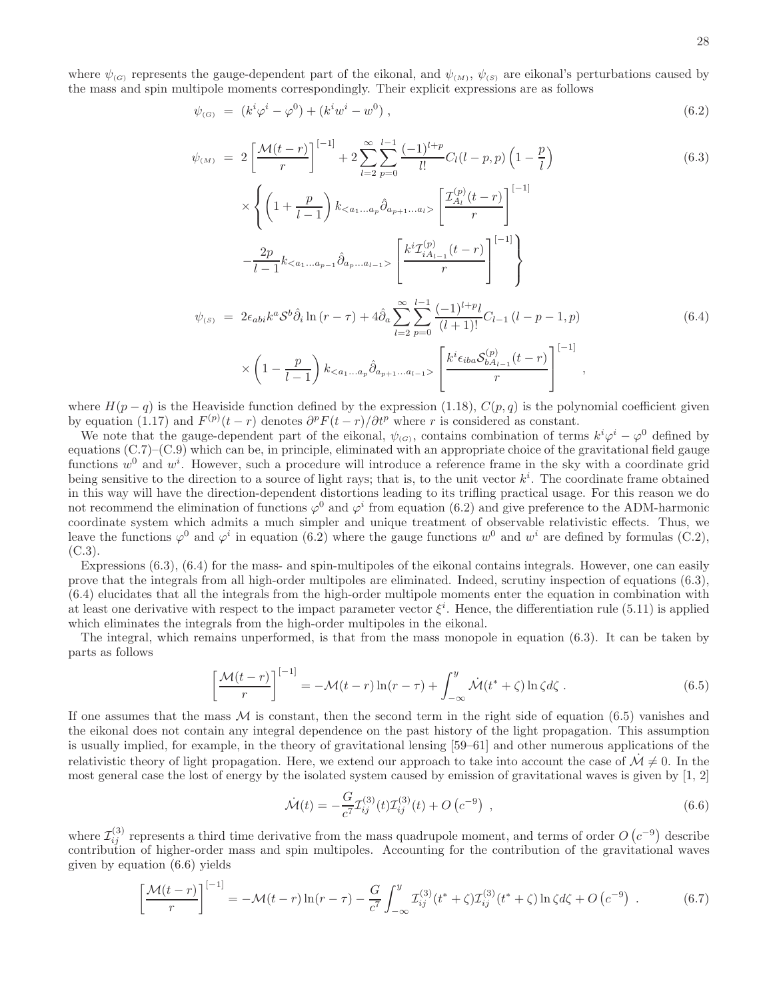where  $\psi_{(G)}$  represents the gauge-dependent part of the eikonal, and  $\psi_{(M)}$ ,  $\psi_{(S)}$  are eikonal's perturbations caused by the mass and spin multipole moments correspondingly. Their explicit expressions are as follows

$$
\psi_{(G)} = (k^i \varphi^i - \varphi^0) + (k^i w^i - w^0) , \qquad (6.2)
$$

$$
\psi_{(M)} = 2\left[\frac{\mathcal{M}(t-r)}{r}\right]^{[-1]} + 2\sum_{l=2}^{\infty}\sum_{p=0}^{l-1}\frac{(-1)^{l+p}}{l!}C_{l}(l-p,p)\left(1-\frac{p}{l}\right) \tag{6.3}
$$

$$
\times \left\{ \left( 1 + \frac{p}{l-1} \right) k_{\langle a_1...a_p} \hat{\partial}_{a_{p+1}...a_l} \right\} \left[ \frac{\mathcal{I}_{A_l}^{(p)}(t-r)}{r} \right]^{[-1]} \n- \frac{2p}{l-1} k_{\langle a_1...a_{p-1}} \hat{\partial}_{a_p...a_{l-1}} \right\} \left[ \frac{k^i \mathcal{I}_{iA_{l-1}}^{(p)}(t-r)}{r} \right]^{[-1]} \right\} \n\psi_{(S)} = 2\epsilon_{abi} k^a \mathcal{S}^b \hat{\partial}_i \ln(r-\tau) + 4\hat{\partial}_a \sum_{l=2}^{\infty} \sum_{p=0}^{l-1} \frac{(-1)^{l+p} l}{(l+1)!} C_{l-1} (l-p-1, p) \n\times \left( 1 - \frac{p}{l-1} \right) k_{\langle a_1...a_p} \hat{\partial}_{a_{p+1}...a_{l-1}} \right\} \left[ \frac{k^i \epsilon_{iba} \mathcal{S}_{bA_{l-1}}^{(p)}(t-r)}{r} \right]^{[-1]},
$$
\n(6.4)

where  $H(p - q)$  is the Heaviside function defined by the expression (1.18),  $C(p, q)$  is the polynomial coefficient given by equation (1.17) and  $F^{(p)}(t-r)$  denotes  $\partial^p F(t-r)/\partial t^p$  where r is considered as constant.

We note that the gauge-dependent part of the eikonal,  $\psi_{(G)}$ , contains combination of terms  $k^i\varphi^i - \varphi^0$  defined by equations (C.7)–(C.9) which can be, in principle, eliminated with an appropriate choice of the gravitational field gauge functions  $w^0$  and  $w^i$ . However, such a procedure will introduce a reference frame in the sky with a coordinate grid being sensitive to the direction to a source of light rays; that is, to the unit vector  $k^i$ . The coordinate frame obtained in this way will have the direction-dependent distortions leading to its trifling practical usage. For this reason we do not recommend the elimination of functions  $\varphi^0$  and  $\varphi^i$  from equation (6.2) and give preference to the ADM-harmonic coordinate system which admits a much simpler and unique treatment of observable relativistic effects. Thus, we leave the functions  $\varphi^0$  and  $\varphi^i$  in equation (6.2) where the gauge functions  $w^0$  and  $w^i$  are defined by formulas (C.2),  $(C.3)$ .

Expressions (6.3), (6.4) for the mass- and spin-multipoles of the eikonal contains integrals. However, one can easily prove that the integrals from all high-order multipoles are eliminated. Indeed, scrutiny inspection of equations (6.3), (6.4) elucidates that all the integrals from the high-order multipole moments enter the equation in combination with at least one derivative with respect to the impact parameter vector  $\xi^i$ . Hence, the differentiation rule (5.11) is applied which eliminates the integrals from the high-order multipoles in the eikonal.

The integral, which remains unperformed, is that from the mass monopole in equation (6.3). It can be taken by parts as follows

$$
\left[\frac{\mathcal{M}(t-r)}{r}\right]^{[-1]} = -\mathcal{M}(t-r)\ln(r-\tau) + \int_{-\infty}^{y} \dot{\mathcal{M}}(t^*+\zeta)\ln\zeta d\zeta.
$$
 (6.5)

If one assumes that the mass  $M$  is constant, then the second term in the right side of equation (6.5) vanishes and the eikonal does not contain any integral dependence on the past history of the light propagation. This assumption is usually implied, for example, in the theory of gravitational lensing [59–61] and other numerous applications of the relativistic theory of light propagation. Here, we extend our approach to take into account the case of  $\mathcal{M} \neq 0$ . In the most general case the lost of energy by the isolated system caused by emission of gravitational waves is given by [1, 2]

$$
\dot{\mathcal{M}}(t) = -\frac{G}{c^7} \mathcal{I}_{ij}^{(3)}(t) \mathcal{I}_{ij}^{(3)}(t) + O\left(c^{-9}\right) ,\qquad (6.6)
$$

where  $\mathcal{I}_{ij}^{(3)}$  represents a third time derivative from the mass quadrupole moment, and terms of order  $O(c^{-9})$  describe contribution of higher-order mass and spin multipoles. Accounting for the contribution of the gravitational waves given by equation (6.6) yields

$$
\left[\frac{\mathcal{M}(t-r)}{r}\right]^{[-1]} = -\mathcal{M}(t-r)\ln(r-\tau) - \frac{G}{c^7} \int_{-\infty}^{y} \mathcal{I}_{ij}^{(3)}(t^*+\zeta)\mathcal{I}_{ij}^{(3)}(t^*+\zeta)\ln\zeta d\zeta + O\left(c^{-9}\right) \,. \tag{6.7}
$$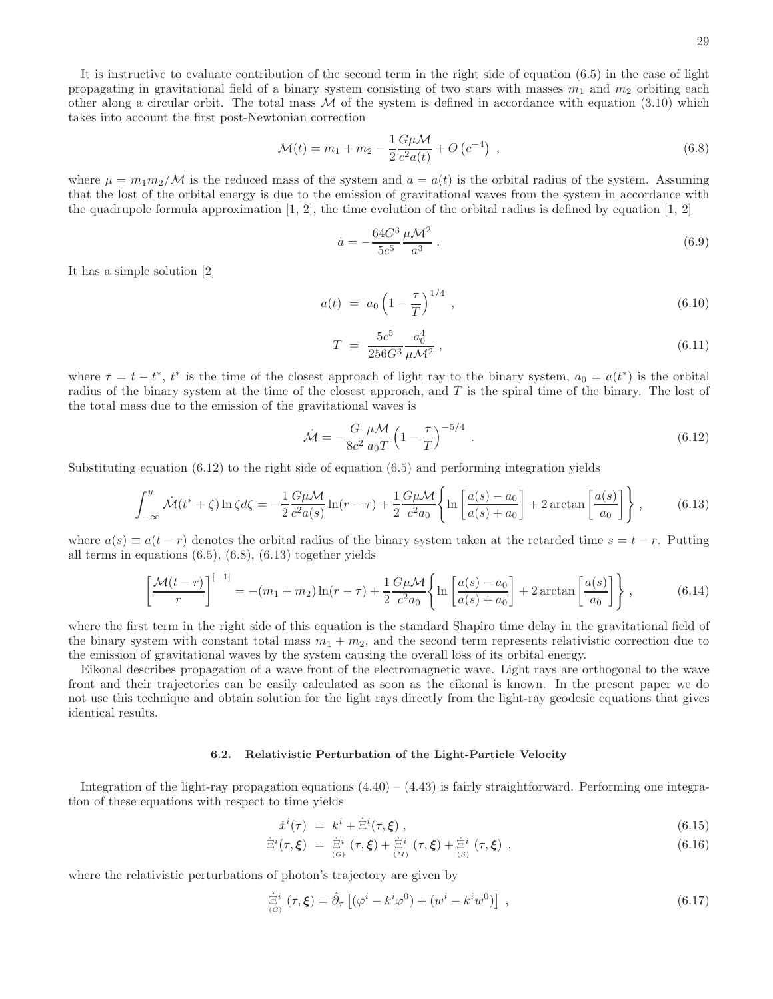It is instructive to evaluate contribution of the second term in the right side of equation (6.5) in the case of light propagating in gravitational field of a binary system consisting of two stars with masses  $m_1$  and  $m_2$  orbiting each other along a circular orbit. The total mass  $M$  of the system is defined in accordance with equation (3.10) which takes into account the first post-Newtonian correction

$$
\mathcal{M}(t) = m_1 + m_2 - \frac{1}{2} \frac{G \mu \mathcal{M}}{c^2 a(t)} + O\left(c^{-4}\right) ,\qquad (6.8)
$$

where  $\mu = m_1 m_2/\mathcal{M}$  is the reduced mass of the system and  $a = a(t)$  is the orbital radius of the system. Assuming that the lost of the orbital energy is due to the emission of gravitational waves from the system in accordance with the quadrupole formula approximation  $[1, 2]$ , the time evolution of the orbital radius is defined by equation  $[1, 2]$ 

$$
\dot{a} = -\frac{64G^3}{5c^5} \frac{\mu \mathcal{M}^2}{a^3} \,. \tag{6.9}
$$

It has a simple solution [2]

$$
a(t) = a_0 \left(1 - \frac{\tau}{T}\right)^{1/4}, \qquad (6.10)
$$

$$
T = \frac{5c^5}{256G^3} \frac{a_0^4}{\mu \mathcal{M}^2} \,, \tag{6.11}
$$

where  $\tau = t - t^*$ ,  $t^*$  is the time of the closest approach of light ray to the binary system,  $a_0 = a(t^*)$  is the orbital radius of the binary system at the time of the closest approach, and T is the spiral time of the binary. The lost of the total mass due to the emission of the gravitational waves is

$$
\dot{\mathcal{M}} = -\frac{G}{8c^2} \frac{\mu \mathcal{M}}{a_0 T} \left( 1 - \frac{\tau}{T} \right)^{-5/4} . \tag{6.12}
$$

Substituting equation  $(6.12)$  to the right side of equation  $(6.5)$  and performing integration yields

$$
\int_{-\infty}^{y} \dot{\mathcal{M}}(t^* + \zeta) \ln \zeta d\zeta = -\frac{1}{2} \frac{G\mu \mathcal{M}}{c^2 a(s)} \ln(r - \tau) + \frac{1}{2} \frac{G\mu \mathcal{M}}{c^2 a_0} \left\{ \ln \left[ \frac{a(s) - a_0}{a(s) + a_0} \right] + 2 \arctan \left[ \frac{a(s)}{a_0} \right] \right\},\tag{6.13}
$$

where  $a(s) \equiv a(t - r)$  denotes the orbital radius of the binary system taken at the retarded time  $s = t - r$ . Putting all terms in equations (6.5), (6.8), (6.13) together yields

$$
\left[\frac{\mathcal{M}(t-r)}{r}\right]^{[-1]} = -(m_1+m_2)\ln(r-\tau) + \frac{1}{2}\frac{G\mu\mathcal{M}}{c^2a_0}\left\{\ln\left[\frac{a(s)-a_0}{a(s)+a_0}\right] + 2\arctan\left[\frac{a(s)}{a_0}\right]\right\},\tag{6.14}
$$

where the first term in the right side of this equation is the standard Shapiro time delay in the gravitational field of the binary system with constant total mass  $m_1 + m_2$ , and the second term represents relativistic correction due to the emission of gravitational waves by the system causing the overall loss of its orbital energy.

Eikonal describes propagation of a wave front of the electromagnetic wave. Light rays are orthogonal to the wave front and their trajectories can be easily calculated as soon as the eikonal is known. In the present paper we do not use this technique and obtain solution for the light rays directly from the light-ray geodesic equations that gives identical results.

#### 6.2. Relativistic Perturbation of the Light-Particle Velocity

Integration of the light-ray propagation equations  $(4.40) - (4.43)$  is fairly straightforward. Performing one integration of these equations with respect to time yields

$$
\dot{x}^i(\tau) = k^i + \dot{\Xi}^i(\tau, \xi) , \qquad (6.15)
$$

$$
\dot{\Xi}^i(\tau,\xi) = \dot{\Xi}^i(\tau,\xi) + \dot{\Xi}^i(\tau,\xi) + \dot{\Xi}^i(\tau,\xi) ,
$$
\n(6.16)

where the relativistic perturbations of photon's trajectory are given by

$$
\dot{\Xi}^i_{(G)}(\tau,\xi) = \hat{\partial}_{\tau} \left[ (\varphi^i - k^i \varphi^0) + (w^i - k^i w^0) \right] , \qquad (6.17)
$$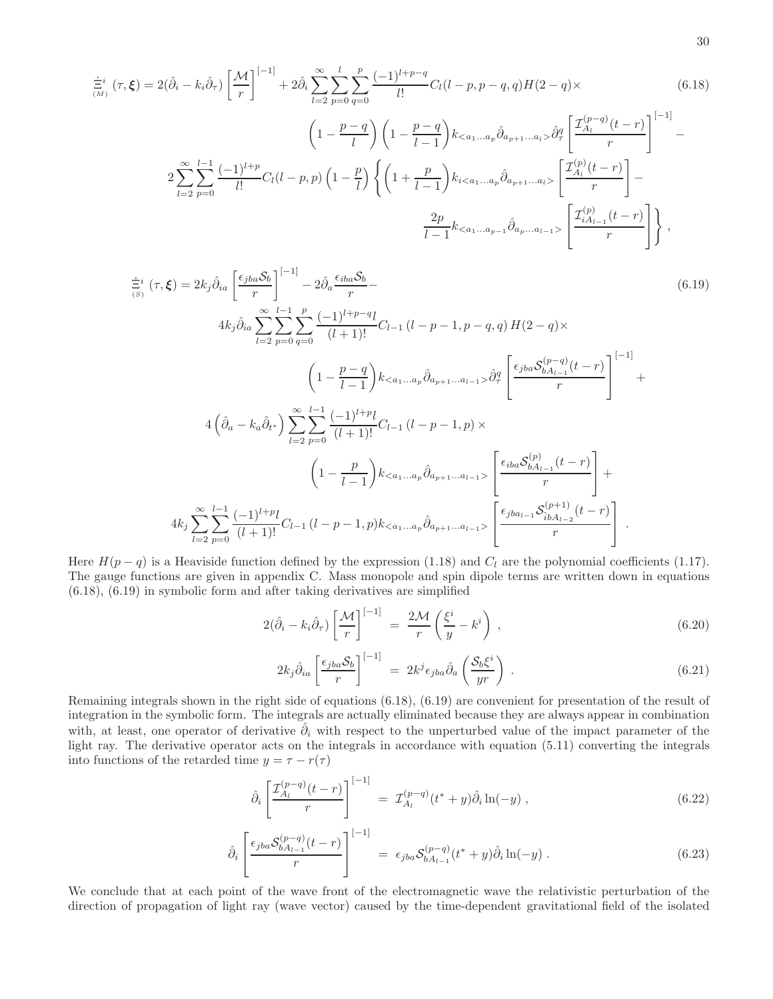$$
\dot{\Xi}^{i}_{(M)}(\tau,\xi) = 2(\hat{\partial}_{i} - k_{i}\hat{\partial}_{\tau}) \left[ \frac{\mathcal{M}}{r} \right]^{[-1]} + 2\hat{\partial}_{i} \sum_{l=2}^{\infty} \sum_{p=0}^{l} \sum_{q=0}^{p} \frac{(-1)^{l+p-q}}{l!} C_{l}(l-p,p-q,q)H(2-q) \times \left(6.18\right)
$$
\n
$$
\left(1 - \frac{p-q}{l}\right) \left(1 - \frac{p-q}{l-1}\right) k_{< a_{1}...a_{p}} \hat{\partial}_{a_{p+1}...a_{l}} \hat{\partial}_{q}^{q} \left[ \frac{\mathcal{I}_{A_{l}}^{(p-q)}(t-r)}{r} \right]^{[-1]} - 2 \sum_{l=2}^{\infty} \sum_{p=0}^{l-1} \frac{(-1)^{l+p}}{l!} C_{l}(l-p,p) \left(1 - \frac{p}{l}\right) \left\{ \left(1 + \frac{p}{l-1}\right) k_{i< a_{1}...a_{p}} \hat{\partial}_{a_{p+1}...a_{l}} \right\} \left[ \frac{\mathcal{I}_{A_{l}}^{(p)}(t-r)}{r} \right] - \frac{2p}{l-1} k_{< a_{1}...a_{p-1}} \hat{\partial}_{a_{p}...a_{l-1}} \left[ \frac{\mathcal{I}_{A_{l}}^{(p)}(t-r)}{r} \right] \right\},
$$
\n(6.18)

$$
\dot{\Xi}^{i}(\tau,\xi) = 2k_{j}\hat{\partial}_{ia}\left[\frac{\epsilon_{jba}\mathcal{S}_{b}}{r}\right]^{-1} - 2\hat{\partial}_{a}\frac{\epsilon_{iba}\mathcal{S}_{b}}{r} -
$$
\n
$$
4k_{j}\hat{\partial}_{ia}\sum_{l=2}^{\infty}\sum_{p=0}^{l-1}\sum_{q=0}^{p}\frac{(-1)^{l+p-q}l}{(l+1)!}C_{l-1}(l-p-1,p-q,q)H(2-q)\times
$$
\n
$$
\left(1-\frac{p-q}{l-1}\right)k_{< a_{1}...a_{p}}\hat{\partial}_{a_{p+1}...a_{l-1}}>\hat{\partial}_{\tau}^{q}\left[\frac{\epsilon_{jba}\mathcal{S}_{bA_{l-1}}^{(p-q)}(t-r)}{r}\right]^{-1}
$$
\n
$$
4\left(\hat{\partial}_{a}-k_{a}\hat{\partial}_{t^{+}}\right)\sum_{l=2}^{\infty}\sum_{p=0}^{l-1}\frac{(-1)^{l+p}l}{(l+1)!}C_{l-1}(l-p-1,p)\times
$$
\n
$$
\left(1-\frac{p}{l-1}\right)k_{< a_{1}...a_{p}}\hat{\partial}_{a_{p+1}...a_{l-1}}\left[\frac{\epsilon_{iba}\mathcal{S}_{bA_{l-1}}^{(p)}(t-r)}{r}\right] +
$$
\n
$$
4k_{j}\sum_{l=2}^{\infty}\sum_{p=0}^{l-1}\frac{(-1)^{l+p}l}{(l+1)!}C_{l-1}(l-p-1,p)k_{< a_{1}...a_{p}}\hat{\partial}_{a_{p+1}...a_{l-1}}\left[\frac{\epsilon_{iba}\mathcal{S}_{bA_{l-1}}^{(p)}(t-r)}{r}\right].
$$
\n(1.1)

Here  $H(p - q)$  is a Heaviside function defined by the expression (1.18) and  $C_l$  are the polynomial coefficients (1.17). The gauge functions are given in appendix C. Mass monopole and spin dipole terms are written down in equations (6.18), (6.19) in symbolic form and after taking derivatives are simplified

$$
2(\hat{\partial}_i - k_i \hat{\partial}_r) \left[ \frac{\mathcal{M}}{r} \right]^{[-1]} = \frac{2\mathcal{M}}{r} \left( \frac{\xi^i}{y} - k^i \right) , \qquad (6.20)
$$

$$
2k_j\hat{\partial}_{ia}\left[\frac{\epsilon_{jba}\mathcal{S}_b}{r}\right]^{[-1]} = 2k^j\epsilon_{jba}\hat{\partial}_a\left(\frac{\mathcal{S}_b\xi^i}{yr}\right) . \tag{6.21}
$$

Remaining integrals shown in the right side of equations (6.18), (6.19) are convenient for presentation of the result of integration in the symbolic form. The integrals are actually eliminated because they are always appear in combination with, at least, one operator of derivative  $\hat{\partial}_i$  with respect to the unperturbed value of the impact parameter of the light ray. The derivative operator acts on the integrals in accordance with equation (5.11) converting the integrals into functions of the retarded time  $y = \tau - r(\tau)$ 

$$
\hat{\partial}_i \left[ \frac{\mathcal{I}_{A_l}^{(p-q)}(t-r)}{r} \right]^{[-1]} = \mathcal{I}_{A_l}^{(p-q)}(t^*+y) \hat{\partial}_i \ln(-y) , \qquad (6.22)
$$

$$
\hat{\partial}_{i} \left[ \frac{\epsilon_{jba} \mathcal{S}_{bA_{l-1}}^{(p-q)}(t-r)}{r} \right]^{[-1]} = \epsilon_{jba} \mathcal{S}_{bA_{l-1}}^{(p-q)}(t^{*}+y) \hat{\partial}_{i} \ln(-y) . \tag{6.23}
$$

We conclude that at each point of the wave front of the electromagnetic wave the relativistic perturbation of the direction of propagation of light ray (wave vector) caused by the time-dependent gravitational field of the isolated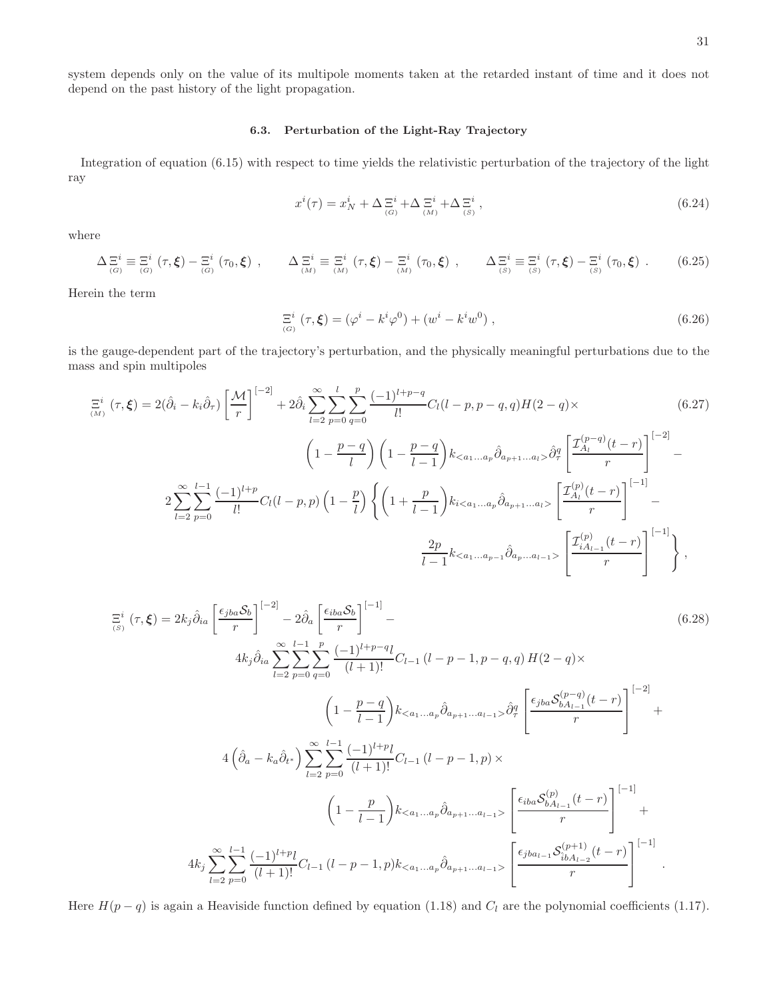system depends only on the value of its multipole moments taken at the retarded instant of time and it does not depend on the past history of the light propagation.

# 6.3. Perturbation of the Light-Ray Trajectory

Integration of equation (6.15) with respect to time yields the relativistic perturbation of the trajectory of the light ray

$$
x^{i}(\tau) = x_{N}^{i} + \Delta \Xi_{(G)}^{i} + \Delta \Xi_{(M)}^{i} + \Delta \Xi_{(S)}^{i} , \qquad (6.24)
$$

where

$$
\Delta \Xi^i_{(G)} \equiv \Xi^i_{(G)}(\tau, \xi) - \Xi^i_{(G)}(\tau_0, \xi) , \qquad \Delta \Xi^i_{(M)} \equiv \Xi^i_{(M)}(\tau, \xi) - \Xi^i_{(M)}(\tau_0, \xi) , \qquad \Delta \Xi^i_{(S)} \equiv \Xi^i_{(S)}(\tau, \xi) - \Xi^i_{(S)}(\tau_0, \xi) . \qquad (6.25)
$$

Herein the term

$$
\Xi^{i}(\tau,\xi) = (\varphi^{i} - k^{i}\varphi^{0}) + (w^{i} - k^{i}w^{0}), \qquad (6.26)
$$

is the gauge-dependent part of the trajectory's perturbation, and the physically meaningful perturbations due to the mass and spin multipoles

$$
\Xi^{i}(\tau,\xi) = 2(\hat{\partial}_{i} - k_{i}\hat{\partial}_{\tau}) \left[\frac{\mathcal{M}}{r}\right]^{[-2]} + 2\hat{\partial}_{i} \sum_{l=2}^{\infty} \sum_{p=0}^{l} \sum_{q=0}^{p} \frac{(-1)^{l+p-q}}{l!} C_{l}(l-p,p-q,q)H(2-q) \times \left(6.27\right)
$$
\n
$$
\left(1 - \frac{p-q}{l}\right) \left(1 - \frac{p-q}{l-1}\right) k_{< a_{1}...a_{p}} \hat{\partial}_{a_{p+1}...a_{l}} \hat{\partial}_{q}^{q} \left[\frac{\mathcal{I}_{A_{l}}^{(p-q)}(t-r)}{r}\right]^{[-2]} - 2 \sum_{l=2}^{\infty} \sum_{p=0}^{l-1} \frac{(-1)^{l+p}}{l!} C_{l}(l-p,p) \left(1 - \frac{p}{l}\right) \left\{\left(1 + \frac{p}{l-1}\right) k_{i< a_{1}...a_{p}} \hat{\partial}_{a_{p+1}...a_{l}} \right\} \left[\frac{\mathcal{I}_{A_{l}}^{(p)}(t-r)}{r}\right]^{[-1]} - \frac{2p}{l-1} k_{< a_{1}...a_{p-1}} \hat{\partial}_{a_{p}...a_{l-1}} \left[\frac{\mathcal{I}_{A_{l}}^{(p)}(t-r)}{r}\right]^{[-1]} \right\},
$$
\n(6.27)

$$
\Xi^{i}(\tau,\xi) = 2k_{j}\hat{\partial}_{ia}\left[\frac{\epsilon_{jba}\mathcal{S}_{b}}{r}\right]^{[-2]} - 2\hat{\partial}_{a}\left[\frac{\epsilon_{iba}\mathcal{S}_{b}}{r}\right]^{[-1]} - (6.28)
$$
\n
$$
4k_{j}\hat{\partial}_{ia}\sum_{l=2}^{\infty}\sum_{p=0}^{l-1}\sum_{q=0}^{p}\frac{(-1)^{l+p-q}l}{(l+1)!}C_{l-1}(l-p-1,p-q,q)H(2-q)\times
$$
\n
$$
\left(1-\frac{p-q}{l-1}\right)k_{< a_{1}...a_{p}}\hat{\partial}_{a_{p+1}...a_{l-1}}>\hat{\partial}_{\tau}^{q}\left[\frac{\epsilon_{jba}\mathcal{S}_{bA_{l-1}}^{(p-q)}(t-r)}{r}\right]^{[-2]} + 4\left(\hat{\partial}_{a}-k_{a}\hat{\partial}_{t^{*}}\right)\sum_{l=2}^{\infty}\sum_{p=0}^{l-1}\frac{(-1)^{l+p}l}{(l+1)!}C_{l-1}(l-p-1,p)\times
$$
\n
$$
\left(1-\frac{p}{l-1}\right)k_{< a_{1}...a_{p}}\hat{\partial}_{a_{p+1}...a_{l-1}}\sum_{r}\left[\frac{\epsilon_{iba}\mathcal{S}_{bA_{l-1}}^{(p)}(t-r)}{r}\right]^{[-1]} + 4k_{j}\sum_{l=2}^{\infty}\sum_{p=0}^{l-1}\frac{(-1)^{l+p}l}{(l+1)!}C_{l-1}(l-p-1,p)k_{< a_{1}...a_{p}}\hat{\partial}_{a_{p+1}...a_{l-1}}\sum_{r}\left[\frac{\epsilon_{iba}\mathcal{S}_{bA_{l-1}}^{(p)}(t-r)}{r}\right]^{[-1]}.
$$
\n(4)

Here  $H(p - q)$  is again a Heaviside function defined by equation (1.18) and  $C_l$  are the polynomial coefficients (1.17).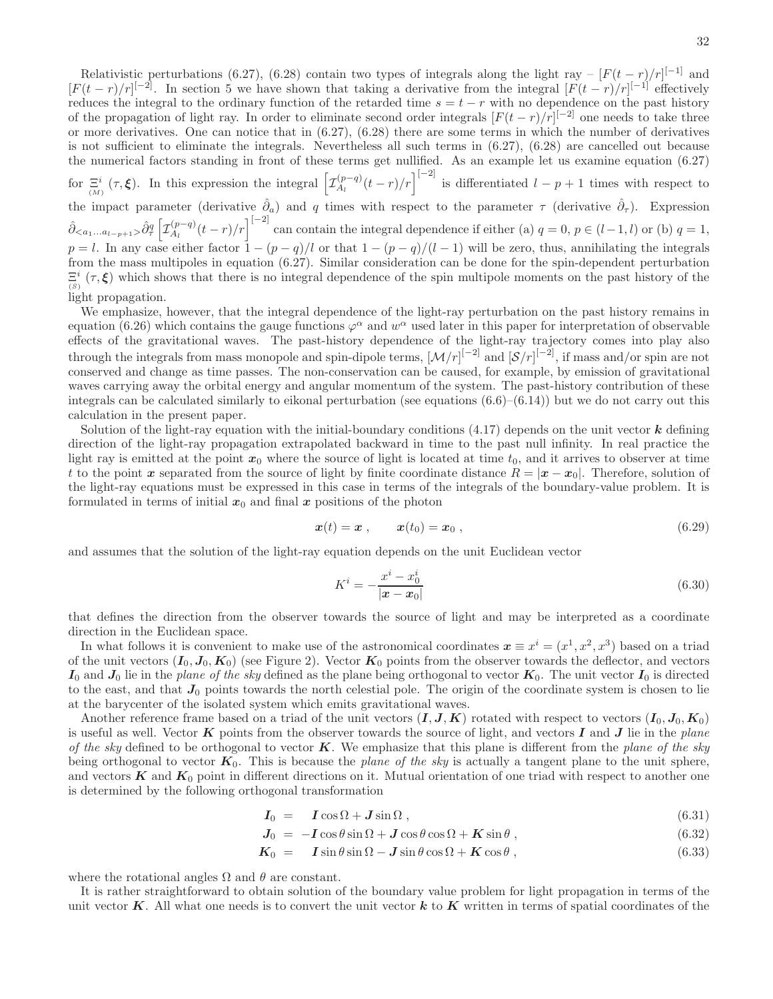Relativistic perturbations (6.27), (6.28) contain two types of integrals along the light ray –  $[F(t-r)/r]^{[-1]}$  and  $[F(t-r)/r]^{[-2]}$ . In section 5 we have shown that taking a derivative from the integral  $[F(t-r)/r]^{[-1]}$  effectively reduces the integral to the ordinary function of the retarded time  $s = t - r$  with no dependence on the past history of the propagation of light ray. In order to eliminate second order integrals  $[F(t-r)/r]^{[-2]}$  one needs to take three or more derivatives. One can notice that in  $(6.27)$ ,  $(6.28)$  there are some terms in which the number of derivatives is not sufficient to eliminate the integrals. Nevertheless all such terms in (6.27), (6.28) are cancelled out because the numerical factors standing in front of these terms get nullified. As an example let us examine equation (6.27) for  $\Xi^i_{(M)}(\tau,\xi)$ . In this expression the integral  $\left[\mathcal{I}_{A_l}^{(p-q)}\right]$  $\int_{A_l}^{(p-q)} (t-r)/r \Big]^{[-2]}$  is differentiated  $l-p+1$  times with respect to the impact parameter (derivative  $\hat{\partial}_a$ ) and q times with respect to the parameter  $\tau$  (derivative  $\hat{\partial}_\tau$ ). Expression  $\hat{\partial}_{\langle a_1...a_{l-p+1}\rangle}\hat{\partial}_{\tau}^q \left[ \mathcal{I}_{A_l}^{(p-q)}\right]$  $\binom{(p-q)}{A_l}(t-r)/r$ <sup>[-2]</sup> can contain the integral dependence if either (a)  $q=0, p \in (l-1, l)$  or (b)  $q=1,$  $p = l$ . In any case either factor  $1 - (p - q)/l$  or that  $1 - (p - q)/(l - 1)$  will be zero, thus, annihilating the integrals from the mass multipoles in equation (6.27). Similar consideration can be done for the spin-dependent perturbation  $\Xi^i$  $E^i$  ( $\tau$ ,  $\xi$ ) which shows that there is no integral dependence of the spin multipole moments on the past history of the light propagation.

We emphasize, however, that the integral dependence of the light-ray perturbation on the past history remains in equation (6.26) which contains the gauge functions  $\varphi^{\alpha}$  and  $w^{\alpha}$  used later in this paper for interpretation of observable effects of the gravitational waves. The past-history dependence of the light-ray trajectory comes into play also through the integrals from mass monopole and spin-dipole terms,  $\left[\mathcal{M}/r\right]^{[-2]}$  and  $\left[\mathcal{S}/r\right]^{[-2]}$ , if mass and/or spin are not conserved and change as time passes. The non-conservation can be caused, for example, by emission of gravitational waves carrying away the orbital energy and angular momentum of the system. The past-history contribution of these integrals can be calculated similarly to eikonal perturbation (see equations  $(6.6)$ – $(6.14)$ ) but we do not carry out this calculation in the present paper.

Solution of the light-ray equation with the initial-boundary conditions  $(4.17)$  depends on the unit vector  $\boldsymbol{k}$  defining direction of the light-ray propagation extrapolated backward in time to the past null infinity. In real practice the light ray is emitted at the point  $x_0$  where the source of light is located at time  $t_0$ , and it arrives to observer at time t to the point x separated from the source of light by finite coordinate distance  $R = |x - x_0|$ . Therefore, solution of the light-ray equations must be expressed in this case in terms of the integrals of the boundary-value problem. It is formulated in terms of initial  $x_0$  and final x positions of the photon

$$
\boldsymbol{x}(t) = \boldsymbol{x} \;, \qquad \boldsymbol{x}(t_0) = \boldsymbol{x}_0 \;, \tag{6.29}
$$

and assumes that the solution of the light-ray equation depends on the unit Euclidean vector

$$
K^{i} = -\frac{x^{i} - x_{0}^{i}}{|x - x_{0}|}
$$
(6.30)

that defines the direction from the observer towards the source of light and may be interpreted as a coordinate direction in the Euclidean space.

In what follows it is convenient to make use of the astronomical coordinates  $x \equiv x^i = (x^1, x^2, x^3)$  based on a triad of the unit vectors  $(I_0, J_0, K_0)$  (see Figure 2). Vector  $K_0$  points from the observer towards the deflector, and vectors  $I_0$  and  $J_0$  lie in the plane of the sky defined as the plane being orthogonal to vector  $K_0$ . The unit vector  $I_0$  is directed to the east, and that  $J_0$  points towards the north celestial pole. The origin of the coordinate system is chosen to lie at the barycenter of the isolated system which emits gravitational waves.

Another reference frame based on a triad of the unit vectors  $(I, J, K)$  rotated with respect to vectors  $(I_0, J_0, K_0)$ is useful as well. Vector  $\boldsymbol{K}$  points from the observer towards the source of light, and vectors  $\boldsymbol{I}$  and  $\boldsymbol{J}$  lie in the plane of the sky defined to be orthogonal to vector  $K$ . We emphasize that this plane is different from the plane of the sky being orthogonal to vector  $K_0$ . This is because the plane of the sky is actually a tangent plane to the unit sphere, and vectors  $K$  and  $K_0$  point in different directions on it. Mutual orientation of one triad with respect to another one is determined by the following orthogonal transformation

$$
I_0 = I \cos \Omega + J \sin \Omega , \qquad (6.31)
$$

$$
J_0 = -I\cos\theta\sin\Omega + J\cos\theta\cos\Omega + K\sin\theta, \qquad (6.32)
$$

$$
K_0 = I \sin \theta \sin \Omega - J \sin \theta \cos \Omega + K \cos \theta, \qquad (6.33)
$$

where the rotational angles  $\Omega$  and  $\theta$  are constant.

It is rather straightforward to obtain solution of the boundary value problem for light propagation in terms of the unit vector K. All what one needs is to convert the unit vector k to K written in terms of spatial coordinates of the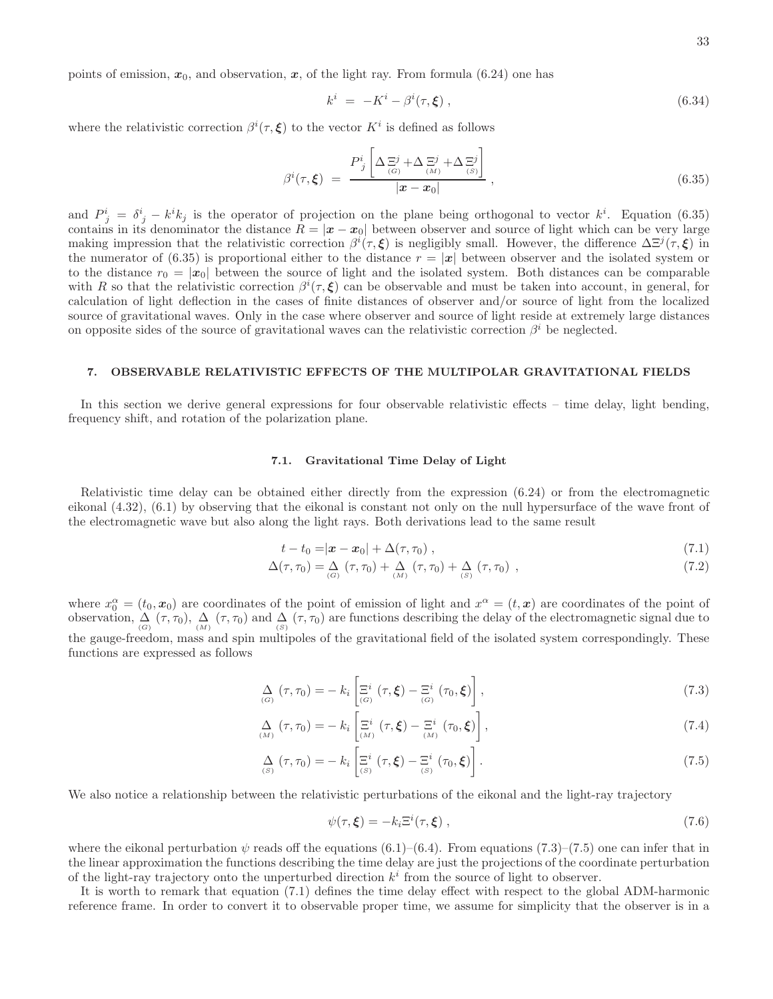points of emission,  $x_0$ , and observation, x, of the light ray. From formula (6.24) one has

$$
k^i = -K^i - \beta^i(\tau, \xi) , \qquad (6.34)
$$

where the relativistic correction  $\beta^{i}(\tau,\xi)$  to the vector  $K^{i}$  is defined as follows

$$
\beta^{i}(\tau,\xi) = \frac{P_{j}^{i}\left[\Delta \Xi^{j} + \Delta \Xi^{j} + \Delta \Xi^{j}\right]}{|x - x_{0}|}, \qquad (6.35)
$$

and  $P^i_j = \delta^i_j - k^i k_j$  is the operator of projection on the plane being orthogonal to vector  $k^i$ . Equation (6.35) contains in its denominator the distance  $R = |\mathbf{x} - \mathbf{x}_0|$  between observer and source of light which can be very large making impression that the relativistic correction  $\beta^{i}(\tau,\xi)$  is negligibly small. However, the difference  $\Delta \Xi^{j}(\tau,\xi)$  in the numerator of (6.35) is proportional either to the distance  $r = |x|$  between observer and the isolated system or to the distance  $r_0 = |\mathbf{x}_0|$  between the source of light and the isolated system. Both distances can be comparable with R so that the relativistic correction  $\beta^{i}(\tau,\xi)$  can be observable and must be taken into account, in general, for calculation of light deflection in the cases of finite distances of observer and/or source of light from the localized source of gravitational waves. Only in the case where observer and source of light reside at extremely large distances on opposite sides of the source of gravitational waves can the relativistic correction  $\beta^i$  be neglected.

#### 7. OBSERVABLE RELATIVISTIC EFFECTS OF THE MULTIPOLAR GRAVITATIONAL FIELDS

In this section we derive general expressions for four observable relativistic effects – time delay, light bending, frequency shift, and rotation of the polarization plane.

#### 7.1. Gravitational Time Delay of Light

Relativistic time delay can be obtained either directly from the expression (6.24) or from the electromagnetic eikonal (4.32), (6.1) by observing that the eikonal is constant not only on the null hypersurface of the wave front of the electromagnetic wave but also along the light rays. Both derivations lead to the same result

$$
t - t_0 = |\boldsymbol{x} - \boldsymbol{x}_0| + \Delta(\tau, \tau_0) , \qquad (7.1)
$$

$$
\Delta(\tau, \tau_0) = \Delta_{(G)} (\tau, \tau_0) + \Delta_{(M)} (\tau, \tau_0) + \Delta_{(S)} (\tau, \tau_0) ,
$$
\n(7.2)

where  $x_0^{\alpha} = (t_0, x_0)$  are coordinates of the point of emission of light and  $x^{\alpha} = (t, x)$  are coordinates of the point of observation,  $\Delta$   $(\tau, \tau_0)$ ,  $\Delta$   $(\tau, \tau_0)$  and  $\Delta$   $(\tau, \tau_0)$  are functions describing the delay of the electromagnetic signal due to the gauge-freedom, mass and spin multipoles of the gravitational field of the isolated system correspondingly. These functions are expressed as follows

$$
\Delta_{(G)}(\tau,\tau_0) = -k_i \left[ \Xi^i_{(G)}(\tau,\boldsymbol{\xi}) - \Xi^i_{(G)}(\tau_0,\boldsymbol{\xi}) \right],
$$
\n(7.3)

$$
\Delta_{(M)}(\tau,\tau_0) = -k_i \left[ \Xi^i_{(M)}(\tau,\xi) - \Xi^i_{(M)}(\tau_0,\xi) \right],
$$
\n(7.4)

$$
\underset{(S)}{\Delta}(\tau,\tau_0) = -k_i \left[ \overline{\Xi}^i_{(S)}(\tau,\boldsymbol{\xi}) - \overline{\Xi}^i_{(S)}(\tau_0,\boldsymbol{\xi}) \right]. \tag{7.5}
$$

We also notice a relationship between the relativistic perturbations of the eikonal and the light-ray trajectory

$$
\psi(\tau,\xi) = -k_i \Xi^i(\tau,\xi) , \qquad (7.6)
$$

where the eikonal perturbation  $\psi$  reads off the equations (6.1)–(6.4). From equations (7.3)–(7.5) one can infer that in the linear approximation the functions describing the time delay are just the projections of the coordinate perturbation of the light-ray trajectory onto the unperturbed direction  $k^i$  from the source of light to observer.

It is worth to remark that equation (7.1) defines the time delay effect with respect to the global ADM-harmonic reference frame. In order to convert it to observable proper time, we assume for simplicity that the observer is in a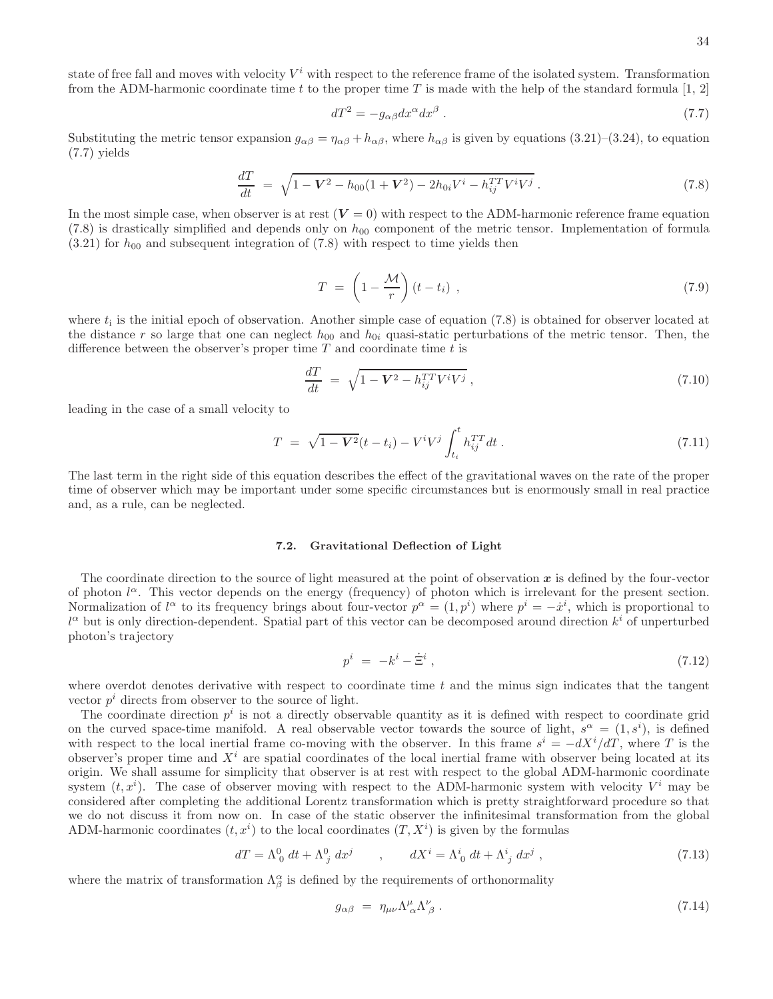state of free fall and moves with velocity  $V^i$  with respect to the reference frame of the isolated system. Transformation from the ADM-harmonic coordinate time t to the proper time T is made with the help of the standard formula  $[1, 2]$ 

$$
dT^2 = -g_{\alpha\beta}dx^{\alpha}dx^{\beta} \tag{7.7}
$$

Substituting the metric tensor expansion  $g_{\alpha\beta} = \eta_{\alpha\beta} + h_{\alpha\beta}$ , where  $h_{\alpha\beta}$  is given by equations (3.21)–(3.24), to equation (7.7) yields

$$
\frac{dT}{dt} = \sqrt{1 - V^2 - h_{00}(1 + V^2) - 2h_{0i}V^i - h_{ij}^{TT}V^iV^j} \ . \tag{7.8}
$$

In the most simple case, when observer is at rest  $(V = 0)$  with respect to the ADM-harmonic reference frame equation (7.8) is drastically simplified and depends only on  $h_{00}$  component of the metric tensor. Implementation of formula  $(3.21)$  for  $h_{00}$  and subsequent integration of  $(7.8)$  with respect to time yields then

$$
T = \left(1 - \frac{\mathcal{M}}{r}\right)(t - t_i) \tag{7.9}
$$

where  $t_i$  is the initial epoch of observation. Another simple case of equation  $(7.8)$  is obtained for observer located at the distance r so large that one can neglect  $h_{00}$  and  $h_{0i}$  quasi-static perturbations of the metric tensor. Then, the difference between the observer's proper time  $T$  and coordinate time  $t$  is

$$
\frac{dT}{dt} = \sqrt{1 - \mathbf{V}^2 - h_{ij}^{TT} V^i V^j} \,, \tag{7.10}
$$

leading in the case of a small velocity to

$$
T = \sqrt{1 - V^2}(t - t_i) - V^i V^j \int_{t_i}^t h_{ij}^{TT} dt . \qquad (7.11)
$$

The last term in the right side of this equation describes the effect of the gravitational waves on the rate of the proper time of observer which may be important under some specific circumstances but is enormously small in real practice and, as a rule, can be neglected.

#### 7.2. Gravitational Deflection of Light

The coordinate direction to the source of light measured at the point of observation  $x$  is defined by the four-vector of photon  $l^{\alpha}$ . This vector depends on the energy (frequency) of photon which is irrelevant for the present section. Normalization of  $l^{\alpha}$  to its frequency brings about four-vector  $p^{\alpha} = (1, p^i)$  where  $p^i = -x^i$ , which is proportional to  $l^{\alpha}$  but is only direction-dependent. Spatial part of this vector can be decomposed around direction  $k^{i}$  of unperturbed photon's trajectory

$$
p^i = -k^i - \dot{\Xi}^i \,,\tag{7.12}
$$

where overdot denotes derivative with respect to coordinate time  $t$  and the minus sign indicates that the tangent vector  $p^i$  directs from observer to the source of light.

The coordinate direction  $p^i$  is not a directly observable quantity as it is defined with respect to coordinate grid on the curved space-time manifold. A real observable vector towards the source of light,  $s^{\alpha} = (1, s^{i})$ , is defined with respect to the local inertial frame co-moving with the observer. In this frame  $s^i = -dX^i/dT$ , where T is the observer's proper time and  $X<sup>i</sup>$  are spatial coordinates of the local inertial frame with observer being located at its origin. We shall assume for simplicity that observer is at rest with respect to the global ADM-harmonic coordinate system  $(t, x<sup>i</sup>)$ . The case of observer moving with respect to the ADM-harmonic system with velocity  $V<sup>i</sup>$  may be considered after completing the additional Lorentz transformation which is pretty straightforward procedure so that we do not discuss it from now on. In case of the static observer the infinitesimal transformation from the global ADM-harmonic coordinates  $(t, x^i)$  to the local coordinates  $(T, X^i)$  is given by the formulas

$$
dT = \Lambda^0_0 dt + \Lambda^0_j dx^j \qquad , \qquad dX^i = \Lambda^i_0 dt + \Lambda^i_j dx^j , \qquad (7.13)
$$

where the matrix of transformation  $\Lambda_{\beta}^{\alpha}$  is defined by the requirements of orthonormality

$$
g_{\alpha\beta} = \eta_{\mu\nu} \Lambda^{\mu}_{\ \alpha} \Lambda^{\nu}_{\ \beta} \ . \tag{7.14}
$$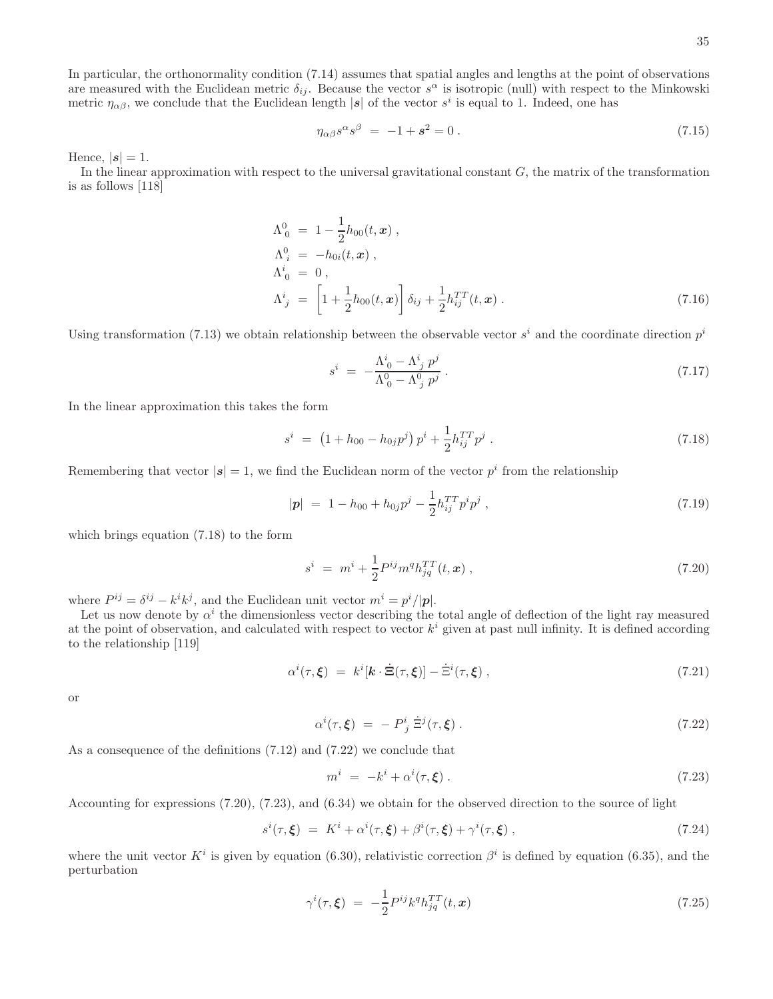In particular, the orthonormality condition (7.14) assumes that spatial angles and lengths at the point of observations are measured with the Euclidean metric  $\delta_{ij}$ . Because the vector  $s^{\alpha}$  is isotropic (null) with respect to the Minkowski metric  $\eta_{\alpha\beta}$ , we conclude that the Euclidean length |s| of the vector  $s^i$  is equal to 1. Indeed, one has

$$
\eta_{\alpha\beta} s^{\alpha} s^{\beta} = -1 + s^2 = 0.
$$
\n(7.15)

Hence,  $|s| = 1$ .

In the linear approximation with respect to the universal gravitational constant  $G$ , the matrix of the transformation is as follows [118]

$$
\Lambda_0^0 = 1 - \frac{1}{2} h_{00}(t, \mathbf{x}),
$$
  
\n
$$
\Lambda_i^0 = -h_{0i}(t, \mathbf{x}),
$$
  
\n
$$
\Lambda_i^i = 0,
$$
  
\n
$$
\Lambda_i^i = \left[1 + \frac{1}{2} h_{00}(t, \mathbf{x})\right] \delta_{ij} + \frac{1}{2} h_{ij}^{TT}(t, \mathbf{x}).
$$
\n(7.16)

Using transformation (7.13) we obtain relationship between the observable vector  $s^i$  and the coordinate direction  $p^i$ 

$$
s^{i} = -\frac{\Lambda^{i}_{0} - \Lambda^{i}_{j} p^{j}}{\Lambda^{0}_{0} - \Lambda^{0}_{j} p^{j}}.
$$
\n(7.17)

In the linear approximation this takes the form

$$
s^{i} = (1 + h_{00} - h_{0j}p^{j})p^{i} + \frac{1}{2}h_{ij}^{TT}p^{j}. \qquad (7.18)
$$

Remembering that vector  $|\mathbf{s}| = 1$ , we find the Euclidean norm of the vector  $p^i$  from the relationship

$$
|\mathbf{p}| = 1 - h_{00} + h_{0j}p^j - \frac{1}{2}h_{ij}^{TT}p^ip^j , \qquad (7.19)
$$

which brings equation (7.18) to the form

$$
s^{i} = m^{i} + \frac{1}{2} P^{ij} m^{q} h_{jq}^{TT}(t, x) , \qquad (7.20)
$$

where  $P^{ij} = \delta^{ij} - k^i k^j$ , and the Euclidean unit vector  $m^i = p^i/|\mathbf{p}|$ .

Let us now denote by  $\alpha^i$  the dimensionless vector describing the total angle of deflection of the light ray measured at the point of observation, and calculated with respect to vector  $k^i$  given at past null infinity. It is defined according to the relationship [119]

$$
\alpha^{i}(\tau,\xi) = k^{i}[\mathbf{k}\cdot\dot{\Xi}(\tau,\xi)] - \dot{\Xi}^{i}(\tau,\xi) , \qquad (7.21)
$$

or

$$
\alpha^i(\tau,\xi) = -P^i_j \dot{\Xi}^j(\tau,\xi). \tag{7.22}
$$

As a consequence of the definitions (7.12) and (7.22) we conclude that

$$
m^i = -k^i + \alpha^i(\tau, \xi) \tag{7.23}
$$

Accounting for expressions (7.20), (7.23), and (6.34) we obtain for the observed direction to the source of light

$$
s^{i}(\tau,\xi) = K^{i} + \alpha^{i}(\tau,\xi) + \beta^{i}(\tau,\xi) + \gamma^{i}(\tau,\xi) , \qquad (7.24)
$$

where the unit vector  $K^i$  is given by equation (6.30), relativistic correction  $\beta^i$  is defined by equation (6.35), and the perturbation

$$
\gamma^{i}(\tau,\xi) = -\frac{1}{2}P^{ij}k^{q}h_{jq}^{TT}(t,\boldsymbol{x})\tag{7.25}
$$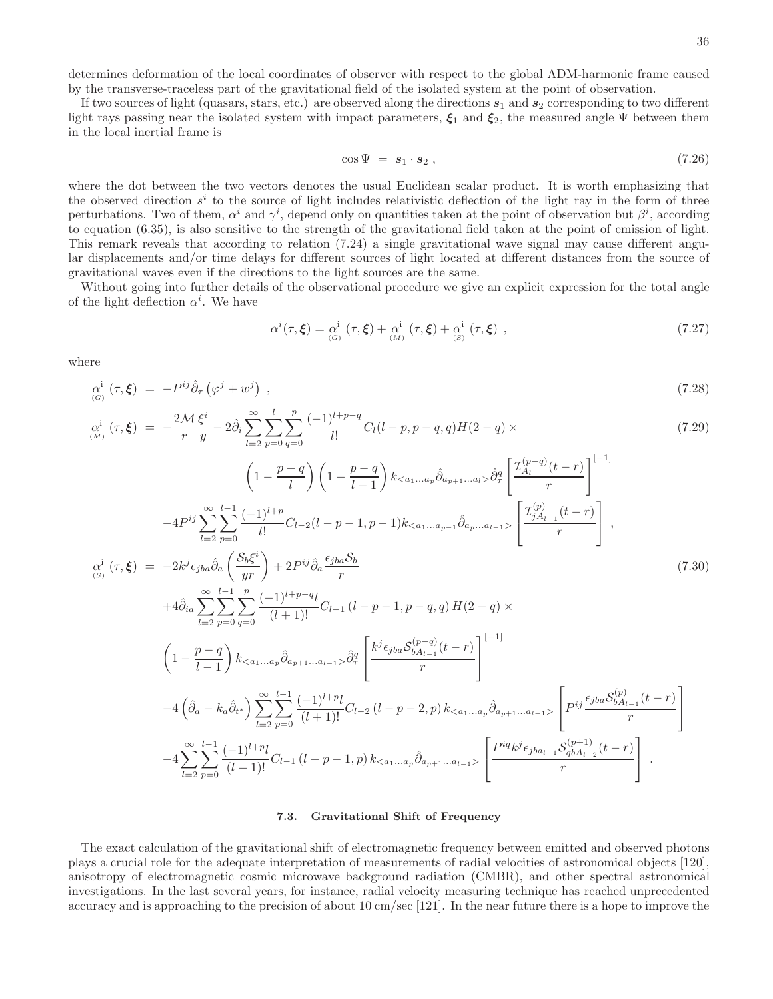determines deformation of the local coordinates of observer with respect to the global ADM-harmonic frame caused by the transverse-traceless part of the gravitational field of the isolated system at the point of observation.

If two sources of light (quasars, stars, etc.) are observed along the directions  $s_1$  and  $s_2$  corresponding to two different light rays passing near the isolated system with impact parameters,  $\xi_1$  and  $\xi_2$ , the measured angle Ψ between them in the local inertial frame is

$$
\cos \Psi = \mathbf{s}_1 \cdot \mathbf{s}_2 , \qquad (7.26)
$$

where the dot between the two vectors denotes the usual Euclidean scalar product. It is worth emphasizing that the observed direction  $s^i$  to the source of light includes relativistic deflection of the light ray in the form of three perturbations. Two of them,  $\alpha^i$  and  $\gamma^i$ , depend only on quantities taken at the point of observation but  $\beta^i$ , according to equation (6.35), is also sensitive to the strength of the gravitational field taken at the point of emission of light. This remark reveals that according to relation (7.24) a single gravitational wave signal may cause different angular displacements and/or time delays for different sources of light located at different distances from the source of gravitational waves even if the directions to the light sources are the same.

Without going into further details of the observational procedure we give an explicit expression for the total angle of the light deflection  $\alpha^i$ . We have

$$
\alpha^{i}(\tau,\xi) = \alpha^{i}_{(G)}(\tau,\xi) + \alpha^{i}_{(M)}(\tau,\xi) + \alpha^{i}_{(S)}(\tau,\xi) ,
$$
\n(7.27)

where

$$
\alpha^i_{(G)}(\tau,\xi) = -P^{ij}\hat{\partial}_\tau\left(\varphi^j + w^j\right) \,,\tag{7.28}
$$

$$
\alpha_{(M)}^{i}(\tau,\xi) = -\frac{2M}{r}\frac{\xi^{i}}{y} - 2\hat{\partial}_{i}\sum_{l=2}^{\infty}\sum_{p=0}^{l}\sum_{q=0}^{p} \frac{(-1)^{l+p-q}}{l!}C_{l}(l-p,p-q,q)H(2-q) \times
$$
\n
$$
\left(1 - \frac{p-q}{l}\right)\left(1 - \frac{p-q}{l-1}\right)k_{< a_{1}...a_{p}}\hat{\partial}_{a_{p+1}...a_{l}}\hat{\partial}_{\theta}^{q}\left[\frac{\mathcal{I}_{A_{l}}^{(p-q)}(t-r)}{r}\right]^{-1}
$$
\n
$$
-4P^{ij}\sum_{l=2}^{\infty}\sum_{p=0}^{l-1} \frac{(-1)^{l+p}}{l!}C_{l-2}(l-p-1,p-1)k_{< a_{1}...a_{p-1}}\hat{\partial}_{a_{p}...a_{l-1}}\left[\frac{\mathcal{I}_{A_{l-1}}^{(p)}(t-r)}{r}\right]^{-1}
$$
\n
$$
\alpha_{(s)}^{i}(\tau,\xi) = -2k^{j}\epsilon_{jba}\hat{\partial}_{a}\left(\frac{\mathcal{S}_{b}\xi^{i}}{yr}\right) + 2P^{ij}\hat{\partial}_{a}\frac{\epsilon_{jba}\mathcal{S}_{b}}{r}
$$
\n
$$
+4\hat{\partial}_{ia}\sum_{l=2}^{\infty}\sum_{p=0}^{\infty}\sum_{q=0}^{l-1}\frac{(-1)^{l+p-q}l}{(l+1)!}C_{l-1}(l-p-1,p-q,q)H(2-q) \times
$$
\n
$$
\left(1 - \frac{p-q}{l-1}\right)k_{< a_{1}...a_{p}}\hat{\partial}_{a_{p+1}...a_{l-1}}\hat{\partial}_{\tau}^{q}\left[\frac{k^{j}\epsilon_{jba}\mathcal{S}_{b_{A_{l-1}}^{(p-q)}(t-r)}{r}\right]^{-1}
$$
\n
$$
-4\left(\hat{\partial}_{a}-k_{a}\hat{\partial}_{t}\right)\sum_{l=2}^{\infty}\sum_{p=0}^{l-1}\frac{(-1)^{l+p}l}{(l+1)!}C_{l-2}(l-p-2,p)k_{< a_{1}...a_{p}}\hat{\partial}_{a_{p+1}...a_{l-1}}\right)\left[P^{ij}\frac{\
$$

#### 7.3. Gravitational Shift of Frequency

The exact calculation of the gravitational shift of electromagnetic frequency between emitted and observed photons plays a crucial role for the adequate interpretation of measurements of radial velocities of astronomical objects [120], anisotropy of electromagnetic cosmic microwave background radiation (CMBR), and other spectral astronomical investigations. In the last several years, for instance, radial velocity measuring technique has reached unprecedented accuracy and is approaching to the precision of about 10 cm/sec [121]. In the near future there is a hope to improve the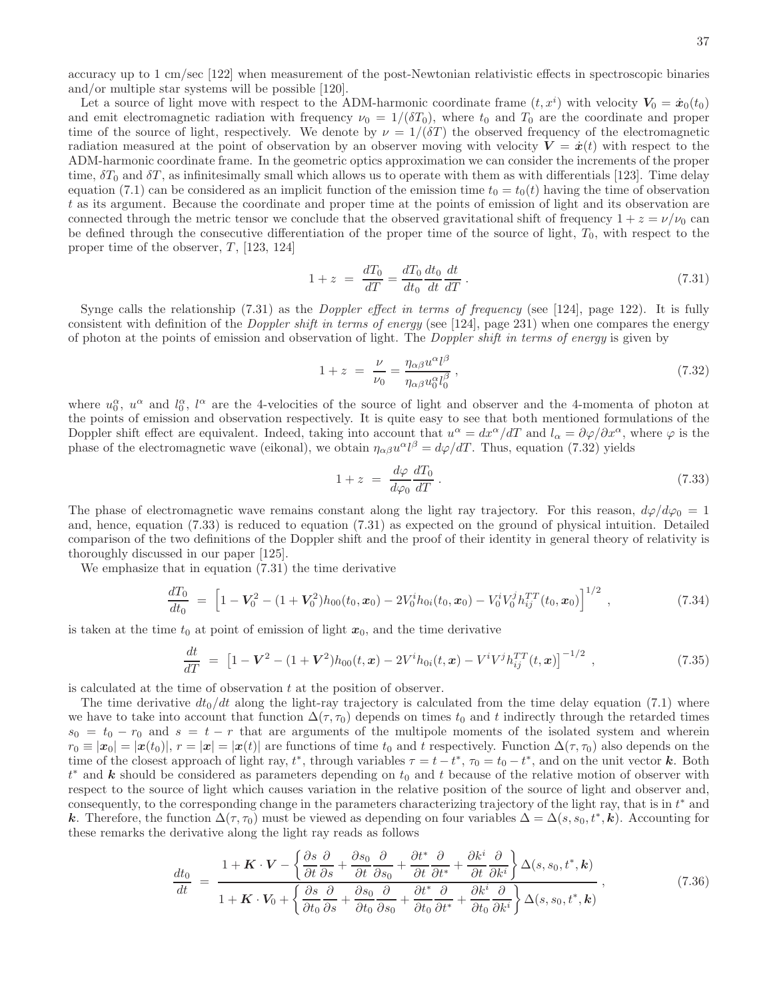accuracy up to 1 cm/sec [122] when measurement of the post-Newtonian relativistic effects in spectroscopic binaries and/or multiple star systems will be possible [120].

Let a source of light move with respect to the ADM-harmonic coordinate frame  $(t, x^i)$  with velocity  $V_0 = \dot{x}_0(t_0)$ and emit electromagnetic radiation with frequency  $\nu_0 = 1/(\delta T_0)$ , where  $t_0$  and  $T_0$  are the coordinate and proper time of the source of light, respectively. We denote by  $\nu = 1/(\delta T)$  the observed frequency of the electromagnetic radiation measured at the point of observation by an observer moving with velocity  $V = \dot{x}(t)$  with respect to the ADM-harmonic coordinate frame. In the geometric optics approximation we can consider the increments of the proper time,  $\delta T_0$  and  $\delta T$ , as infinitesimally small which allows us to operate with them as with differentials [123]. Time delay equation (7.1) can be considered as an implicit function of the emission time  $t_0 = t_0(t)$  having the time of observation t as its argument. Because the coordinate and proper time at the points of emission of light and its observation are connected through the metric tensor we conclude that the observed gravitational shift of frequency  $1 + z = \nu/\nu_0$  can be defined through the consecutive differentiation of the proper time of the source of light,  $T_0$ , with respect to the proper time of the observer,  $T$ , [123, 124]

$$
1 + z = \frac{dT_0}{dT} = \frac{dT_0}{dt_0} \frac{dt_0}{dt} \frac{dt}{dT} \,. \tag{7.31}
$$

Synge calls the relationship  $(7.31)$  as the *Doppler effect in terms of frequency* (see [124], page 122). It is fully consistent with definition of the Doppler shift in terms of energy (see [124], page 231) when one compares the energy of photon at the points of emission and observation of light. The Doppler shift in terms of energy is given by

$$
1 + z = \frac{\nu}{\nu_0} = \frac{\eta_{\alpha\beta} u^{\alpha} l^{\beta}}{\eta_{\alpha\beta} u_0^{\alpha} l_0^{\beta}},
$$
\n
$$
(7.32)
$$

where  $u_0^{\alpha}$ ,  $u^{\alpha}$  and  $l_0^{\alpha}$ ,  $l^{\alpha}$  are the 4-velocities of the source of light and observer and the 4-momenta of photon at the points of emission and observation respectively. It is quite easy to see that both mentioned formulations of the Doppler shift effect are equivalent. Indeed, taking into account that  $u^{\alpha} = dx^{\alpha}/dT$  and  $l_{\alpha} = \partial \varphi/\partial x^{\alpha}$ , where  $\varphi$  is the phase of the electromagnetic wave (eikonal), we obtain  $\eta_{\alpha\beta}u^{\alpha}l^{\beta} = d\varphi/dT$ . Thus, equation (7.32) yields

$$
1 + z = \frac{d\varphi}{d\varphi_0} \frac{dT_0}{dT} \,. \tag{7.33}
$$

The phase of electromagnetic wave remains constant along the light ray trajectory. For this reason,  $d\varphi/d\varphi_0 = 1$ and, hence, equation (7.33) is reduced to equation (7.31) as expected on the ground of physical intuition. Detailed comparison of the two definitions of the Doppler shift and the proof of their identity in general theory of relativity is thoroughly discussed in our paper [125].

We emphasize that in equation (7.31) the time derivative

$$
\frac{dT_0}{dt_0} = \left[1 - V_0^2 - (1 + V_0^2)h_{00}(t_0, x_0) - 2V_0^i h_{0i}(t_0, x_0) - V_0^i V_0^j h_{ij}^{TT}(t_0, x_0)\right]^{1/2},\tag{7.34}
$$

is taken at the time  $t_0$  at point of emission of light  $x_0$ , and the time derivative

$$
\frac{dt}{dT} = \left[1 - V^2 - (1 + V^2)h_{00}(t, x) - 2V^i h_{0i}(t, x) - V^i V^j h_{ij}^{TT}(t, x)\right]^{-1/2}, \qquad (7.35)
$$

is calculated at the time of observation  $t$  at the position of observer.

The time derivative  $dt_0/dt$  along the light-ray trajectory is calculated from the time delay equation (7.1) where we have to take into account that function  $\Delta(\tau, \tau_0)$  depends on times  $t_0$  and t indirectly through the retarded times  $s_0 = t_0 - r_0$  and  $s = t - r$  that are arguments of the multipole moments of the isolated system and wherein  $r_0 \equiv |\mathbf{x}(t_0)|, r = |\mathbf{x}(t)|$  are functions of time  $t_0$  and t respectively. Function  $\Delta(\tau, \tau_0)$  also depends on the time of the closest approach of light ray,  $t^*$ , through variables  $\tau = t - t^*$ ,  $\tau_0 = t_0 - t^*$ , and on the unit vector k. Both  $t^*$  and k should be considered as parameters depending on  $t_0$  and t because of the relative motion of observer with respect to the source of light which causes variation in the relative position of the source of light and observer and, consequently, to the corresponding change in the parameters characterizing trajectory of the light ray, that is in  $t^*$  and k. Therefore, the function  $\Delta(\tau, \tau_0)$  must be viewed as depending on four variables  $\Delta = \Delta(s, s_0, t^*, k)$ . Accounting for these remarks the derivative along the light ray reads as follows

$$
\frac{dt_0}{dt} = \frac{1 + \mathbf{K} \cdot \mathbf{V} - \left\{ \frac{\partial s}{\partial t} \frac{\partial}{\partial s} + \frac{\partial s_0}{\partial t} \frac{\partial}{\partial s_0} + \frac{\partial t^*}{\partial t} \frac{\partial}{\partial t^*} + \frac{\partial k^i}{\partial t} \frac{\partial}{\partial k^i} \right\} \Delta(s, s_0, t^*, \mathbf{k})}{1 + \mathbf{K} \cdot \mathbf{V}_0 + \left\{ \frac{\partial s}{\partial t_0} \frac{\partial}{\partial s} + \frac{\partial s_0}{\partial t_0} \frac{\partial}{\partial s_0} + \frac{\partial t^*}{\partial t_0} \frac{\partial}{\partial t^*} + \frac{\partial k^i}{\partial t_0} \frac{\partial}{\partial k^i} \right\} \Delta(s, s_0, t^*, \mathbf{k})}
$$
\n(7.36)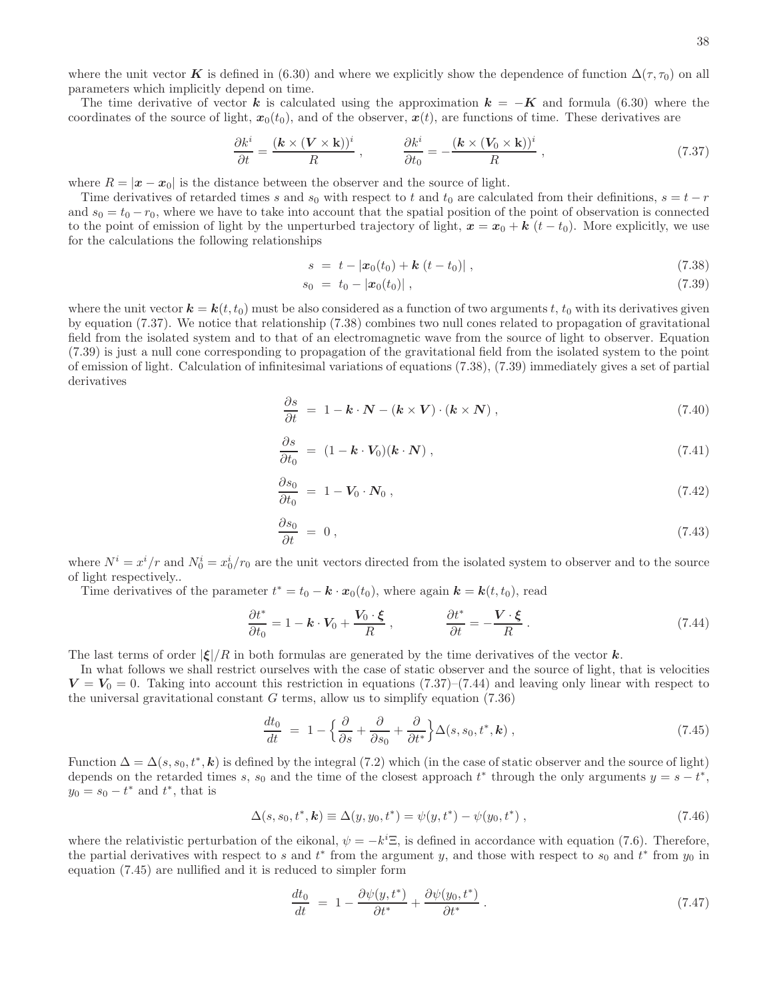where the unit vector K is defined in (6.30) and where we explicitly show the dependence of function  $\Delta(\tau, \tau_0)$  on all parameters which implicitly depend on time.

The time derivative of vector k is calculated using the approximation  $k = -K$  and formula (6.30) where the coordinates of the source of light,  $x_0(t_0)$ , and of the observer,  $x(t)$ , are functions of time. These derivatives are

$$
\frac{\partial k^i}{\partial t} = \frac{(\mathbf{k} \times (\mathbf{V} \times \mathbf{k}))^i}{R} , \qquad \frac{\partial k^i}{\partial t_0} = -\frac{(\mathbf{k} \times (\mathbf{V}_0 \times \mathbf{k}))^i}{R} , \qquad (7.37)
$$

where  $R = |\mathbf{x} - \mathbf{x}_0|$  is the distance between the observer and the source of light.

Time derivatives of retarded times s and s<sub>0</sub> with respect to t and t<sub>0</sub> are calculated from their definitions,  $s = t - r$ and  $s_0 = t_0 - r_0$ , where we have to take into account that the spatial position of the point of observation is connected to the point of emission of light by the unperturbed trajectory of light,  $x = x_0 + k$   $(t - t_0)$ . More explicitly, we use for the calculations the following relationships

$$
s = t - |\boldsymbol{x}_0(t_0) + \boldsymbol{k} (t - t_0)| , \qquad (7.38)
$$

$$
s_0 = t_0 - |\boldsymbol{x}_0(t_0)| \,, \tag{7.39}
$$

where the unit vector  $k = k(t, t_0)$  must be also considered as a function of two arguments t,  $t_0$  with its derivatives given by equation (7.37). We notice that relationship (7.38) combines two null cones related to propagation of gravitational field from the isolated system and to that of an electromagnetic wave from the source of light to observer. Equation (7.39) is just a null cone corresponding to propagation of the gravitational field from the isolated system to the point of emission of light. Calculation of infinitesimal variations of equations (7.38), (7.39) immediately gives a set of partial derivatives

$$
\frac{\partial s}{\partial t} = 1 - \mathbf{k} \cdot \mathbf{N} - (\mathbf{k} \times \mathbf{V}) \cdot (\mathbf{k} \times \mathbf{N}), \qquad (7.40)
$$

$$
\frac{\partial s}{\partial t_0} = (1 - \mathbf{k} \cdot \mathbf{V}_0)(\mathbf{k} \cdot \mathbf{N}), \qquad (7.41)
$$

$$
\frac{\partial s_0}{\partial t_0} = 1 - V_0 \cdot N_0 , \qquad (7.42)
$$

$$
\frac{\partial s_0}{\partial t} = 0, \tag{7.43}
$$

where  $N^i = x^i/r$  and  $N_0^i = x_0^i/r_0$  are the unit vectors directed from the isolated system to observer and to the source of light respectively..

Time derivatives of the parameter  $t^* = t_0 - \mathbf{k} \cdot \mathbf{x}_0(t_0)$ , where again  $\mathbf{k} = \mathbf{k}(t, t_0)$ , read

$$
\frac{\partial t^*}{\partial t_0} = 1 - \mathbf{k} \cdot \mathbf{V}_0 + \frac{\mathbf{V}_0 \cdot \boldsymbol{\xi}}{R} , \qquad \qquad \frac{\partial t^*}{\partial t} = -\frac{\mathbf{V} \cdot \boldsymbol{\xi}}{R} . \tag{7.44}
$$

The last terms of order  $|\xi|/R$  in both formulas are generated by the time derivatives of the vector k.

In what follows we shall restrict ourselves with the case of static observer and the source of light, that is velocities  $V = V_0 = 0$ . Taking into account this restriction in equations (7.37)–(7.44) and leaving only linear with respect to the universal gravitational constant  $G$  terms, allow us to simplify equation  $(7.36)$ 

$$
\frac{dt_0}{dt} = 1 - \left\{ \frac{\partial}{\partial s} + \frac{\partial}{\partial s_0} + \frac{\partial}{\partial t^*} \right\} \Delta(s, s_0, t^*, \mathbf{k}), \tag{7.45}
$$

Function  $\Delta = \Delta(s, s_0, t^*, \mathbf{k})$  is defined by the integral (7.2) which (in the case of static observer and the source of light) depends on the retarded times s, s<sub>0</sub> and the time of the closest approach  $t^*$  through the only arguments  $y = s - t^*$ ,  $y_0 = s_0 - t^*$  and  $t^*$ , that is

$$
\Delta(s, s_0, t^*, \mathbf{k}) \equiv \Delta(y, y_0, t^*) = \psi(y, t^*) - \psi(y_0, t^*) , \qquad (7.46)
$$

where the relativistic perturbation of the eikonal,  $\psi = -k^i \Xi$ , is defined in accordance with equation (7.6). Therefore, the partial derivatives with respect to s and  $t^*$  from the argument y, and those with respect to s<sub>0</sub> and  $t^*$  from  $y_0$  in equation (7.45) are nullified and it is reduced to simpler form

$$
\frac{dt_0}{dt} = 1 - \frac{\partial \psi(y, t^*)}{\partial t^*} + \frac{\partial \psi(y_0, t^*)}{\partial t^*} \,. \tag{7.47}
$$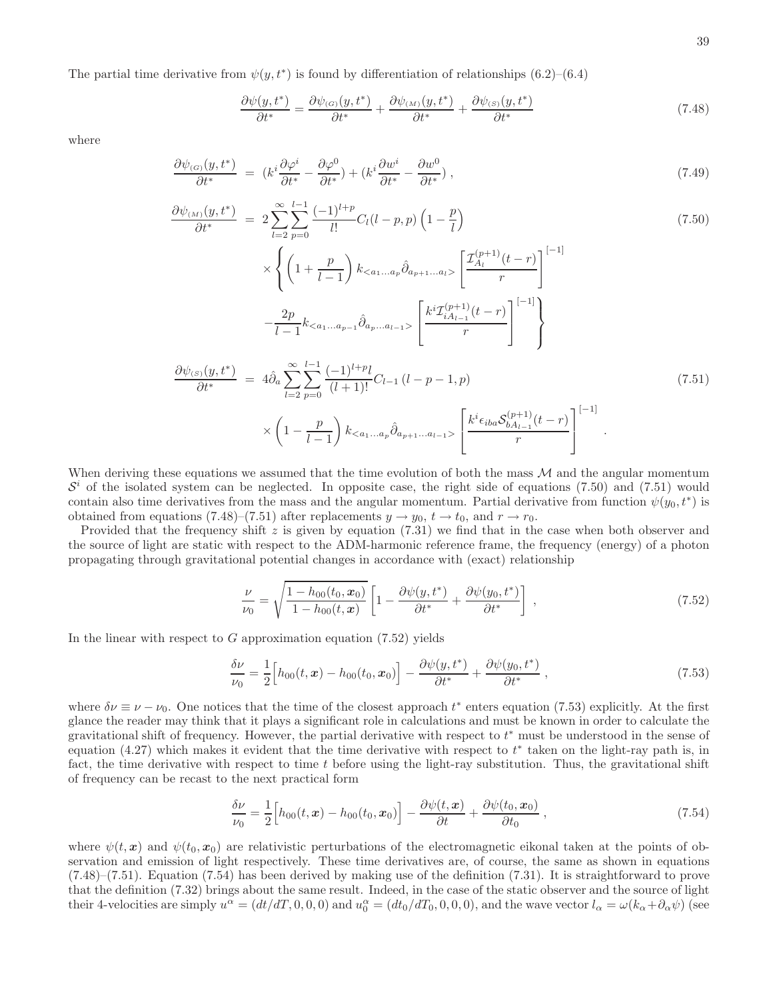The partial time derivative from  $\psi(y, t^*)$  is found by differentiation of relationships  $(6.2)$ – $(6.4)$ 

$$
\frac{\partial \psi(y, t^*)}{\partial t^*} = \frac{\partial \psi_{(G)}(y, t^*)}{\partial t^*} + \frac{\partial \psi_{(M)}(y, t^*)}{\partial t^*} + \frac{\partial \psi_{(S)}(y, t^*)}{\partial t^*}
$$
(7.48)

where

$$
\frac{\partial \psi_{(G)}(y, t^*)}{\partial t^*} = (k^i \frac{\partial \varphi^i}{\partial t^*} - \frac{\partial \varphi^0}{\partial t^*}) + (k^i \frac{\partial w^i}{\partial t^*} - \frac{\partial w^0}{\partial t^*}), \tag{7.49}
$$

$$
\frac{\partial \psi_{(M)}(y, t^{*})}{\partial t^{*}} = 2 \sum_{l=2}^{\infty} \sum_{p=0}^{l-1} \frac{(-1)^{l+p}}{l!} C_{l}(l-p, p) \left(1 - \frac{p}{l}\right)
$$
\n
$$
\times \left\{ \left(1 + \frac{p}{l-1}\right) k_{< a_{1} \dots a_{p}} \hat{\partial}_{a_{p+1} \dots a_{l}} \left[\frac{\mathcal{I}_{A_{l}}^{(p+1)}(t-r)}{r}\right]^{-1} \right\}
$$
\n
$$
- \frac{2p}{l-1} k_{< a_{1} \dots a_{p-1}} \hat{\partial}_{a_{p} \dots a_{l-1}} \left[\frac{k^{i} \mathcal{I}_{iA_{l-1}}^{(p+1)}(t-r)}{r}\right]^{-1} \right\}
$$
\n
$$
\frac{\partial \psi_{(S)}(y, t^{*})}{\partial t^{*}} = 4 \hat{\partial}_{a} \sum_{l=2}^{\infty} \sum_{p=0}^{l-1} \frac{(-1)^{l+p} l}{(l+1)!} C_{l-1} (l-p-1, p) \tag{7.51}
$$

$$
\times \left(1 - \frac{p}{l-1}\right) k_{\lt a_1 \ldots a_p} \hat{\partial}_{a_{p+1} \ldots a_{l-1}} \left[\frac{k^i \epsilon_{iba} \mathcal{S}^{(p+1)}_{b A_{l-1}}(t-r)}{r}\right]^{[-1]}.
$$

When deriving these equations we assumed that the time evolution of both the mass  $M$  and the angular momentum  $\mathcal{S}^i$  of the isolated system can be neglected. In opposite case, the right side of equations (7.50) and (7.51) would contain also time derivatives from the mass and the angular momentum. Partial derivative from function  $\psi(y_0, t^*)$  is obtained from equations (7.48)–(7.51) after replacements  $y \to y_0$ ,  $t \to t_0$ , and  $r \to r_0$ .

Provided that the frequency shift  $z$  is given by equation (7.31) we find that in the case when both observer and the source of light are static with respect to the ADM-harmonic reference frame, the frequency (energy) of a photon propagating through gravitational potential changes in accordance with (exact) relationship

$$
\frac{\nu}{\nu_0} = \sqrt{\frac{1 - h_{00}(t_0, \mathbf{x}_0)}{1 - h_{00}(t, \mathbf{x})}} \left[ 1 - \frac{\partial \psi(y, t^*)}{\partial t^*} + \frac{\partial \psi(y_0, t^*)}{\partial t^*} \right],
$$
\n(7.52)

In the linear with respect to  $G$  approximation equation  $(7.52)$  yields

$$
\frac{\delta \nu}{\nu_0} = \frac{1}{2} \Big[ h_{00}(t, \mathbf{x}) - h_{00}(t_0, \mathbf{x}_0) \Big] - \frac{\partial \psi(y, t^*)}{\partial t^*} + \frac{\partial \psi(y_0, t^*)}{\partial t^*} , \qquad (7.53)
$$

where  $\delta \nu \equiv \nu - \nu_0$ . One notices that the time of the closest approach t\* enters equation (7.53) explicitly. At the first glance the reader may think that it plays a significant role in calculations and must be known in order to calculate the gravitational shift of frequency. However, the partial derivative with respect to  $t^*$  must be understood in the sense of equation  $(4.27)$  which makes it evident that the time derivative with respect to  $t^*$  taken on the light-ray path is, in fact, the time derivative with respect to time  $t$  before using the light-ray substitution. Thus, the gravitational shift of frequency can be recast to the next practical form

$$
\frac{\delta \nu}{\nu_0} = \frac{1}{2} \Big[ h_{00}(t, \boldsymbol{x}) - h_{00}(t_0, \boldsymbol{x}_0) \Big] - \frac{\partial \psi(t, \boldsymbol{x})}{\partial t} + \frac{\partial \psi(t_0, \boldsymbol{x}_0)}{\partial t_0} \,, \tag{7.54}
$$

where  $\psi(t, x)$  and  $\psi(t_0, x_0)$  are relativistic perturbations of the electromagnetic eikonal taken at the points of observation and emission of light respectively. These time derivatives are, of course, the same as shown in equations  $(7.48)$ – $(7.51)$ . Equation  $(7.54)$  has been derived by making use of the definition  $(7.31)$ . It is straightforward to prove that the definition (7.32) brings about the same result. Indeed, in the case of the static observer and the source of light their 4-velocities are simply  $u^{\alpha} = (dt/dT, 0, 0, 0)$  and  $u_0^{\alpha} = (dt_0/dT_0, 0, 0, 0)$ , and the wave vector  $l_{\alpha} = \omega(k_{\alpha} + \partial_{\alpha}\psi)$  (see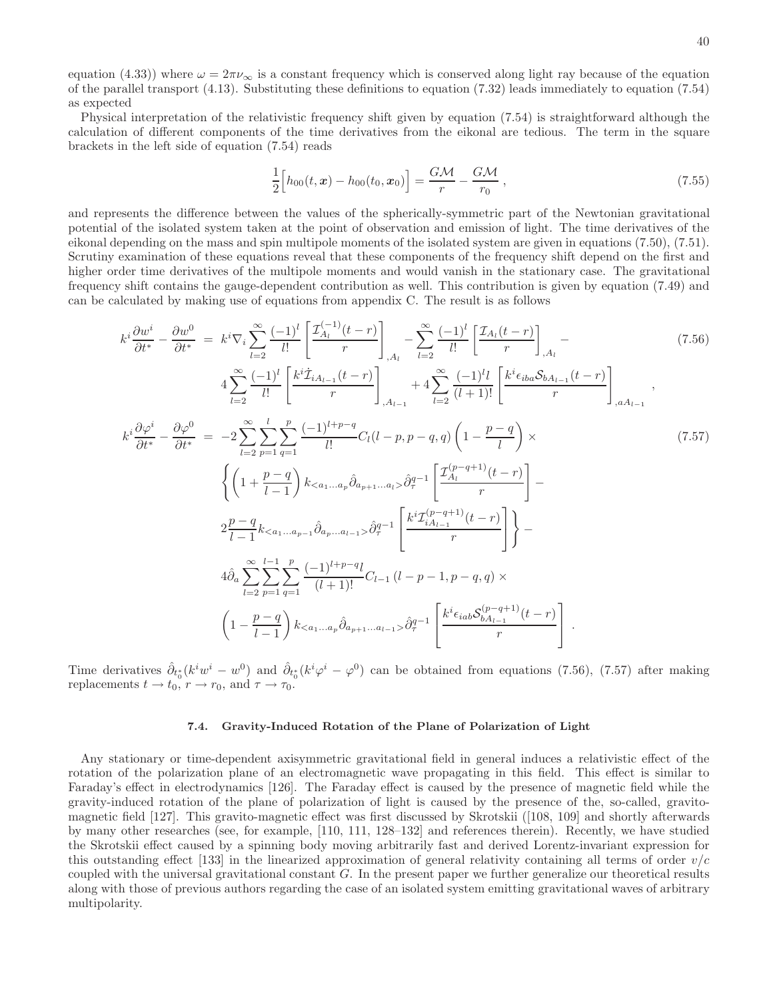equation (4.33)) where  $\omega = 2\pi\nu_{\infty}$  is a constant frequency which is conserved along light ray because of the equation of the parallel transport (4.13). Substituting these definitions to equation (7.32) leads immediately to equation (7.54) as expected

Physical interpretation of the relativistic frequency shift given by equation (7.54) is straightforward although the calculation of different components of the time derivatives from the eikonal are tedious. The term in the square brackets in the left side of equation (7.54) reads

$$
\frac{1}{2} \Big[ h_{00}(t, \mathbf{x}) - h_{00}(t_0, \mathbf{x}_0) \Big] = \frac{G \mathcal{M}}{r} - \frac{G \mathcal{M}}{r_0} , \qquad (7.55)
$$

and represents the difference between the values of the spherically-symmetric part of the Newtonian gravitational potential of the isolated system taken at the point of observation and emission of light. The time derivatives of the eikonal depending on the mass and spin multipole moments of the isolated system are given in equations (7.50), (7.51). Scrutiny examination of these equations reveal that these components of the frequency shift depend on the first and higher order time derivatives of the multipole moments and would vanish in the stationary case. The gravitational frequency shift contains the gauge-dependent contribution as well. This contribution is given by equation (7.49) and can be calculated by making use of equations from appendix C. The result is as follows

$$
k^{i} \frac{\partial w^{i}}{\partial t^{*}} - \frac{\partial w^{0}}{\partial t^{*}} = k^{i} \nabla_{i} \sum_{l=2}^{\infty} \frac{(-1)^{l}}{l!} \left[ \frac{\mathcal{I}_{A_{l}}^{(-1)}(t-r)}{r} \right]_{,A_{l}} - \sum_{l=2}^{\infty} \frac{(-1)^{l}}{l!} \left[ \frac{\mathcal{I}_{A_{l}}(t-r)}{r} \right]_{,A_{l}} - 4 \sum_{l=2}^{\infty} \frac{(-1)^{l}}{l!} \left[ \frac{k^{i} \mathcal{I}_{i A_{l-1}}(t-r)}{r} \right]_{,A_{l-1}} + 4 \sum_{l=2}^{\infty} \frac{(-1)^{l} l}{(l+1)!} \left[ \frac{k^{i} \epsilon_{i b a} \mathcal{S}_{b A_{l-1}}(t-r)}{r} \right]_{,a A_{l-1}},
$$
\n
$$
k^{i} \frac{\partial \varphi^{i}}{\partial t^{*}} - \frac{\partial \varphi^{0}}{\partial t^{*}} = -2 \sum_{l=2}^{\infty} \sum_{p=1}^{l} \sum_{q=1}^{p} \frac{(-1)^{l+p-q}}{l!} C_{l}(l-p, p-q, q) \left( 1 - \frac{p-q}{l} \right) \times \left\{ \left( 1 + \frac{p-q}{l-1} \right) k_{< a_{1}...a_{p}} \partial_{a_{p+1}...a_{l}} \partial_{a_{p+1}...a_{l}} \partial_{a_{r}}^{-1} \left[ \frac{\mathcal{I}_{A_{l}}^{(p-q+1)}(t-r)}{r} \right] - 2 \frac{p-q}{l-1} k_{< a_{1}...a_{p-1}} \partial_{a_{p}...a_{l-1}} \partial_{a_{p}...a_{l-1}} \partial_{a_{r}}^{-1} \left[ \frac{k^{i} \mathcal{I}_{i A_{l-1}}^{(p-q+1)}(t-r)}{r} \right] \right\} - 4 \partial_{a} \sum_{l=2}^{\infty} \sum_{p=1}^{l-1} \sum_{q=1}^{p} \frac{(-1)^{l+p-q} l}{(l+1)!} C_{l-1} (l-p-1, p-q, q) \times \left\{ 1 - \frac{p-q}{l-1} \right\} k_{< a_{1}
$$

Time derivatives  $\hat{\partial}_{t_0^*}(k^iw^i - w^0)$  and  $\hat{\partial}_{t_0^*}(k^i\varphi^i - \varphi^0)$  can be obtained from equations (7.56), (7.57) after making replacements  $t \to t_0$ ,  $r \to r_0$ , and  $\tau \to \tau_0$ .

# 7.4. Gravity-Induced Rotation of the Plane of Polarization of Light

Any stationary or time-dependent axisymmetric gravitational field in general induces a relativistic effect of the rotation of the polarization plane of an electromagnetic wave propagating in this field. This effect is similar to Faraday's effect in electrodynamics [126]. The Faraday effect is caused by the presence of magnetic field while the gravity-induced rotation of the plane of polarization of light is caused by the presence of the, so-called, gravitomagnetic field [127]. This gravito-magnetic effect was first discussed by Skrotskii ([108, 109] and shortly afterwards by many other researches (see, for example, [110, 111, 128–132] and references therein). Recently, we have studied the Skrotskii effect caused by a spinning body moving arbitrarily fast and derived Lorentz-invariant expression for this outstanding effect [133] in the linearized approximation of general relativity containing all terms of order  $v/c$ coupled with the universal gravitational constant G. In the present paper we further generalize our theoretical results along with those of previous authors regarding the case of an isolated system emitting gravitational waves of arbitrary multipolarity.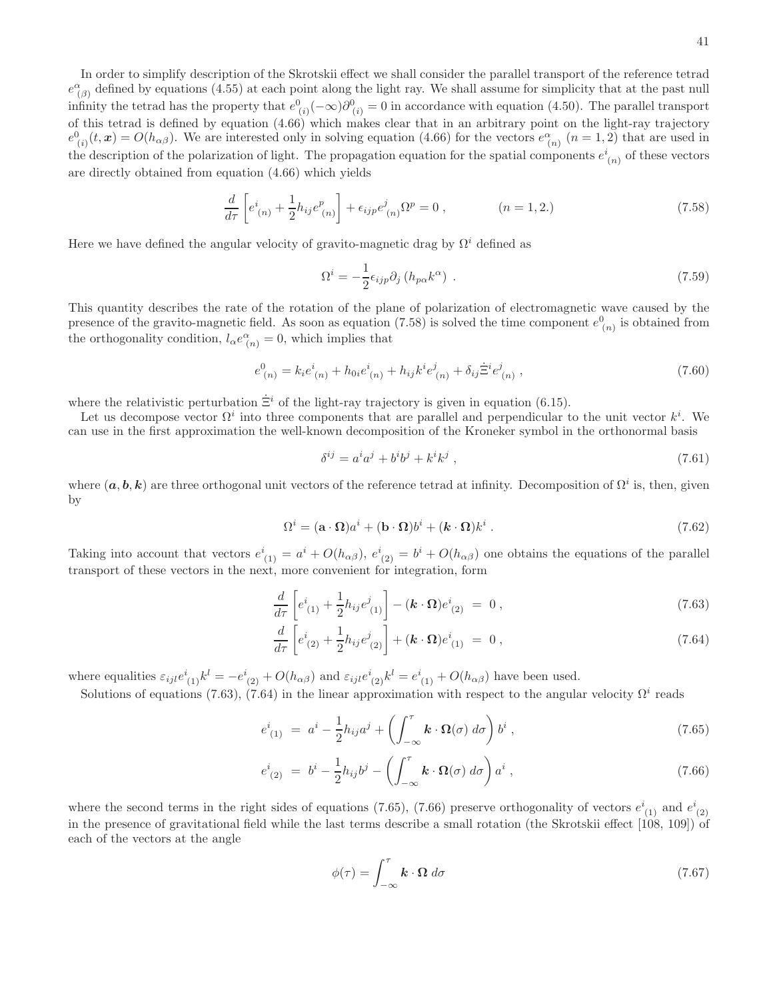In order to simplify description of the Skrotskii effect we shall consider the parallel transport of the reference tetrad  $e^{\alpha}_{(\beta)}$  defined by equations (4.55) at each point along the light ray. We shall assume for simplicity that at the past null infinity the tetrad has the property that  $e^0_{(i)}(-\infty)\partial^0_{(i)}=0$  in accordance with equation (4.50). The parallel transport of this tetrad is defined by equation (4.66) which makes clear that in an arbitrary point on the light-ray trajectory  $e_{(i)}^0(t, x) = O(h_{\alpha\beta})$ . We are interested only in solving equation (4.66) for the vectors  $e_{(n)}^{\alpha}$  ( $n = 1, 2$ ) that are used in the description of the polarization of light. The propagation equation for the spatial components  $e^i_{(n)}$  of these vectors are directly obtained from equation (4.66) which yields

$$
\frac{d}{d\tau} \left[ e^i_{(n)} + \frac{1}{2} h_{ij} e^p_{(n)} \right] + \epsilon_{ijp} e^j_{(n)} \Omega^p = 0 , \qquad (n = 1, 2.) \tag{7.58}
$$

Here we have defined the angular velocity of gravito-magnetic drag by  $\Omega^i$  defined as

$$
\Omega^i = -\frac{1}{2} \epsilon_{ijp} \partial_j \left( h_{p\alpha} k^{\alpha} \right) \,. \tag{7.59}
$$

This quantity describes the rate of the rotation of the plane of polarization of electromagnetic wave caused by the presence of the gravito-magnetic field. As soon as equation (7.58) is solved the time component  $e_{(n)}^0$  is obtained from the orthogonality condition,  $l_{\alpha}e^{\alpha}_{(n)}=0$ , which implies that

$$
e^{0}_{(n)} = k_{i}e^{i}_{(n)} + h_{0i}e^{i}_{(n)} + h_{ij}k^{i}e^{j}_{(n)} + \delta_{ij}\dot{\Xi}^{i}e^{j}_{(n)},
$$
\n(7.60)

where the relativistic perturbation  $\dot{\Xi}^i$  of the light-ray trajectory is given in equation (6.15).

Let us decompose vector  $\Omega^i$  into three components that are parallel and perpendicular to the unit vector  $k^i$ . We can use in the first approximation the well-known decomposition of the Kroneker symbol in the orthonormal basis

$$
\delta^{ij} = a^i a^j + b^i b^j + k^i k^j \,,\tag{7.61}
$$

where  $(a, b, k)$  are three orthogonal unit vectors of the reference tetrad at infinity. Decomposition of  $\Omega^i$  is, then, given by

$$
\Omega^{i} = (\mathbf{a} \cdot \mathbf{\Omega})a^{i} + (\mathbf{b} \cdot \mathbf{\Omega})b^{i} + (\mathbf{k} \cdot \mathbf{\Omega})k^{i}.
$$
 (7.62)

Taking into account that vectors  $e^i_{(1)} = a^i + O(h_{\alpha\beta})$ ,  $e^i_{(2)} = b^i + O(h_{\alpha\beta})$  one obtains the equations of the parallel transport of these vectors in the next, more convenient for integration, form

$$
\frac{d}{d\tau} \left[ e^i_{(1)} + \frac{1}{2} h_{ij} e^j_{(1)} \right] - (\mathbf{k} \cdot \mathbf{\Omega}) e^i_{(2)} = 0 , \qquad (7.63)
$$

$$
\frac{d}{d\tau}\left[e^{i}_{(2)} + \frac{1}{2}h_{ij}e^{j}_{(2)}\right] + (\mathbf{k} \cdot \mathbf{\Omega})e^{i}_{(1)} = 0, \qquad (7.64)
$$

where equalities  $\varepsilon_{ijl}e^{i}_{(1)}k^{l} = -e^{i}_{(2)} + O(h_{\alpha\beta})$  and  $\varepsilon_{ijl}e^{i}_{(2)}k^{l} = e^{i}_{(1)} + O(h_{\alpha\beta})$  have been used.

Solutions of equations (7.63), (7.64) in the linear approximation with respect to the angular velocity  $\Omega^i$  reads

$$
e^{i}_{(1)} = a^{i} - \frac{1}{2}h_{ij}a^{j} + \left(\int_{-\infty}^{\tau} \mathbf{k} \cdot \mathbf{\Omega}(\sigma) d\sigma\right) b^{i}, \qquad (7.65)
$$

$$
e^{i}_{(2)} = b^{i} - \frac{1}{2}h_{ij}b^{j} - \left(\int_{-\infty}^{\tau} \mathbf{k} \cdot \mathbf{\Omega}(\sigma) d\sigma\right) a^{i}, \qquad (7.66)
$$

where the second terms in the right sides of equations (7.65), (7.66) preserve orthogonality of vectors  $e^{i}_{(1)}$  and  $e^{i}_{(2)}$ in the presence of gravitational field while the last terms describe a small rotation (the Skrotskii effect [108, 109]) of each of the vectors at the angle

$$
\phi(\tau) = \int_{-\infty}^{\tau} \mathbf{k} \cdot \mathbf{\Omega} \, d\sigma \tag{7.67}
$$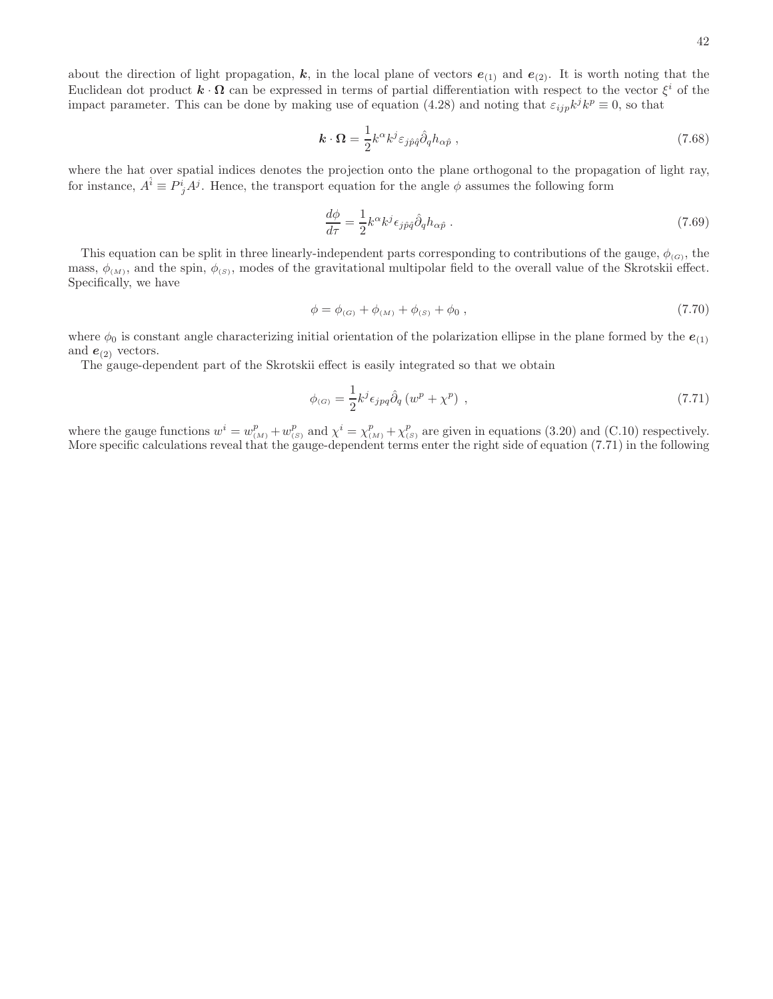42

about the direction of light propagation, k, in the local plane of vectors  $e_{(1)}$  and  $e_{(2)}$ . It is worth noting that the Euclidean dot product  $\mathbf{k} \cdot \mathbf{\Omega}$  can be expressed in terms of partial differentiation with respect to the vector  $\xi^i$  of the impact parameter. This can be done by making use of equation (4.28) and noting that  $\varepsilon_{ijp}k^{j}k^{p} \equiv 0$ , so that

$$
\mathbf{k} \cdot \mathbf{\Omega} = \frac{1}{2} k^{\alpha} k^{j} \varepsilon_{j \hat{p} \hat{q}} \hat{\partial}_{q} h_{\alpha \hat{p}} , \qquad (7.68)
$$

where the hat over spatial indices denotes the projection onto the plane orthogonal to the propagation of light ray, for instance,  $A^{\hat{i}} \equiv P^i_j A^j$ . Hence, the transport equation for the angle  $\phi$  assumes the following form

$$
\frac{d\phi}{d\tau} = \frac{1}{2}k^{\alpha}k^{j}\epsilon_{j\hat{p}\hat{q}}\hat{\partial}_{q}h_{\alpha\hat{p}}.
$$
\n(7.69)

This equation can be split in three linearly-independent parts corresponding to contributions of the gauge,  $\phi_{(G)}$ , the mass,  $\phi_{(M)}$ , and the spin,  $\phi_{(S)}$ , modes of the gravitational multipolar field to the overall value of the Skrotskii effect. Specifically, we have

$$
\phi = \phi_{(G)} + \phi_{(M)} + \phi_{(S)} + \phi_0 , \qquad (7.70)
$$

where  $\phi_0$  is constant angle characterizing initial orientation of the polarization ellipse in the plane formed by the  $e_{(1)}$ and  $e_{(2)}$  vectors.

The gauge-dependent part of the Skrotskii effect is easily integrated so that we obtain

$$
\phi_{(G)} = \frac{1}{2} k^j \epsilon_{jpq} \hat{\partial}_q \left( w^p + \chi^p \right) , \qquad (7.71)
$$

where the gauge functions  $w^i = w_{(M)}^p + w_{(S)}^p$  and  $\chi^i = \chi_{(M)}^p + \chi_{(S)}^p$  are given in equations (3.20) and (C.10) respectively. More specific calculations reveal that the gauge-dependent terms enter the right side of equation (7.71) in the following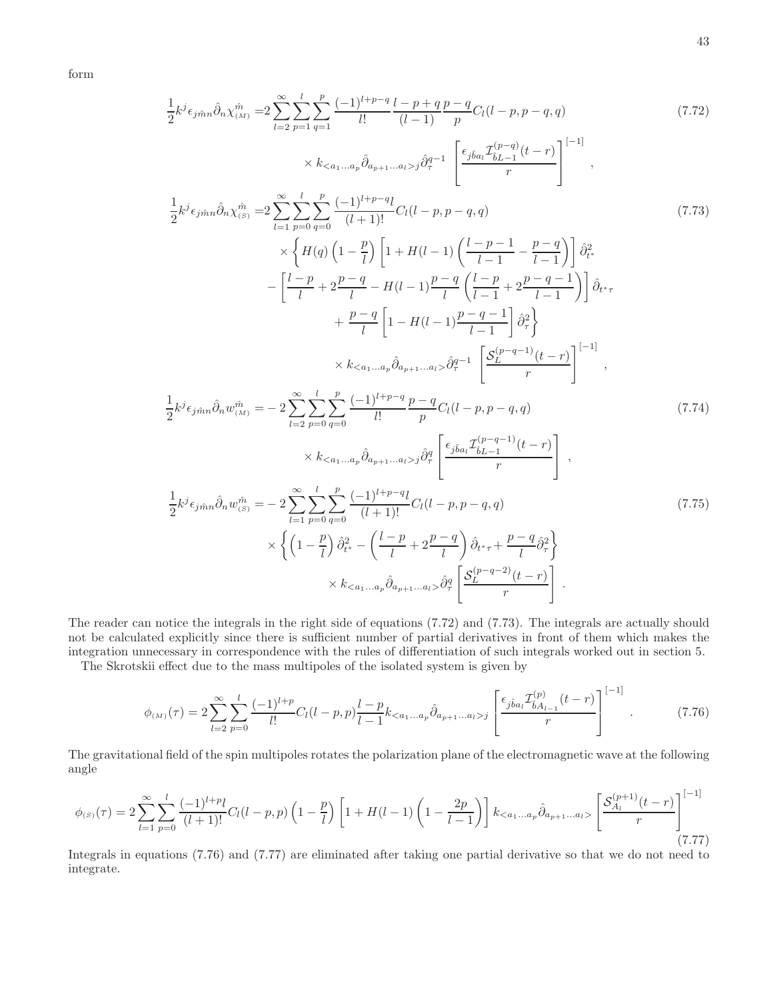form

$$
\frac{1}{2}k^{j}\epsilon_{j\hat{m}n}\hat{\partial}_{n}\chi_{(\Delta t)}^{n} = 2\sum_{l=2}^{\infty}\sum_{p=1}^{l}\sum_{q=1}^{p} \frac{(-1)^{l+p-q}l-p+q p-q}{(l-1)!}p^{c}c_{l}(l-p,p-q,q)
$$
\n
$$
\times k_{\n
$$
\frac{1}{2}k^{j}\epsilon_{j\hat{m}n}\hat{\partial}_{n}\chi_{(\delta)}^{n} = 2\sum_{l=1}^{\infty}\sum_{p=0}^{l}\sum_{q=0}^{p} \frac{(-1)^{l+p-q}l}{(l+1)!}C_{l}(l-p,p-q,q)
$$
\n
$$
\times \left\{H(q)\left(1-\frac{p}{l}\right)\left[1+H(l-1)\left(\frac{l-p-1}{l-1}-\frac{p-q}{l-1}\right)\right]\hat{\partial}_{t}^{2},
$$
\n
$$
-\left[\frac{l-p}{l}+2\frac{p-q}{l}-H(l-1)\frac{p-q}{l}\left(\frac{l-p}{l-1}+2\frac{p-q-1}{l-1}\right)\right]\hat{\partial}_{t+r}^{2} + \frac{p-q}{l}\left[1-H(l-1)\frac{p-q-1}{l-1}\right]\hat{\partial}_{r}^{2}\right\}
$$
\n
$$
\times k_{\n
$$
\frac{1}{2}k^{j}\epsilon_{j\hat{m}n}\hat{\partial}_{n}w_{(\Delta t)}^{n} = -2\sum_{l=2}^{\infty}\sum_{p=0}^{l}\sum_{q=0}^{p} \frac{(-1)^{l+p-q}l}{l!}D_{l}(l-p,p-q,q)
$$
\n
$$
\times k_{
$$
$$
$$

The reader can notice the integrals in the right side of equations (7.72) and (7.73). The integrals are actually should not be calculated explicitly since there is sufficient number of partial derivatives in front of them which makes the integration unnecessary in correspondence with the rules of differentiation of such integrals worked out in section 5.

The Skrotskii effect due to the mass multipoles of the isolated system is given by

$$
\phi_{(M)}(\tau) = 2 \sum_{l=2}^{\infty} \sum_{p=0}^{l} \frac{(-1)^{l+p}}{l!} C_l(l-p,p) \frac{l-p}{l-1} k_{\langle a_1...a_p} \hat{\partial}_{a_{p+1}...a_l \rangle j} \left[ \frac{\epsilon_{j\hat{b}a_l} \mathcal{I}_{\hat{b}A_{l-1}}^{(p)}(t-r)}{r} \right]^{[-1]}.
$$
 (7.76)

The gravitational field of the spin multipoles rotates the polarization plane of the electromagnetic wave at the following angle

$$
\phi_{(S)}(\tau) = 2 \sum_{l=1}^{\infty} \sum_{p=0}^{l} \frac{(-1)^{l+p} l}{(l+1)!} C_l(l-p,p) \left(1 - \frac{p}{l}\right) \left[1 + H(l-1) \left(1 - \frac{2p}{l-1}\right)\right] k_{\leq a_1...a_p} \hat{\partial}_{a_{p+1}...a_l} \left[\frac{S_{A_l}^{(p+1)}(t-r)}{r}\right]^{[-1]} \tag{7.77}
$$

Integrals in equations (7.76) and (7.77) are eliminated after taking one partial derivative so that we do not need to integrate.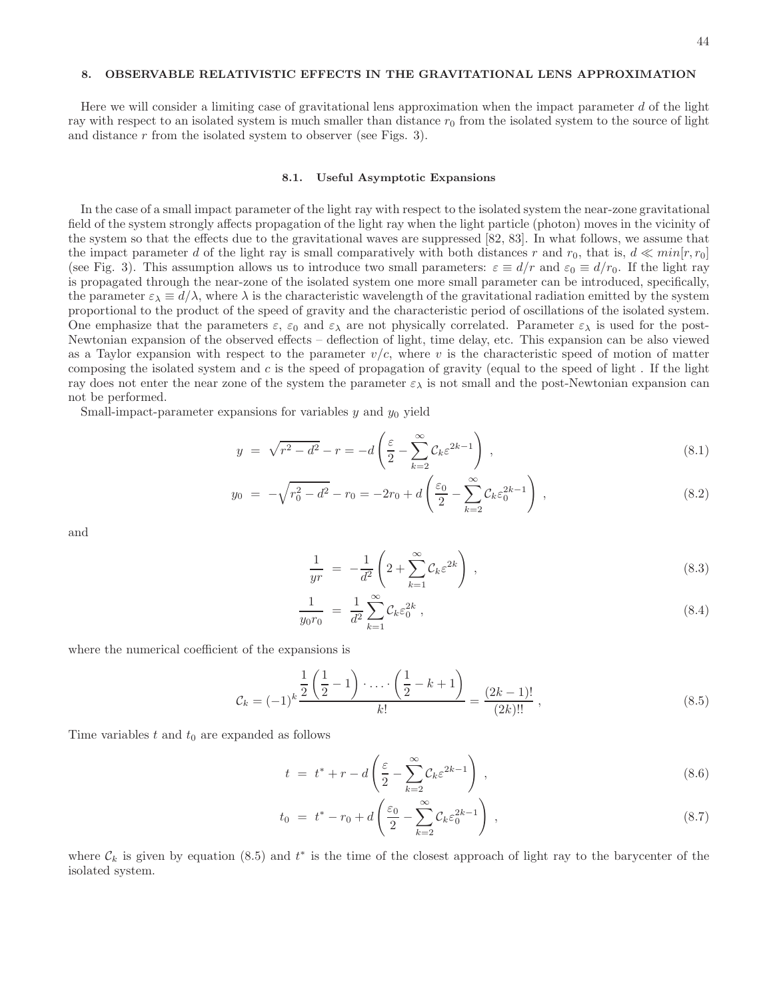# 8. OBSERVABLE RELATIVISTIC EFFECTS IN THE GRAVITATIONAL LENS APPROXIMATION

Here we will consider a limiting case of gravitational lens approximation when the impact parameter  $d$  of the light ray with respect to an isolated system is much smaller than distance  $r_0$  from the isolated system to the source of light and distance r from the isolated system to observer (see Figs. 3).

#### 8.1. Useful Asymptotic Expansions

In the case of a small impact parameter of the light ray with respect to the isolated system the near-zone gravitational field of the system strongly affects propagation of the light ray when the light particle (photon) moves in the vicinity of the system so that the effects due to the gravitational waves are suppressed [82, 83]. In what follows, we assume that the impact parameter d of the light ray is small comparatively with both distances r and  $r_0$ , that is,  $d \ll min[r, r_0]$ (see Fig. 3). This assumption allows us to introduce two small parameters:  $\varepsilon \equiv d/r$  and  $\varepsilon_0 \equiv d/r_0$ . If the light ray is propagated through the near-zone of the isolated system one more small parameter can be introduced, specifically, the parameter  $\varepsilon_{\lambda} \equiv d/\lambda$ , where  $\lambda$  is the characteristic wavelength of the gravitational radiation emitted by the system proportional to the product of the speed of gravity and the characteristic period of oscillations of the isolated system. One emphasize that the parameters  $\varepsilon$ ,  $\varepsilon_0$  and  $\varepsilon_\lambda$  are not physically correlated. Parameter  $\varepsilon_\lambda$  is used for the post-Newtonian expansion of the observed effects – deflection of light, time delay, etc. This expansion can be also viewed as a Taylor expansion with respect to the parameter  $v/c$ , where v is the characteristic speed of motion of matter composing the isolated system and  $c$  is the speed of propagation of gravity (equal to the speed of light. If the light ray does not enter the near zone of the system the parameter  $\varepsilon_{\lambda}$  is not small and the post-Newtonian expansion can not be performed.

Small-impact-parameter expansions for variables  $y$  and  $y_0$  yield

$$
y = \sqrt{r^2 - d^2} - r = -d\left(\frac{\varepsilon}{2} - \sum_{k=2}^{\infty} C_k \varepsilon^{2k-1}\right),
$$
\n(8.1)

$$
y_0 = -\sqrt{r_0^2 - d^2} - r_0 = -2r_0 + d\left(\frac{\varepsilon_0}{2} - \sum_{k=2}^{\infty} C_k \varepsilon_0^{2k-1}\right),\tag{8.2}
$$

and

$$
\frac{1}{yr} = -\frac{1}{d^2} \left( 2 + \sum_{k=1}^{\infty} C_k \varepsilon^{2k} \right) , \qquad (8.3)
$$

$$
\frac{1}{y_0 r_0} = \frac{1}{d^2} \sum_{k=1}^{\infty} C_k \varepsilon_0^{2k} , \qquad (8.4)
$$

where the numerical coefficient of the expansions is

$$
\mathcal{C}_k = (-1)^k \frac{\frac{1}{2} \left( \frac{1}{2} - 1 \right) \cdot \ldots \cdot \left( \frac{1}{2} - k + 1 \right)}{k!} = \frac{(2k - 1)!}{(2k)!!},
$$
\n(8.5)

Time variables  $t$  and  $t_0$  are expanded as follows

$$
t = t^* + r - d\left(\frac{\varepsilon}{2} - \sum_{k=2}^{\infty} C_k \varepsilon^{2k-1}\right),
$$
\n(8.6)

$$
t_0 = t^* - r_0 + d\left(\frac{\varepsilon_0}{2} - \sum_{k=2}^{\infty} C_k \varepsilon_0^{2k-1}\right) , \qquad (8.7)
$$

where  $\mathcal{C}_k$  is given by equation (8.5) and  $t^*$  is the time of the closest approach of light ray to the barycenter of the isolated system.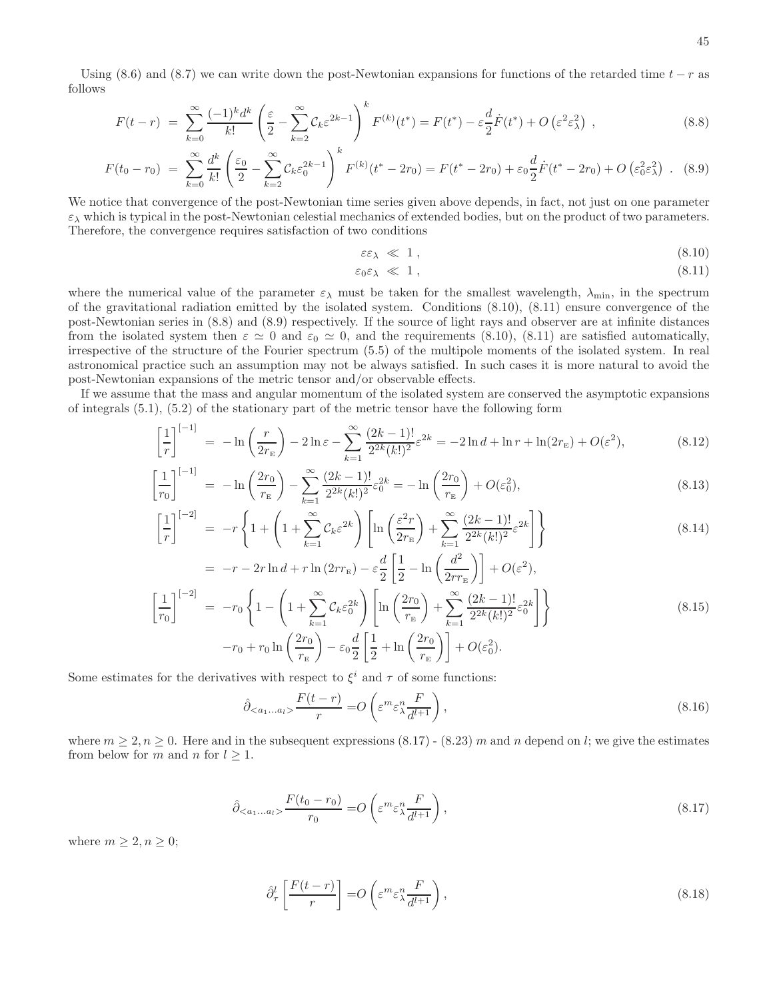Using (8.6) and (8.7) we can write down the post-Newtonian expansions for functions of the retarded time  $t - r$  as follows

$$
F(t-r) = \sum_{k=0}^{\infty} \frac{(-1)^k d^k}{k!} \left( \frac{\varepsilon}{2} - \sum_{k=2}^{\infty} C_k \varepsilon^{2k-1} \right)^k F^{(k)}(t^*) = F(t^*) - \varepsilon \frac{d}{2} \dot{F}(t^*) + O\left(\varepsilon^2 \varepsilon \frac{2}{\lambda}\right) ,\tag{8.8}
$$

$$
F(t_0 - r_0) = \sum_{k=0}^{\infty} \frac{d^k}{k!} \left( \frac{\varepsilon_0}{2} - \sum_{k=2}^{\infty} C_k \varepsilon_0^{2k-1} \right)^k F^{(k)}(t^* - 2r_0) = F(t^* - 2r_0) + \varepsilon_0 \frac{d}{2} \dot{F}(t^* - 2r_0) + O\left(\varepsilon_0^2 \varepsilon_0^2\right) . \tag{8.9}
$$

We notice that convergence of the post-Newtonian time series given above depends, in fact, not just on one parameter  $\varepsilon_{\lambda}$  which is typical in the post-Newtonian celestial mechanics of extended bodies, but on the product of two parameters. Therefore, the convergence requires satisfaction of two conditions

$$
\varepsilon \varepsilon_{\lambda} \ll 1, \tag{8.10}
$$

$$
\varepsilon_0 \varepsilon_\lambda \ll 1 \,, \tag{8.11}
$$

where the numerical value of the parameter  $\varepsilon_{\lambda}$  must be taken for the smallest wavelength,  $\lambda_{\min}$ , in the spectrum of the gravitational radiation emitted by the isolated system. Conditions (8.10), (8.11) ensure convergence of the post-Newtonian series in (8.8) and (8.9) respectively. If the source of light rays and observer are at infinite distances from the isolated system then  $\varepsilon \simeq 0$  and  $\varepsilon_0 \simeq 0$ , and the requirements (8.10), (8.11) are satisfied automatically, irrespective of the structure of the Fourier spectrum (5.5) of the multipole moments of the isolated system. In real astronomical practice such an assumption may not be always satisfied. In such cases it is more natural to avoid the post-Newtonian expansions of the metric tensor and/or observable effects.

If we assume that the mass and angular momentum of the isolated system are conserved the asymptotic expansions of integrals (5.1), (5.2) of the stationary part of the metric tensor have the following form

$$
\left[\frac{1}{r}\right]^{[-1]} = -\ln\left(\frac{r}{2r_{\rm E}}\right) - 2\ln\varepsilon - \sum_{k=1}^{\infty} \frac{(2k-1)!}{2^{2k}(k!)^2} \varepsilon^{2k} = -2\ln d + \ln r + \ln(2r_{\rm E}) + O(\varepsilon^2),\tag{8.12}
$$

$$
\frac{1}{r_0} \bigg[ \frac{1}{r_0} \bigg] = -\ln\left(\frac{2r_0}{r_E}\right) - \sum_{k=1}^{\infty} \frac{(2k-1)!}{2^{2k}(k!)^2} \varepsilon_0^{2k} = -\ln\left(\frac{2r_0}{r_E}\right) + O(\varepsilon_0^2),\tag{8.13}
$$

$$
\left[\frac{1}{r}\right]^{[-2]} = -r\left\{1 + \left(1 + \sum_{k=1}^{\infty} C_k \varepsilon^{2k}\right) \left[\ln\left(\frac{\varepsilon^2 r}{2r_{\rm E}}\right) + \sum_{k=1}^{\infty} \frac{(2k-1)!}{2^{2k}(k!)^2} \varepsilon^{2k}\right]\right\}
$$
\n(8.14)

$$
= -r - 2r \ln d + r \ln (2rr_{\rm E}) - \varepsilon \frac{d}{2} \left[ \frac{1}{2} - \ln \left( \frac{d^2}{2rr_{\rm E}} \right) \right] + O(\varepsilon^2),
$$
  

$$
\left[ \frac{1}{r_0} \right]^{[-2]} = -r_0 \left\{ 1 - \left( 1 + \sum_{k=1}^{\infty} C_k \varepsilon_0^{2k} \right) \left[ \ln \left( \frac{2r_0}{r_{\rm E}} \right) + \sum_{k=1}^{\infty} \frac{(2k-1)!}{2^{2k} (k!)^2} \varepsilon_0^{2k} \right] \right\}
$$
  

$$
-r_0 + r_0 \ln \left( \frac{2r_0}{r_{\rm E}} \right) - \varepsilon_0 \frac{d}{2} \left[ \frac{1}{2} + \ln \left( \frac{2r_0}{r_{\rm E}} \right) \right] + O(\varepsilon_0^2).
$$
 (8.15)

Some estimates for the derivatives with respect to  $\xi^i$  and  $\tau$  of some functions:

$$
\hat{\partial}_{\langle a_1...a_l \rangle} \frac{F(t-r)}{r} = O\left(\varepsilon^m \varepsilon_\lambda^n \frac{F}{d^{l+1}}\right),\tag{8.16}
$$

where  $m \geq 2$ ,  $n \geq 0$ . Here and in the subsequent expressions  $(8.17)$  -  $(8.23)$  m and n depend on l; we give the estimates from below for m and n for  $l \geq 1$ .

$$
\hat{\partial}_{\langle a_1...a_l \rangle} \frac{F(t_0 - r_0)}{r_0} = O\left(\varepsilon^m \varepsilon_\lambda^n \frac{F}{d^{l+1}}\right),\tag{8.17}
$$

where  $m \geq 2, n \geq 0$ ;

f

$$
\hat{\partial}_{\tau}^{l}\left[\frac{F(t-r)}{r}\right] = O\left(\varepsilon^{m}\varepsilon_{\lambda}^{n}\frac{F}{d^{l+1}}\right),\tag{8.18}
$$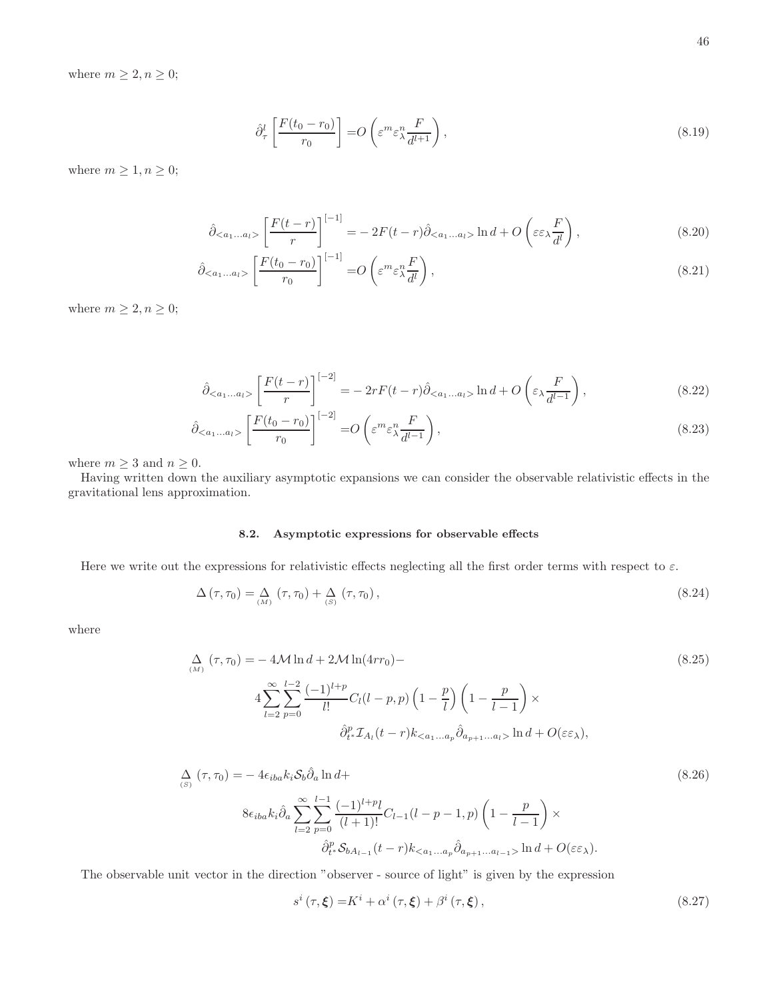where  $m \geq 2, n \geq 0$ ;

$$
\hat{\partial}_{\tau}^{l}\left[\frac{F(t_{0}-r_{0})}{r_{0}}\right]=O\left(\varepsilon^{m}\varepsilon_{\lambda}^{n}\frac{F}{d^{l+1}}\right),\tag{8.19}
$$

where  $m \geq 1, n \geq 0$ ;

$$
\hat{\partial}_{\langle a_1...a_l \rangle} \left[ \frac{F(t-r)}{r} \right]^{[-1]} = -2F(t-r)\hat{\partial}_{\langle a_1...a_l \rangle} \ln d + O\left(\varepsilon \varepsilon \frac{F}{d^l}\right),\tag{8.20}
$$

$$
\hat{\partial}_{\langle a_1...a_l \rangle} \left[ \frac{F(t_0 - r_0)}{r_0} \right]^{[-1]} = O\left( \varepsilon^m \varepsilon_\lambda^n \frac{F}{d^l} \right),\tag{8.21}
$$

where  $m \geq 2, n \geq 0$ ;

$$
\hat{\partial}_{\langle a_1...a_l \rangle} \left[ \frac{F(t-r)}{r} \right]^{[-2]} = -2rF(t-r)\hat{\partial}_{\langle a_1...a_l \rangle} \ln d + O\left(\varepsilon_\lambda \frac{F}{d^{l-1}}\right),\tag{8.22}
$$

$$
\hat{\partial}_{\langle a_1...a_l \rangle} \left[ \frac{F(t_0 - r_0)}{r_0} \right]^{[-2]} = O\left( \varepsilon^m \varepsilon_\lambda^n \frac{F}{d^{l-1}} \right),\tag{8.23}
$$

where  $m \geq 3$  and  $n \geq 0$ .

Having written down the auxiliary asymptotic expansions we can consider the observable relativistic effects in the gravitational lens approximation.

# 8.2. Asymptotic expressions for observable effects

Here we write out the expressions for relativistic effects neglecting all the first order terms with respect to  $\varepsilon$ .

$$
\Delta\left(\tau,\tau_{0}\right) = \Delta\left(\tau,\tau_{0}\right) + \Delta\left(\tau,\tau_{0}\right),\tag{8.24}
$$

where

$$
\Delta \left( \tau, \tau_0 \right) = -4 \mathcal{M} \ln d + 2 \mathcal{M} \ln(4 r r_0) -
$$
\n
$$
4 \sum_{l=2}^{\infty} \sum_{p=0}^{l-2} \frac{(-1)^{l+p}}{l!} C_l (l-p, p) \left( 1 - \frac{p}{l} \right) \left( 1 - \frac{p}{l-1} \right) \times
$$
\n
$$
\partial_{t*}^p \mathcal{I}_{A_l} (t-r) k_{\langle a_1...a_p} \partial_{a_{p+1}...a_l \rangle} \ln d + O(\varepsilon \varepsilon_{\lambda}),
$$
\n(8.25)

$$
\Delta \left( \tau, \tau_0 \right) = -4\epsilon_{iba} k_i \mathcal{S}_b \hat{\partial}_a \ln d +
$$
\n
$$
8\epsilon_{iba} k_i \hat{\partial}_a \sum_{l=2}^{\infty} \sum_{p=0}^{l-1} \frac{(-1)^{l+p} l}{(l+1)!} C_{l-1} (l-p-1, p) \left( 1 - \frac{p}{l-1} \right) \times
$$
\n
$$
\hat{\partial}_{t^*}^p \mathcal{S}_{bA_{l-1}}(t-r) k_{\langle a_1...a_p} \hat{\partial}_{a_{p+1}...a_{l-1} \rangle} \ln d + O(\varepsilon \varepsilon_{\lambda}).
$$
\n(8.26)

The observable unit vector in the direction "observer - source of light" is given by the expression

$$
s^{i}(\tau,\xi) = K^{i} + \alpha^{i}(\tau,\xi) + \beta^{i}(\tau,\xi), \qquad (8.27)
$$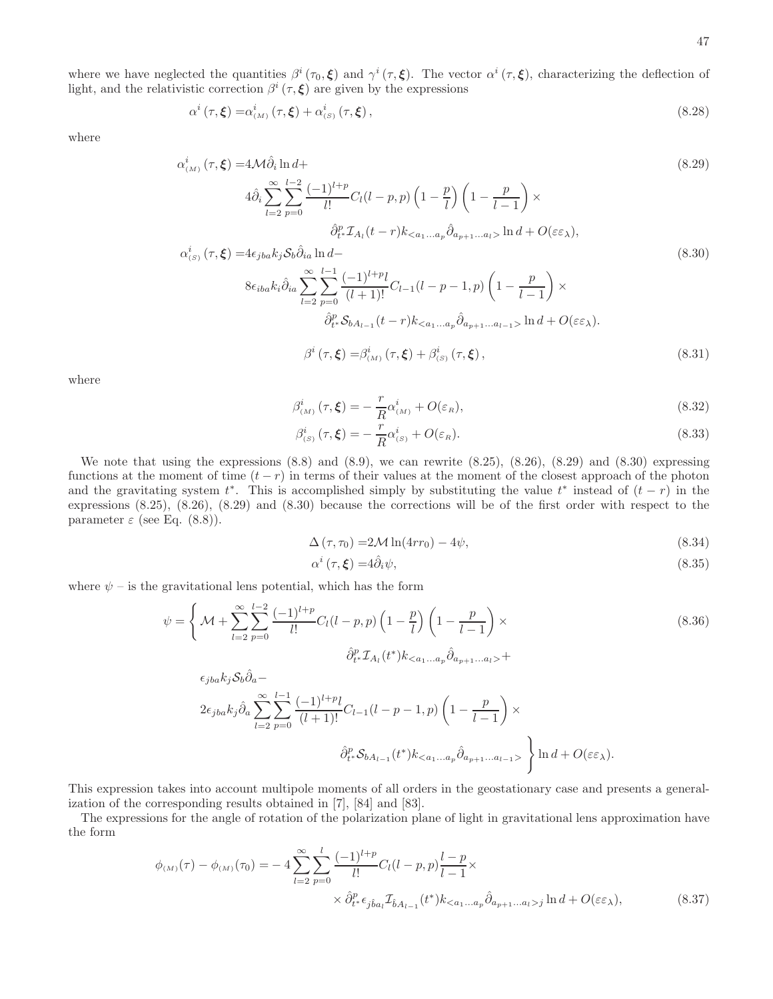where we have neglected the quantities  $\beta^i(\tau_0,\xi)$  and  $\gamma^i(\tau,\xi)$ . The vector  $\alpha^i(\tau,\xi)$ , characterizing the deflection of light, and the relativistic correction  $\beta^{i}(\tau,\xi)$  are given by the expressions

$$
\alpha^{i}\left(\tau,\xi\right) = \alpha^{i}_{\left(M\right)}\left(\tau,\xi\right) + \alpha^{i}_{\left(S\right)}\left(\tau,\xi\right),\tag{8.28}
$$

where

$$
\alpha_{(M)}^{i}(\tau,\xi) = 4\mathcal{M}\hat{\partial}_{i}\ln d +
$$
\n
$$
4\hat{\partial}_{i}\sum_{l=2}^{\infty}\sum_{p=0}^{l-2}\frac{(-1)^{l+p}}{l!}C_{l}(l-p,p)\left(1-\frac{p}{l}\right)\left(1-\frac{p}{l-1}\right) \times
$$
\n
$$
\hat{\partial}_{t}^{p} \mathcal{I}_{A_{l}}(t-r)k_{\n
$$
\alpha_{(S)}^{i}(\tau,\xi) = 4\epsilon_{jba}k_{j}\mathcal{S}_{b}\hat{\partial}_{ia}\ln d -
$$
\n
$$
8\epsilon_{iba}k_{i}\hat{\partial}_{ia}\sum_{l=2}^{\infty}\sum_{p=0}^{l-1}\frac{(-1)^{l+p}l}{(l+1)!}C_{l-1}(l-p-1,p)\left(1-\frac{p}{l-1}\right) \times
$$
\n
$$
\hat{\partial}_{t}^{p}\mathcal{S}_{bA_{l-1}}(t-r)k_{\n
$$
\beta^{i}(\tau,\xi) = \beta_{(M)}^{i}(\tau,\xi) + \beta_{(S)}^{i}(\tau,\xi), \qquad (8.31)
$$
$$
$$

where

$$
\beta^i_{(M)}(\tau,\xi) = -\frac{r}{R}\alpha^i_{(M)} + O(\varepsilon_R),\tag{8.32}
$$

$$
\beta_{(s)}^i(\tau,\xi) = -\frac{r}{R}\alpha_{(s)}^i + O(\varepsilon_R). \tag{8.33}
$$

We note that using the expressions  $(8.8)$  and  $(8.9)$ , we can rewrite  $(8.25)$ ,  $(8.26)$ ,  $(8.29)$  and  $(8.30)$  expressing functions at the moment of time  $(t - r)$  in terms of their values at the moment of the closest approach of the photon and the gravitating system  $t^*$ . This is accomplished simply by substituting the value  $t^*$  instead of  $(t - r)$  in the expressions (8.25), (8.26), (8.29) and (8.30) because the corrections will be of the first order with respect to the parameter  $\varepsilon$  (see Eq. (8.8)).

$$
\Delta\left(\tau,\tau_0\right) = 2\mathcal{M}\ln(4rr_0) - 4\psi,\tag{8.34}
$$

$$
\alpha^i(\tau,\xi) = 4\hat{\partial}_i\psi,\tag{8.35}
$$

where  $\psi$  – is the gravitational lens potential, which has the form

$$
\psi = \left\{ \mathcal{M} + \sum_{l=2}^{\infty} \sum_{p=0}^{l-2} \frac{(-1)^{l+p}}{l!} C_l(l-p,p) \left( 1 - \frac{p}{l} \right) \left( 1 - \frac{p}{l-1} \right) \times \partial_{t^*}^p \mathcal{I}_{A_l}(t^*) k_{\langle a_1...a_p} \hat{\partial}_{a_{p+1}...a_l} \right) +
$$
  
\n
$$
\epsilon_{jba} k_j \delta_b \hat{\partial}_a -
$$
  
\n
$$
2 \epsilon_{jba} k_j \hat{\partial}_a \sum_{l=2}^{\infty} \sum_{p=0}^{l-1} \frac{(-1)^{l+p} l}{(l+1)!} C_{l-1} (l-p-1,p) \left( 1 - \frac{p}{l-1} \right) \times
$$
  
\n
$$
\hat{\partial}_{t^*}^p \mathcal{S}_{bA_{l-1}}(t^*) k_{\langle a_1...a_p} \hat{\partial}_{a_{p+1}...a_{l-1}} \rangle \left\{ \ln d + O(\varepsilon \varepsilon_{\lambda}). \right\}
$$

This expression takes into account multipole moments of all orders in the geostationary case and presents a generalization of the corresponding results obtained in [7], [84] and [83].

The expressions for the angle of rotation of the polarization plane of light in gravitational lens approximation have the form

$$
\phi_{(M)}(\tau) - \phi_{(M)}(\tau_0) = -4 \sum_{l=2}^{\infty} \sum_{p=0}^{l} \frac{(-1)^{l+p}}{l!} C_l(l-p,p) \frac{l-p}{l-1} \times \times \hat{\partial}_{t^*}^p \epsilon_{j\hat{b}a_l} \mathcal{I}_{\hat{b}A_{l-1}}(t^*) k_{\langle a_1...a_p} \hat{\partial}_{a_{p+1}...a_l > j} \ln d + O(\varepsilon \varepsilon_\lambda), \tag{8.37}
$$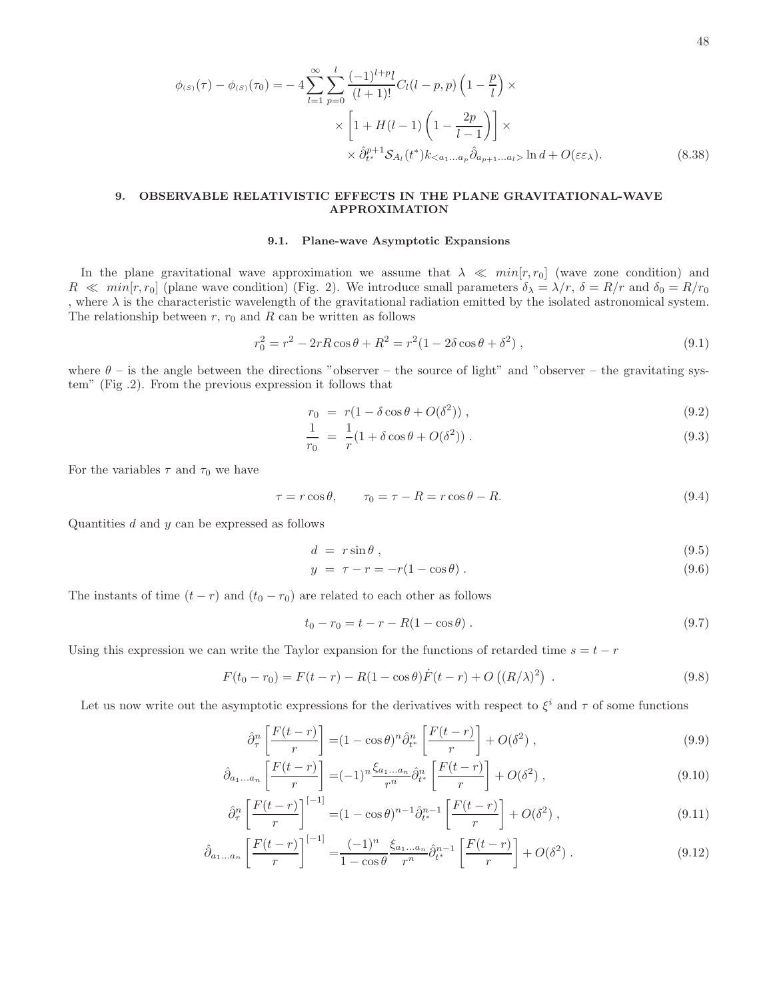$$
\phi_{(s)}(\tau) - \phi_{(s)}(\tau_0) = -4 \sum_{l=1}^{\infty} \sum_{p=0}^{l} \frac{(-1)^{l+p} l}{(l+1)!} C_l(l-p, p) \left(1 - \frac{p}{l}\right) \times \times \left[1 + H(l-1) \left(1 - \frac{2p}{l-1}\right)\right] \times \times \hat{\partial}_{t^*}^{p+1} \mathcal{S}_{A_l}(t^*) k_{\leq a_1...a_p} \hat{\partial}_{a_{p+1}...a_l} \ln d + O(\varepsilon \varepsilon_{\lambda}).
$$
\n(8.38)

# 9. OBSERVABLE RELATIVISTIC EFFECTS IN THE PLANE GRAVITATIONAL-WAVE APPROXIMATION

# 9.1. Plane-wave Asymptotic Expansions

In the plane gravitational wave approximation we assume that  $\lambda \ll min[r, r_0]$  (wave zone condition) and  $R \ll min[r, r_0]$  (plane wave condition) (Fig. 2). We introduce small parameters  $\delta_{\lambda} = \lambda/r$ ,  $\delta = R/r$  and  $\delta_0 = R/r_0$ , where  $\lambda$  is the characteristic wavelength of the gravitational radiation emitted by the isolated astronomical system. The relationship between  $r, r_0$  and  $R$  can be written as follows

$$
r_0^2 = r^2 - 2rR\cos\theta + R^2 = r^2(1 - 2\delta\cos\theta + \delta^2) ,
$$
\n(9.1)

where  $\theta$  – is the angle between the directions "observer – the source of light" and "observer – the gravitating system" (Fig .2). From the previous expression it follows that

$$
r_0 = r(1 - \delta \cos \theta + O(\delta^2)), \qquad (9.2)
$$

$$
\frac{1}{r_0} = \frac{1}{r}(1 + \delta \cos \theta + O(\delta^2)) \,. \tag{9.3}
$$

For the variables  $\tau$  and  $\tau_0$  we have

$$
\tau = r \cos \theta, \qquad \tau_0 = \tau - R = r \cos \theta - R. \tag{9.4}
$$

Quantities  $d$  and  $y$  can be expressed as follows

$$
d = r \sin \theta, \qquad (9.5)
$$

$$
y = \tau - r = -r(1 - \cos \theta). \tag{9.6}
$$

The instants of time  $(t - r)$  and  $(t_0 - r_0)$  are related to each other as follows

$$
t_0 - r_0 = t - r - R(1 - \cos \theta) \tag{9.7}
$$

Using this expression we can write the Taylor expansion for the functions of retarded time  $s = t - r$ 

$$
F(t_0 - r_0) = F(t - r) - R(1 - \cos \theta) \dot{F}(t - r) + O((R/\lambda)^2) \tag{9.8}
$$

Let us now write out the asymptotic expressions for the derivatives with respect to  $\xi^i$  and  $\tau$  of some functions

$$
\hat{\partial}_{\tau}^{n} \left[ \frac{F(t-r)}{r} \right] = (1 - \cos \theta)^{n} \hat{\partial}_{t^{*}}^{n} \left[ \frac{F(t-r)}{r} \right] + O(\delta^{2}) , \qquad (9.9)
$$

$$
\hat{\partial}_{a_1...a_n} \left[ \frac{F(t-r)}{r} \right] = (-1)^n \frac{\xi_{a_1...a_n}}{r^n} \hat{\partial}_{t^*}^n \left[ \frac{F(t-r)}{r} \right] + O(\delta^2) ,\tag{9.10}
$$

$$
\hat{\partial}_{\tau}^{n} \left[ \frac{F(t-r)}{r} \right]^{[-1]} = (1 - \cos \theta)^{n-1} \hat{\partial}_{t^{*}}^{n-1} \left[ \frac{F(t-r)}{r} \right] + O(\delta^{2}) , \qquad (9.11)
$$

$$
\hat{\partial}_{a_1...a_n} \left[ \frac{F(t-r)}{r} \right]^{[-1]} = \frac{(-1)^n}{1 - \cos \theta} \frac{\xi_{a_1...a_n}}{r^n} \hat{\partial}_{t^*}^{n-1} \left[ \frac{F(t-r)}{r} \right] + O(\delta^2) \,. \tag{9.12}
$$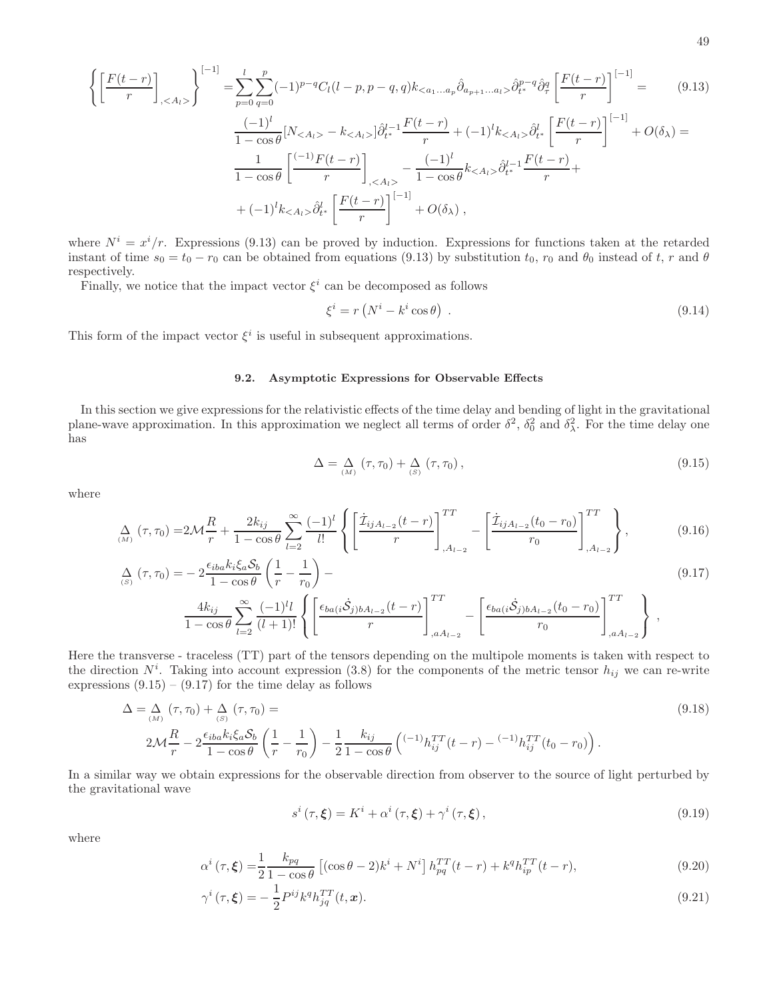$$
\left\{ \left[ \frac{F(t-r)}{r} \right]_{,\langle A_l \rangle} \right\}^{[-1]} = \sum_{p=0}^{l} \sum_{q=0}^{p} (-1)^{p-q} C_l (l-p, p-q, q) k_{\langle a_1...a_p} \hat{\partial}_{a_{p+1}...a_l \rangle} \hat{\partial}_{t^*}^{p-q} \hat{\partial}_{\tau}^{q} \left[ \frac{F(t-r)}{r} \right]^{[-1]} = \qquad (9.13)
$$
\n
$$
\frac{(-1)^l}{1-\cos\theta} [N_{\langle A_l \rangle} - k_{\langle A_l \rangle}] \hat{\partial}_{t^*}^{l-1} \frac{F(t-r)}{r} + (-1)^l k_{\langle A_l \rangle} \hat{\partial}_{t^*}^{l} \left[ \frac{F(t-r)}{r} \right]^{[-1]} + O(\delta_{\lambda}) = \frac{1}{1-\cos\theta} \left[ \frac{(-1)^r F(t-r)}{r} \right]_{,\langle A_l \rangle} - \frac{(-1)^l}{1-\cos\theta} k_{\langle A_l \rangle} \hat{\partial}_{t^*}^{l-1} \frac{F(t-r)}{r} + \qquad (1)^l k_{\langle A_l \rangle} \hat{\partial}_{t^*}^{l} \left[ \frac{F(t-r)}{r} \right]^{[-1]} + O(\delta_{\lambda}),
$$

where  $N^{i} = x^{i}/r$ . Expressions (9.13) can be proved by induction. Expressions for functions taken at the retarded instant of time  $s_0 = t_0 - r_0$  can be obtained from equations (9.13) by substitution  $t_0$ ,  $r_0$  and  $\theta_0$  instead of  $t$ ,  $r$  and  $\theta$ respectively.

Finally, we notice that the impact vector  $\xi^i$  can be decomposed as follows

$$
\xi^{i} = r\left(N^{i} - k^{i}\cos\theta\right) \tag{9.14}
$$

This form of the impact vector  $\xi^i$  is useful in subsequent approximations.

### 9.2. Asymptotic Expressions for Observable Effects

In this section we give expressions for the relativistic effects of the time delay and bending of light in the gravitational plane-wave approximation. In this approximation we neglect all terms of order  $\delta^2$ ,  $\delta_0^2$  and  $\delta_\lambda^2$ . For the time delay one has

$$
\Delta = \Delta_{(M)}(\tau, \tau_0) + \Delta_{(S)}(\tau, \tau_0), \qquad (9.15)
$$

where

$$
\Delta_{(M)}(\tau,\tau_0) = 2\mathcal{M}\frac{R}{r} + \frac{2k_{ij}}{1-\cos\theta} \sum_{l=2}^{\infty} \frac{(-1)^l}{l!} \left\{ \left[ \frac{\dot{\mathcal{I}}_{ijA_{l-2}}(t-r)}{r} \right]_{,A_{l-2}}^{TT} - \left[ \frac{\dot{\mathcal{I}}_{ijA_{l-2}}(t_0-r_0)}{r_0} \right]_{,A_{l-2}}^{TT} \right\},
$$
\n(9.16)

$$
\Delta_{(S)}(\tau,\tau_0) = -2 \frac{\epsilon_{iba} k_i \xi_a \mathcal{S}_b}{1 - \cos \theta} \left( \frac{1}{r} - \frac{1}{r_0} \right) -
$$
\n
$$
4k_{bi} \sum_{n=0}^{\infty} (-1)^l l \left[ \left[ \epsilon_{bq}(i\dot{\mathcal{S}}_i)_{bA} \right]_{i} (t-r) \right]^{TT} \left[ \epsilon_{bq}(i\dot{\mathcal{S}}_i)_{bA} \right]_{i} (t_0 - r_0) \left| \frac{1}{r} \right]
$$
\n(9.17)

$$
\frac{4k_{ij}}{1-\cos\theta}\sum_{l=2}^{\infty}\frac{(-1)^{l}l}{(l+1)!}\left\{\left[\frac{\epsilon_{ba(i}\dot{\mathcal{S}}_{j)bA_{l-2}}(t-r)}{r}\right]_{,aA_{l-2}}^{1} - \left[\frac{\epsilon_{ba(i}\dot{\mathcal{S}}_{j)bA_{l-2}}(t_0-r_0)}{r_0}\right]_{,aA_{l-2}}^{11}\right\}\right\},\,
$$

Here the transverse - traceless (TT) part of the tensors depending on the multipole moments is taken with respect to the direction  $N^i$ . Taking into account expression (3.8) for the components of the metric tensor  $h_{ij}$  we can re-write expressions  $(9.15) - (9.17)$  for the time delay as follows

$$
\Delta = \Delta_{(M)}(\tau, \tau_0) + \Delta_{(S)}(\tau, \tau_0) =
$$
\n
$$
2\mathcal{M}\frac{R}{r} - 2\frac{\epsilon_{iba}k_i\xi_a\mathcal{S}_b}{1 - \cos\theta}\left(\frac{1}{r} - \frac{1}{r_0}\right) - \frac{1}{2}\frac{k_{ij}}{1 - \cos\theta}\left(\frac{(-1)h_{ij}^{TT}(t-r) - (-1)h_{ij}^{TT}(t_0 - r_0)}{1 - \cos\theta}\right).
$$
\n(9.18)

In a similar way we obtain expressions for the observable direction from observer to the source of light perturbed by the gravitational wave

$$
s^{i}(\tau,\xi) = K^{i} + \alpha^{i}(\tau,\xi) + \gamma^{i}(\tau,\xi), \qquad (9.19)
$$

where

$$
\alpha^{i}(\tau,\xi) = \frac{1}{2} \frac{k_{pq}}{1 - \cos\theta} \left[ (\cos\theta - 2)k^{i} + N^{i} \right] h_{pq}^{TT}(t-r) + k^{q} h_{ip}^{TT}(t-r), \tag{9.20}
$$

$$
\gamma^{i}(\tau,\xi) = -\frac{1}{2}P^{ij}k^{q}h_{jq}^{TT}(t,\boldsymbol{x}).\tag{9.21}
$$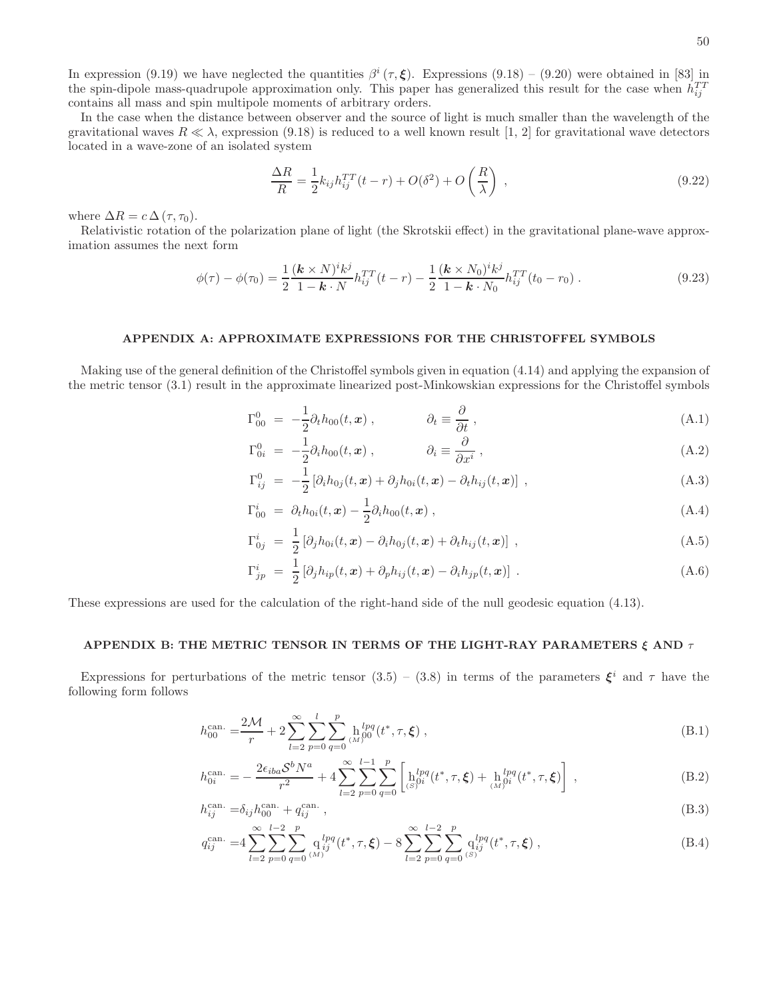In expression (9.19) we have neglected the quantities  $\beta^{i}(\tau,\xi)$ . Expressions (9.18) – (9.20) were obtained in [83] in the spin-dipole mass-quadrupole approximation only. This paper has generalized this result for the case when  $h_{ij}^{TT}$ contains all mass and spin multipole moments of arbitrary orders.

In the case when the distance between observer and the source of light is much smaller than the wavelength of the gravitational waves  $R \ll \lambda$ , expression (9.18) is reduced to a well known result [1, 2] for gravitational wave detectors located in a wave-zone of an isolated system

$$
\frac{\Delta R}{R} = \frac{1}{2} k_{ij} h_{ij}^{TT} (t - r) + O(\delta^2) + O\left(\frac{R}{\lambda}\right) ,\qquad (9.22)
$$

where  $\Delta R = c \Delta (\tau, \tau_0)$ .

Relativistic rotation of the polarization plane of light (the Skrotskii effect) in the gravitational plane-wave approximation assumes the next form

$$
\phi(\tau) - \phi(\tau_0) = \frac{1}{2} \frac{(\mathbf{k} \times N)^i k^j}{1 - \mathbf{k} \cdot N} h_{ij}^{TT}(t - r) - \frac{1}{2} \frac{(\mathbf{k} \times N_0)^i k^j}{1 - \mathbf{k} \cdot N_0} h_{ij}^{TT}(t_0 - r_0) \,. \tag{9.23}
$$

# APPENDIX A: APPROXIMATE EXPRESSIONS FOR THE CHRISTOFFEL SYMBOLS

Making use of the general definition of the Christoffel symbols given in equation (4.14) and applying the expansion of the metric tensor (3.1) result in the approximate linearized post-Minkowskian expressions for the Christoffel symbols

$$
\Gamma_{00}^{0} = -\frac{1}{2}\partial_{t}h_{00}(t, x) , \qquad \partial_{t} \equiv \frac{\partial}{\partial t} , \qquad (A.1)
$$

$$
\Gamma_{0i}^{0} = -\frac{1}{2}\partial_{i}h_{00}(t, x) , \qquad \partial_{i} \equiv \frac{\partial}{\partial x^{i}} , \qquad (A.2)
$$

$$
\Gamma_{ij}^0 = -\frac{1}{2} \left[ \partial_i h_{0j}(t, \mathbf{x}) + \partial_j h_{0i}(t, \mathbf{x}) - \partial_t h_{ij}(t, \mathbf{x}) \right] , \qquad (A.3)
$$

$$
\Gamma_{00}^{i} = \partial_{t} h_{0i}(t, \boldsymbol{x}) - \frac{1}{2} \partial_{i} h_{00}(t, \boldsymbol{x}) , \qquad (A.4)
$$

$$
\Gamma_{0j}^{i} = \frac{1}{2} \left[ \partial_j h_{0i}(t, \boldsymbol{x}) - \partial_i h_{0j}(t, \boldsymbol{x}) + \partial_t h_{ij}(t, \boldsymbol{x}) \right], \qquad (A.5)
$$

$$
\Gamma_{jp}^{i} = \frac{1}{2} \left[ \partial_{j} h_{ip}(t, \boldsymbol{x}) + \partial_{p} h_{ij}(t, \boldsymbol{x}) - \partial_{i} h_{jp}(t, \boldsymbol{x}) \right] . \tag{A.6}
$$

These expressions are used for the calculation of the right-hand side of the null geodesic equation (4.13).

### APPENDIX B: THE METRIC TENSOR IN TERMS OF THE LIGHT-RAY PARAMETERS  $\xi$  and  $\tau$

Expressions for perturbations of the metric tensor  $(3.5) - (3.8)$  in terms of the parameters  $\xi^{i}$  and  $\tau$  have the following form follows

$$
h_{00}^{\text{can.}} = \frac{2\mathcal{M}}{r} + 2\sum_{l=2}^{\infty} \sum_{p=0}^{l} \sum_{q=0}^{p} \mathbf{h}_{00}^{lpq}(t^*, \tau, \xi) ,
$$
 (B.1)

$$
h_{0i}^{\text{can.}} = -\frac{2\epsilon_{iba}\mathcal{S}^b N^a}{r^2} + 4\sum_{l=2}^{\infty} \sum_{p=0}^{l-1} \sum_{q=0}^p \left[ h_{(S)}^{lpq}(t^*, \tau, \xi) + h_{(M)}^{lpq}(t^*, \tau, \xi) \right],
$$
(B.2)

$$
h_{ij}^{\text{can.}} = \delta_{ij} h_{00}^{\text{can.}} + q_{ij}^{\text{can.}} \,, \tag{B.3}
$$

$$
q_{ij}^{\text{can.}} = 4 \sum_{l=2}^{\infty} \sum_{p=0}^{l-2} \sum_{q=0}^{p} \mathbf{q}_{ij}^{lpq}(t^*, \tau, \xi) - 8 \sum_{l=2}^{\infty} \sum_{p=0}^{l-2} \sum_{q=0}^{p} \mathbf{q}_{ij}^{lpq}(t^*, \tau, \xi) , \qquad (B.4)
$$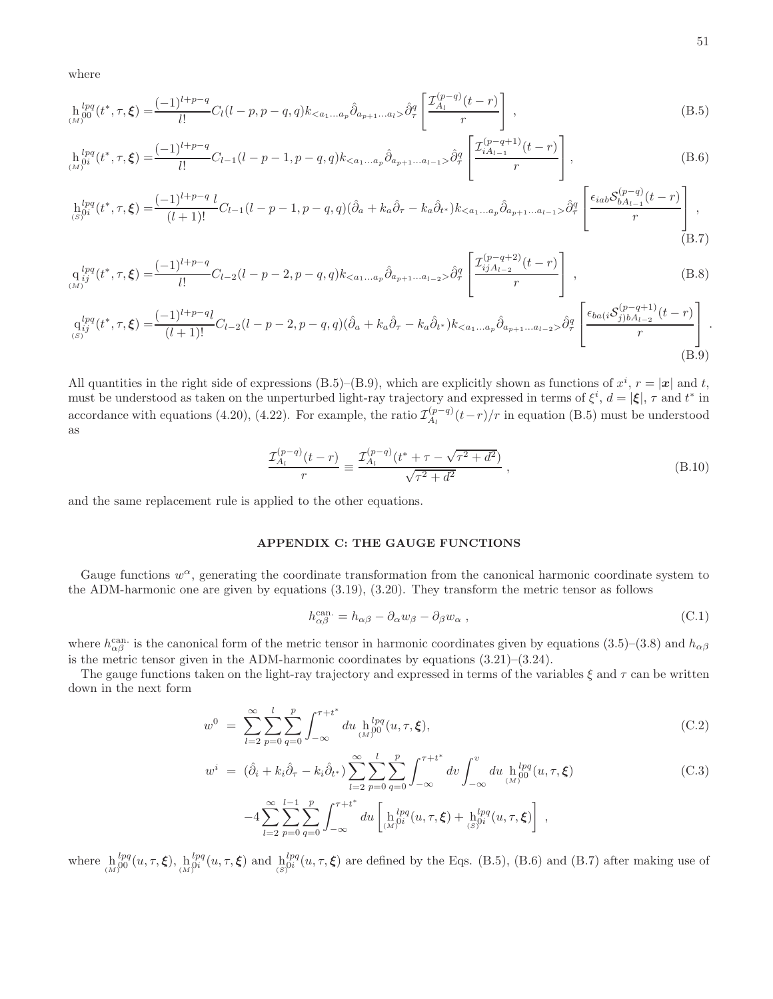where

$$
\mathop{\rm h}_{(M)}^{lpq}(t^*,\tau,\xi) = \frac{(-1)^{l+p-q}}{l!}C_l(l-p,p-q,q)k_{\langle a_1...a_p} \hat{\partial}_{a_{p+1}...a_l} \hat{\partial}_{a_{p+1}...a_l} \hat{\partial}_{\tau}^q \left[ \frac{\mathcal{I}_{A_l}^{(p-q)}(t-r)}{r} \right],
$$
\n(B.5)

$$
\ln_{(M)}^{lpq}(t^*, \tau, \xi) = \frac{(-1)^{l+p-q}}{l!} C_{l-1}(l-p-1, p-q, q) k_{\langle a_1...a_p} \hat{\partial}_{a_{p+1}...a_{l-1}} \hat{\partial}_{\tau}^q \left[ \frac{\mathcal{I}_{iA_{l-1}}^{(p-q+1)}(t-r)}{r} \right],
$$
\n(B.6)

$$
h_{(S)}^{lpq}(t^*, \tau, \xi) = \frac{(-1)^{l+p-q} l}{(l+1)!} C_{l-1}(l-p-1, p-q, q) (\hat{\partial}_a + k_a \hat{\partial}_\tau - k_a \hat{\partial}_{t^*}) k_{\langle a_1...a_p} \hat{\partial}_{a_{p+1}...a_{l-1} > \hat{\partial}_\tau^q} \left[ \frac{\epsilon_{iab} \mathcal{S}_{bA_{l-1}}^{(p-q)}(t-r)}{r} \right],
$$
\n(B.7)

$$
q_{ij}^{lpq}(t^*, \tau, \xi) = \frac{(-1)^{l+p-q}}{l!} C_{l-2}(l-p-2, p-q, q) k_{\langle a_1...a_p} \hat{\partial}_{a_{p+1}...a_{l-2}} \hat{\partial}_{\tau}^q \left[ \frac{\mathcal{I}_{ijA_{l-2}}^{(p-q+2)}(t-r)}{r} \right],
$$
\n(B.8)

$$
q_{ij}^{lpq}(t^*, \tau, \xi) = \frac{(-1)^{l+p-q}l}{(l+1)!}C_{l-2}(l-p-2, p-q, q)(\hat{\partial}_a + k_a\hat{\partial}_\tau - k_a\hat{\partial}_{t^*})k_{\langle a_1...a_p}\hat{\partial}_{a_{p+1}...a_{l-2}}\hat{\partial}_\tau^q \left[\frac{\epsilon_{ba(i}\mathcal{S}_{j)bA_{l-2}}^{(p-q+1)}(t-r)}{r}\right].
$$
\n(B.9)

All quantities in the right side of expressions (B.5)–(B.9), which are explicitly shown as functions of  $x^i$ ,  $r = |x|$  and t, must be understood as taken on the unperturbed light-ray trajectory and expressed in terms of  $\xi^i$ ,  $d = |\xi|$ ,  $\tau$  and  $t^*$  in accordance with equations (4.20), (4.22). For example, the ratio  $\mathcal{I}_{A_l}^{(p-q)}$  $\binom{(p-q)}{A_l}(t-r)/r$  in equation (B.5) must be understood as

$$
\frac{\mathcal{I}_{A_l}^{(p-q)}(t-r)}{r} \equiv \frac{\mathcal{I}_{A_l}^{(p-q)}(t^* + \tau - \sqrt{\tau^2 + d^2})}{\sqrt{\tau^2 + d^2}} \,, \tag{B.10}
$$

and the same replacement rule is applied to the other equations.

# APPENDIX C: THE GAUGE FUNCTIONS

Gauge functions  $w^{\alpha}$ , generating the coordinate transformation from the canonical harmonic coordinate system to the ADM-harmonic one are given by equations (3.19), (3.20). They transform the metric tensor as follows

$$
h_{\alpha\beta}^{\text{can.}} = h_{\alpha\beta} - \partial_{\alpha}w_{\beta} - \partial_{\beta}w_{\alpha} , \qquad (C.1)
$$

where  $h_{\alpha\beta}^{\text{can.}}$  is the canonical form of the metric tensor in harmonic coordinates given by equations (3.5)–(3.8) and  $h_{\alpha\beta}$ is the metric tensor given in the ADM-harmonic coordinates by equations  $(3.21)$ – $(3.24)$ .

The gauge functions taken on the light-ray trajectory and expressed in terms of the variables  $\xi$  and  $\tau$  can be written down in the next form

$$
w^{0} = \sum_{l=2}^{\infty} \sum_{p=0}^{l} \sum_{q=0}^{p} \int_{-\infty}^{\tau+t^{*}} du \, \ln_{00}^{lpq}(u,\tau,\xi), \tag{C.2}
$$

$$
w^{i} = (\hat{\partial}_{i} + k_{i}\hat{\partial}_{\tau} - k_{i}\hat{\partial}_{t^{*}}) \sum_{l=2}^{\infty} \sum_{p=0}^{l} \sum_{q=0}^{p} \int_{-\infty}^{\tau+t^{*}} dv \int_{-\infty}^{v} du \ln_{(M)}^{lpq}(u,\tau,\xi)
$$
  

$$
-4 \sum_{l=2}^{\infty} \sum_{p=0}^{l-1} \sum_{q=0}^{p} \int_{-\infty}^{\tau+t^{*}} du \left[ \ln_{(M)}^{lpq}(u,\tau,\xi) + \ln_{(S)}^{lpq}(u,\tau,\xi) \right],
$$
  
(C.3)

where  $\prod_{(M)}^l$  $\frac{dpq}{\rho 0}(u,\tau,\boldsymbol{\xi}), \frac{\textbf{h}}{\textbf{(M)}}$  $\int_0^{lpq}(u,\tau,\boldsymbol{\xi})\,\,\text{and}\,\,\int_0^l$  $\frac{dpq}{\theta i}(u, \tau, \xi)$  are defined by the Eqs. (B.5), (B.6) and (B.7) after making use of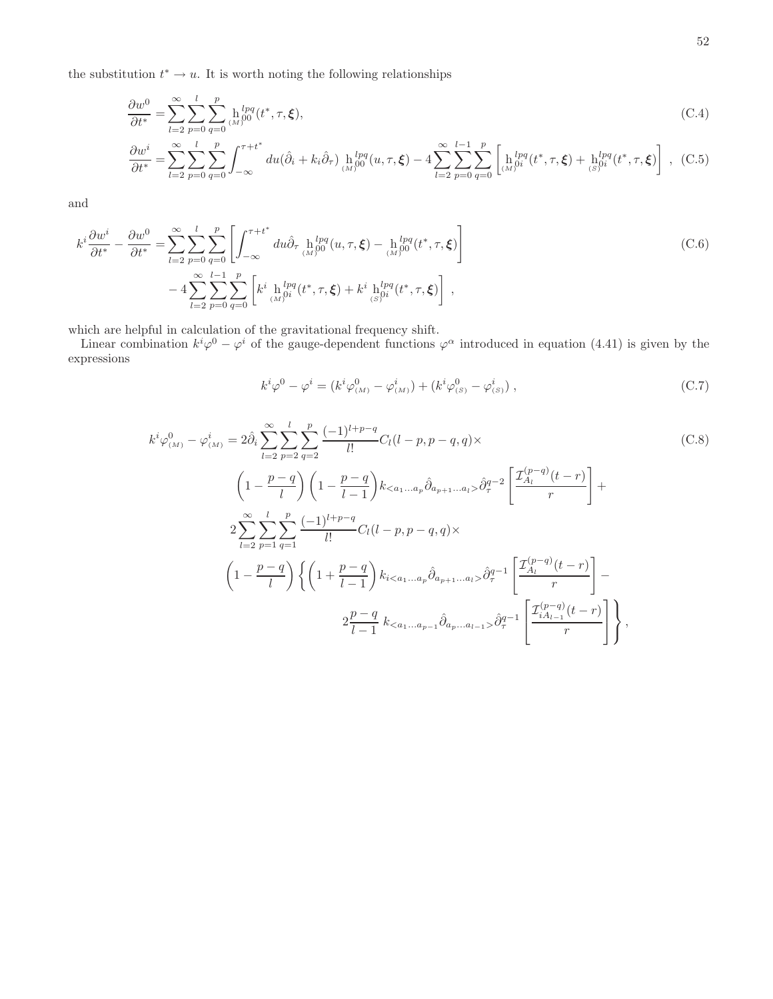the substitution  $t^* \to u$ . It is worth noting the following relationships

$$
\frac{\partial w^0}{\partial t^*} = \sum_{l=2}^{\infty} \sum_{p=0}^{l} \sum_{q=0}^{p} \frac{h^{lpq}}{(M)^{00}} (t^*, \tau, \xi), \tag{C.4}
$$

$$
\frac{\partial w^i}{\partial t^*} = \sum_{l=2}^{\infty} \sum_{p=0}^{l} \sum_{q=0}^{p} \int_{-\infty}^{\tau+t^*} du (\hat{\partial}_i + k_i \hat{\partial}_\tau) \ln_{(M)}^{lpq}(u, \tau, \xi) - 4 \sum_{l=2}^{\infty} \sum_{p=0}^{l-1} \sum_{q=0}^{p} \left[ \ln_{(M)}^{lpq}(t^*, \tau, \xi) + \ln_{(S)}^{lpq}(t^*, \tau, \xi) \right], \tag{C.5}
$$

and

$$
k^{i} \frac{\partial w^{i}}{\partial t^{*}} - \frac{\partial w^{0}}{\partial t^{*}} = \sum_{l=2}^{\infty} \sum_{p=0}^{l} \sum_{q=0}^{p} \left[ \int_{-\infty}^{\tau+t^{*}} du \hat{\partial}_{\tau} \, h_{(M)}^{lpq}(u,\tau,\xi) - h_{(M)}^{lpq}(t^{*},\tau,\xi) \right] - 4 \sum_{l=2}^{\infty} \sum_{p=0}^{l-1} \sum_{q=0}^{p} \left[ k^{i} \, h_{(M)}^{lpq}(t^{*},\tau,\xi) + k^{i} \, h_{(S)}^{lpq}(t^{*},\tau,\xi) \right],
$$
\n(C.6)

which are helpful in calculation of the gravitational frequency shift.

Linear combination  $k^i\varphi^0 - \varphi^i$  of the gauge-dependent functions  $\varphi^\alpha$  introduced in equation (4.41) is given by the expressions

$$
k^{i}\varphi^{0} - \varphi^{i} = (k^{i}\varphi^{0}_{(M)} - \varphi^{i}_{(M)}) + (k^{i}\varphi^{0}_{(S)} - \varphi^{i}_{(S)}) ,
$$
\n(C.7)

$$
k^{i}\varphi_{(M)}^{0} - \varphi_{(M)}^{i} = 2\hat{\partial}_{i} \sum_{l=2}^{\infty} \sum_{p=2}^{l} \sum_{q=2}^{p} \frac{(-1)^{l+p-q}}{l!} C_{l}(l-p,p-q,q) \times
$$
\n
$$
\left(1 - \frac{p-q}{l}\right) \left(1 - \frac{p-q}{l-1}\right) k_{< a_{1}...a_{p}} \hat{\partial}_{a_{p+1}...a_{l}} \hat{\partial}_{q}^{q-2} \left[\frac{\mathcal{I}_{A_{l}}^{(p-q)}(t-r)}{r}\right] +
$$
\n
$$
2 \sum_{l=2}^{\infty} \sum_{p=1}^{l} \sum_{q=1}^{p} \frac{(-1)^{l+p-q}}{l!} C_{l}(l-p,p-q,q) \times
$$
\n
$$
\left(1 - \frac{p-q}{l}\right) \left\{ \left(1 + \frac{p-q}{l-1}\right) k_{i< a_{1}...a_{p}} \hat{\partial}_{a_{p+1}...a_{l}} \hat{\partial}_{q}^{q-1} \left[\frac{\mathcal{I}_{A_{l}}^{(p-q)}(t-r)}{r}\right] -
$$
\n
$$
2 \frac{p-q}{l-1} k_{< a_{1}...a_{p-1}} \hat{\partial}_{a_{p}...a_{l-1}} \hat{\partial}_{q}^{q-1} \left[\frac{\mathcal{I}_{A_{l-1}}^{(p-q)}(t-r)}{r}\right] \right\},
$$
\n
$$
(C.8)
$$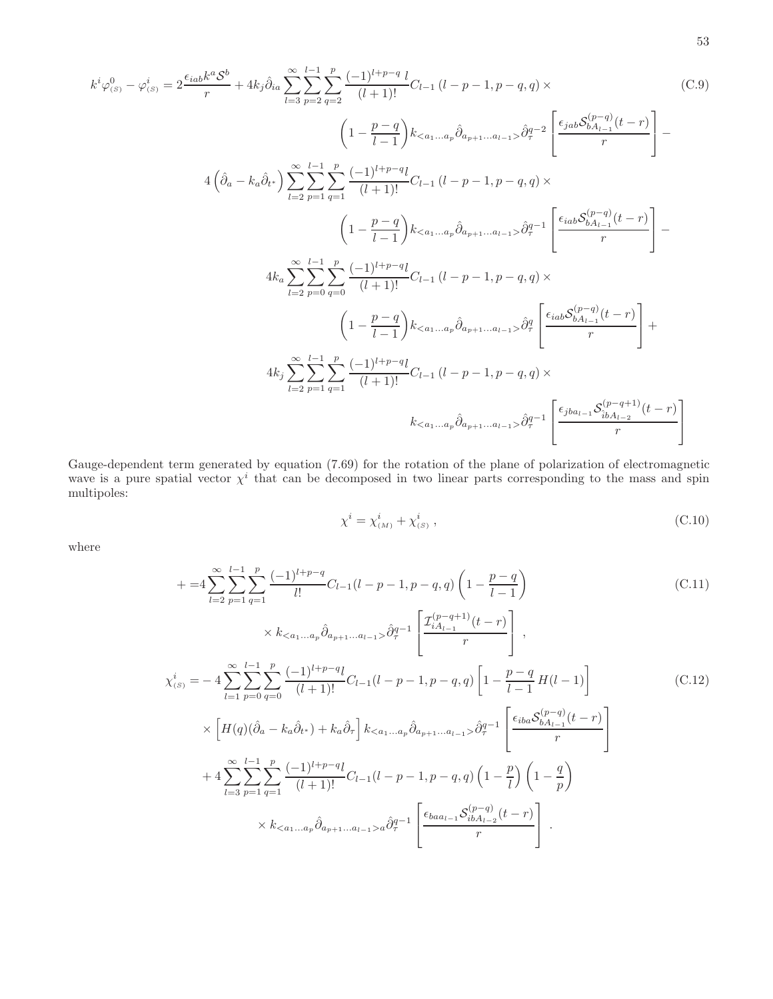$$
k^{i}\varphi_{(s)}^{0} - \varphi_{(s)}^{i} = 2 \frac{\epsilon_{iab}k^{a}S^{b}}{r} + 4k_{j}\hat{\partial}_{ia} \sum_{l=3}^{\infty} \sum_{p=2}^{l-1} \frac{p}{q=2} \frac{(-1)^{l+p-q}}{(l+1)!} C_{l-1} (l-p-1, p-q, q) \times
$$
\n
$$
\left(1 - \frac{p-q}{l-1}\right)k_{< a_{1}...a_{p}} \hat{\partial}_{a_{p+1}...a_{l-1}} \hat{\partial}_{q}^{q-2} \left[\frac{\epsilon_{jab}S_{bA_{l-1}}^{(p-q)}(t-r)}{r}\right] -
$$
\n
$$
4\left(\hat{\partial}_{a} - k_{a}\hat{\partial}_{t^{*}}\right) \sum_{l=2}^{\infty} \sum_{p=1}^{l-1} \sum_{q=1}^{p} \frac{(-1)^{l+p-q}l}{(l+1)!} C_{l-1} (l-p-1, p-q, q) \times
$$
\n
$$
\left(1 - \frac{p-q}{l-1}\right)k_{< a_{1}...a_{p}} \hat{\partial}_{a_{p+1}...a_{l-1}} \hat{\partial}_{q}^{q-1} \left[\frac{\epsilon_{iab}S_{bA_{l-1}}^{(p-q)}(t-r)}{r}\right] -
$$
\n
$$
4k_{a} \sum_{l=2}^{\infty} \sum_{p=0}^{l-1} \sum_{q=0}^{p} \frac{(-1)^{l+p-q}l}{(l+1)!} C_{l-1} (l-p-1, p-q, q) \times
$$
\n
$$
\left(1 - \frac{p-q}{l-1}\right)k_{< a_{1}...a_{p}} \hat{\partial}_{a_{p+1}...a_{l-1}} \hat{\partial}_{q}^{q} \left[\frac{\epsilon_{iab}S_{bA_{l-1}}^{(p-q)}(t-r)}{r}\right] +
$$
\n
$$
4k_{j} \sum_{l=2}^{\infty} \sum_{p=1}^{l-1} \sum_{q=1}^{p} \frac{(-1)^{l+p-q}l}{(l+1)!} C_{l-1} (l-p-1, p-q, q) \times
$$
\n
$$
k_{< a_{1}...a_{p}} \hat{\partial}_{a_{p+1}...a_{l
$$

Gauge-dependent term generated by equation (7.69) for the rotation of the plane of polarization of electromagnetic wave is a pure spatial vector  $\chi^i$  that can be decomposed in two linear parts corresponding to the mass and spin multipoles:

$$
\chi^i = \chi^i_{(M)} + \chi^i_{(S)} , \qquad (C.10)
$$

where

$$
+ =4\sum_{l=2}^{\infty}\sum_{p=1}^{l-1}\sum_{q=1}^{p}\frac{(-1)^{l+p-q}}{l!}C_{l-1}(l-p-1,p-q,q)\left(1-\frac{p-q}{l-1}\right)
$$
(C.11)  

$$
\times k_{\lt a_{1...a_{p}}}\hat{\partial}_{a_{p+1}...a_{l-1}}\hat{\partial}_{q}^{q-1}\left[\frac{\mathcal{I}_{iA_{l-1}}^{(p-q+1)}(t-r)}{r}\right],
$$
  

$$
\chi_{(s)}^{i} = -4\sum_{l=1}^{\infty}\sum_{p=0}^{l-1}\sum_{q=0}^{p}\frac{(-1)^{l+p-q}l}{(l+1)!}C_{l-1}(l-p-1,p-q,q)\left[1-\frac{p-q}{l-1}H(l-1)\right]
$$
(C.12)  

$$
\times\left[H(q)(\hat{\partial}_{a}-k_{a}\hat{\partial}_{t^{*}})+k_{a}\hat{\partial}_{r}\right]k_{\lt a_{1}...a_{p}}\hat{\partial}_{a_{p+1}...a_{l-1}}\hat{\partial}_{q}^{q-1}\left[\frac{\epsilon_{iba}\mathcal{S}_{bA_{l-1}}^{(p-q)}(t-r)}{r}\right]
$$
  

$$
+4\sum_{l=3}^{\infty}\sum_{p=1}^{l-1}\sum_{q=1}^{p}\frac{(-1)^{l+p-q}l}{(l+1)!}C_{l-1}(l-p-1,p-q,q)\left(1-\frac{p}{l}\right)\left(1-\frac{q}{p}\right)
$$
  

$$
\times k_{\lt a_{1}...a_{p}}\hat{\partial}_{a_{p+1}...a_{l-1}}\frac{\epsilon_{baa_{l-1}}\mathcal{S}_{ibA_{l-2}}^{(p-q)}(t-r)}{r}\right].
$$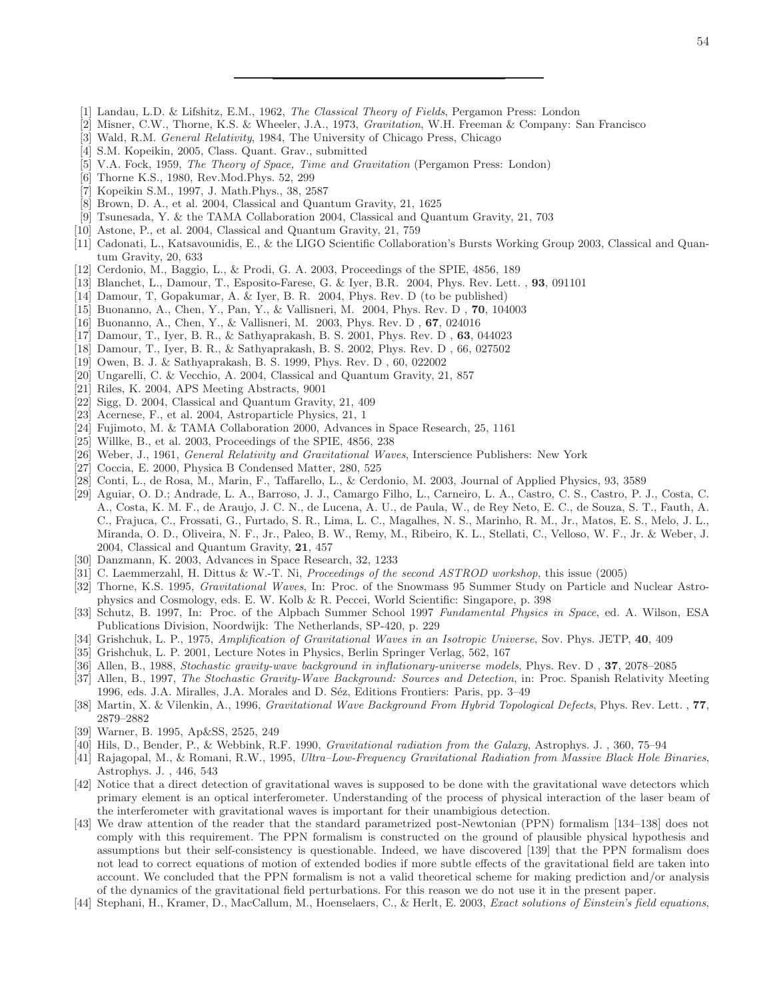- [1] Landau, L.D. & Lifshitz, E.M., 1962, *The Classical Theory of Fields*, Pergamon Press: London
- [2] Misner, C.W., Thorne, K.S. & Wheeler, J.A., 1973, *Gravitation*, W.H. Freeman & Company: San Francisco
- [3] Wald, R.M. *General Relativity*, 1984, The University of Chicago Press, Chicago
- [4] S.M. Kopeikin, 2005, Class. Quant. Grav., submitted
- [5] V.A. Fock, 1959, *The Theory of Space, Time and Gravitation* (Pergamon Press: London)
- [6] Thorne K.S., 1980, Rev.Mod.Phys. 52, 299
- [7] Kopeikin S.M., 1997, J. Math.Phys., 38, 2587
- [8] Brown, D. A., et al. 2004, Classical and Quantum Gravity, 21, 1625
- [9] Tsunesada, Y. & the TAMA Collaboration 2004, Classical and Quantum Gravity, 21, 703
- [10] Astone, P., et al. 2004, Classical and Quantum Gravity, 21, 759
- [11] Cadonati, L., Katsavounidis, E., & the LIGO Scientific Collaboration's Bursts Working Group 2003, Classical and Quantum Gravity, 20, 633
- [12] Cerdonio, M., Baggio, L., & Prodi, G. A. 2003, Proceedings of the SPIE, 4856, 189
- [13] Blanchet, L., Damour, T., Esposito-Farese, G. & Iyer, B.R. 2004, Phys. Rev. Lett. , 93, 091101
- [14] Damour, T, Gopakumar, A. & Iyer, B. R. 2004, Phys. Rev. D (to be published)
- [15] Buonanno, A., Chen, Y., Pan, Y., & Vallisneri, M. 2004, Phys. Rev. D , 70, 104003
- [16] Buonanno, A., Chen, Y., & Vallisneri, M. 2003, Phys. Rev. D , 67, 024016
- [17] Damour, T., Iyer, B. R., & Sathyaprakash, B. S. 2001, Phys. Rev. D , 63, 044023
- [18] Damour, T., Iyer, B. R., & Sathyaprakash, B. S. 2002, Phys. Rev. D , 66, 027502
- [19] Owen, B. J. & Sathyaprakash, B. S. 1999, Phys. Rev. D , 60, 022002
- [20] Ungarelli, C. & Vecchio, A. 2004, Classical and Quantum Gravity, 21, 857
- [21] Riles, K. 2004, APS Meeting Abstracts, 9001
- [22] Sigg, D. 2004, Classical and Quantum Gravity, 21, 409
- [23] Acernese, F., et al. 2004, Astroparticle Physics, 21, 1
- [24] Fujimoto, M. & TAMA Collaboration 2000, Advances in Space Research, 25, 1161
- [25] Willke, B., et al. 2003, Proceedings of the SPIE, 4856, 238
- [26] Weber, J., 1961, *General Relativity and Gravitational Waves*, Interscience Publishers: New York
- [27] Coccia, E. 2000, Physica B Condensed Matter, 280, 525
- [28] Conti, L., de Rosa, M., Marin, F., Taffarello, L., & Cerdonio, M. 2003, Journal of Applied Physics, 93, 3589
- [29] Aguiar, O. D.; Andrade, L. A., Barroso, J. J., Camargo Filho, L., Carneiro, L. A., Castro, C. S., Castro, P. J., Costa, C. A., Costa, K. M. F., de Araujo, J. C. N., de Lucena, A. U., de Paula, W., de Rey Neto, E. C., de Souza, S. T., Fauth, A. C., Frajuca, C., Frossati, G., Furtado, S. R., Lima, L. C., Magalhes, N. S., Marinho, R. M., Jr., Matos, E. S., Melo, J. L., Miranda, O. D., Oliveira, N. F., Jr., Paleo, B. W., Remy, M., Ribeiro, K. L., Stellati, C., Velloso, W. F., Jr. & Weber, J. 2004, Classical and Quantum Gravity, 21, 457
- [30] Danzmann, K. 2003, Advances in Space Research, 32, 1233
- [31] C. Laemmerzahl, H. Dittus & W.-T. Ni, *Proceedings of the second ASTROD workshop*, this issue (2005)
- [32] Thorne, K.S. 1995, *Gravitational Waves*, In: Proc. of the Snowmass 95 Summer Study on Particle and Nuclear Astrophysics and Cosmology, eds. E. W. Kolb & R. Peccei, World Scientific: Singapore, p. 398
- [33] Schutz, B. 1997, In: Proc. of the Alpbach Summer School 1997 *Fundamental Physics in Space*, ed. A. Wilson, ESA Publications Division, Noordwijk: The Netherlands, SP-420, p. 229
- [34] Grishchuk, L. P., 1975, *Amplification of Gravitational Waves in an Isotropic Universe*, Sov. Phys. JETP, 40, 409
- [35] Grishchuk, L. P. 2001, Lecture Notes in Physics, Berlin Springer Verlag, 562, 167
- [36] Allen, B., 1988, *Stochastic gravity-wave background in inflationary-universe models*, Phys. Rev. D , 37, 2078–2085
- [37] Allen, B., 1997, *The Stochastic Gravity-Wave Background: Sources and Detection*, in: Proc. Spanish Relativity Meeting 1996, eds. J.A. Miralles, J.A. Morales and D. Séz, Editions Frontiers: Paris, pp. 3–49
- [38] Martin, X. & Vilenkin, A., 1996, *Gravitational Wave Background From Hybrid Topological Defects*, Phys. Rev. Lett. , 77, 2879–2882
- [39] Warner, B. 1995, Ap&SS, 2525, 249
- [40] Hils, D., Bender, P., & Webbink, R.F. 1990, *Gravitational radiation from the Galaxy*, Astrophys. J. , 360, 75–94
- [41] Rajagopal, M., & Romani, R.W., 1995, *Ultra–Low-Frequency Gravitational Radiation from Massive Black Hole Binaries*, Astrophys. J. , 446, 543
- [42] Notice that a direct detection of gravitational waves is supposed to be done with the gravitational wave detectors which primary element is an optical interferometer. Understanding of the process of physical interaction of the laser beam of the interferometer with gravitational waves is important for their unambigious detection.
- [43] We draw attention of the reader that the standard parametrized post-Newtonian (PPN) formalism [134–138] does not comply with this requirement. The PPN formalism is constructed on the ground of plausible physical hypothesis and assumptions but their self-consistency is questionable. Indeed, we have discovered [139] that the PPN formalism does not lead to correct equations of motion of extended bodies if more subtle effects of the gravitational field are taken into account. We concluded that the PPN formalism is not a valid theoretical scheme for making prediction and/or analysis of the dynamics of the gravitational field perturbations. For this reason we do not use it in the present paper.
- [44] Stephani, H., Kramer, D., MacCallum, M., Hoenselaers, C., & Herlt, E. 2003, *Exact solutions of Einstein's field equations*,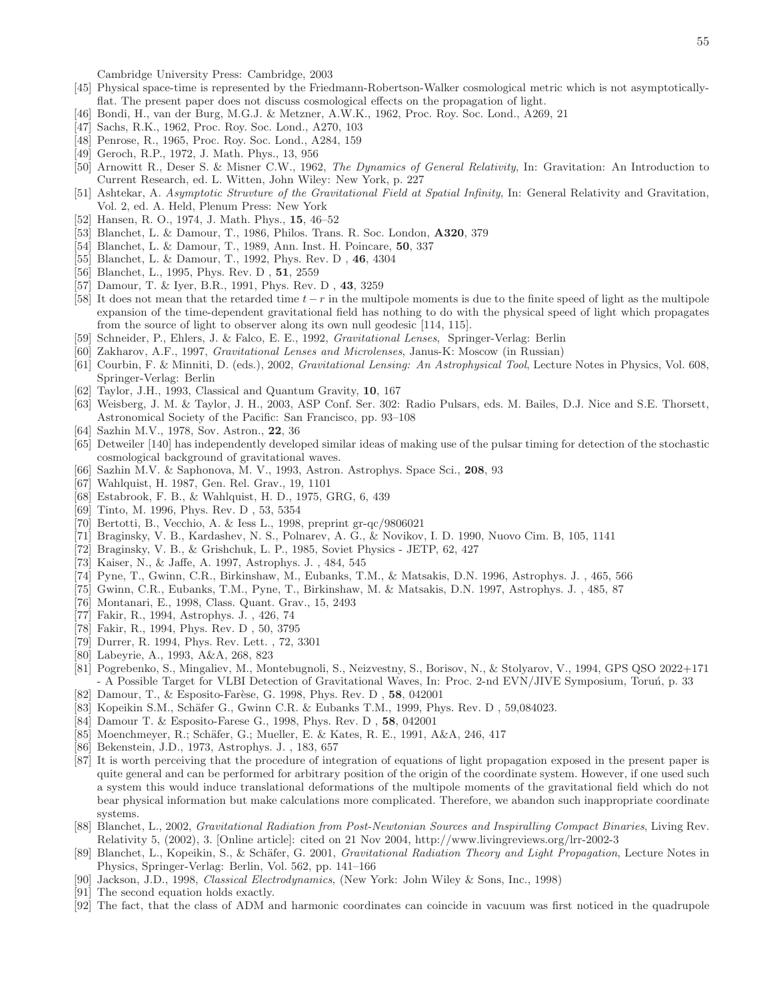Cambridge University Press: Cambridge, 2003

- [45] Physical space-time is represented by the Friedmann-Robertson-Walker cosmological metric which is not asymptoticallyflat. The present paper does not discuss cosmological effects on the propagation of light.
- [46] Bondi, H., van der Burg, M.G.J. & Metzner, A.W.K., 1962, Proc. Roy. Soc. Lond., A269, 21
- [47] Sachs, R.K., 1962, Proc. Roy. Soc. Lond., A270, 103
- [48] Penrose, R., 1965, Proc. Roy. Soc. Lond., A284, 159
- [49] Geroch, R.P., 1972, J. Math. Phys., 13, 956
- [50] Arnowitt R., Deser S. & Misner C.W., 1962, *The Dynamics of General Relativity*, In: Gravitation: An Introduction to Current Research, ed. L. Witten, John Wiley: New York, p. 227
- [51] Ashtekar, A. *Asymptotic Struvture of the Gravitational Field at Spatial Infinity*, In: General Relativity and Gravitation, Vol. 2, ed. A. Held, Plenum Press: New York
- [52] Hansen, R. O., 1974, J. Math. Phys., 15, 46–52
- [53] Blanchet, L. & Damour, T., 1986, Philos. Trans. R. Soc. London, A320, 379
- [54] Blanchet, L. & Damour, T., 1989, Ann. Inst. H. Poincare, 50, 337
- [55] Blanchet, L. & Damour, T., 1992, Phys. Rev. D , 46, 4304
- [56] Blanchet, L., 1995, Phys. Rev. D, 51, 2559
- [57] Damour, T. & Iyer, B.R., 1991, Phys. Rev. D , 43, 3259
- [58] It does not mean that the retarded time  $t r$  in the multipole moments is due to the finite speed of light as the multipole expansion of the time-dependent gravitational field has nothing to do with the physical speed of light which propagates from the source of light to observer along its own null geodesic [114, 115].
- [59] Schneider, P., Ehlers, J. & Falco, E. E., 1992, *Gravitational Lenses*, Springer-Verlag: Berlin
- [60] Zakharov, A.F., 1997, *Gravitational Lenses and Microlenses*, Janus-K: Moscow (in Russian)
- [61] Courbin, F. & Minniti, D. (eds.), 2002, *Gravitational Lensing: An Astrophysical Tool*, Lecture Notes in Physics, Vol. 608, Springer-Verlag: Berlin
- [62] Taylor, J.H., 1993, Classical and Quantum Gravity, 10, 167
- [63] Weisberg, J. M. & Taylor, J. H., 2003, ASP Conf. Ser. 302: Radio Pulsars, eds. M. Bailes, D.J. Nice and S.E. Thorsett, Astronomical Society of the Pacific: San Francisco, pp. 93–108
- [64] Sazhin M.V., 1978, Sov. Astron., 22, 36
- [65] Detweiler [140] has independently developed similar ideas of making use of the pulsar timing for detection of the stochastic cosmological background of gravitational waves.
- [66] Sazhin M.V. & Saphonova, M. V., 1993, Astron. Astrophys. Space Sci., 208, 93
- [67] Wahlquist, H. 1987, Gen. Rel. Grav., 19, 1101
- [68] Estabrook, F. B., & Wahlquist, H. D., 1975, GRG, 6, 439
- [69] Tinto, M. 1996, Phys. Rev. D , 53, 5354
- [70] Bertotti, B., Vecchio, A. & Iess L., 1998, preprint gr-qc/9806021
- [71] Braginsky, V. B., Kardashev, N. S., Polnarev, A. G., & Novikov, I. D. 1990, Nuovo Cim. B, 105, 1141
- [72] Braginsky, V. B., & Grishchuk, L. P., 1985, Soviet Physics JETP, 62, 427
- [73] Kaiser, N., & Jaffe, A. 1997, Astrophys. J. , 484, 545
- [74] Pyne, T., Gwinn, C.R., Birkinshaw, M., Eubanks, T.M., & Matsakis, D.N. 1996, Astrophys. J. , 465, 566
- [75] Gwinn, C.R., Eubanks, T.M., Pyne, T., Birkinshaw, M. & Matsakis, D.N. 1997, Astrophys. J. , 485, 87
- [76] Montanari, E., 1998, Class. Quant. Grav., 15, 2493
- [77] Fakir, R., 1994, Astrophys. J. , 426, 74
- [78] Fakir, R., 1994, Phys. Rev. D , 50, 3795
- [79] Durrer, R. 1994, Phys. Rev. Lett. , 72, 3301
- [80] Labeyrie, A., 1993, A&A, 268, 823
- [81] Pogrebenko, S., Mingaliev, M., Montebugnoli, S., Neizvestny, S., Borisov, N., & Stolyarov, V., 1994, GPS QSO 2022+171 - A Possible Target for VLBI Detection of Gravitational Waves, In: Proc. 2-nd EVN/JIVE Symposium, Toruń, p. 33
- [82] Damour, T., & Esposito-Farèse, G. 1998, Phys. Rev. D, 58, 042001
- [83] Kopeikin S.M., Schäfer G., Gwinn C.R. & Eubanks T.M., 1999, Phys. Rev. D, 59,084023.
- [84] Damour T. & Esposito-Farese G., 1998, Phys. Rev. D , 58, 042001
- [85] Moenchmeyer, R.; Schäfer, G.; Mueller, E. & Kates, R. E., 1991, A&A, 246, 417
- [86] Bekenstein, J.D., 1973, Astrophys. J. , 183, 657
- [87] It is worth perceiving that the procedure of integration of equations of light propagation exposed in the present paper is quite general and can be performed for arbitrary position of the origin of the coordinate system. However, if one used such a system this would induce translational deformations of the multipole moments of the gravitational field which do not bear physical information but make calculations more complicated. Therefore, we abandon such inappropriate coordinate systems.
- [88] Blanchet, L., 2002, *Gravitational Radiation from Post-Newtonian Sources and Inspiralling Compact Binaries*, Living Rev. Relativity 5, (2002), 3. [Online article]: cited on 21 Nov 2004, http://www.livingreviews.org/lrr-2002-3
- [89] Blanchet, L., Kopeikin, S., & Schäfer, G. 2001, *Gravitational Radiation Theory and Light Propagation*, Lecture Notes in Physics, Springer-Verlag: Berlin, Vol. 562, pp. 141–166
- [90] Jackson, J.D., 1998, *Classical Electrodynamics*, (New York: John Wiley & Sons, Inc., 1998)
- [91] The second equation holds exactly.
- [92] The fact, that the class of ADM and harmonic coordinates can coincide in vacuum was first noticed in the quadrupole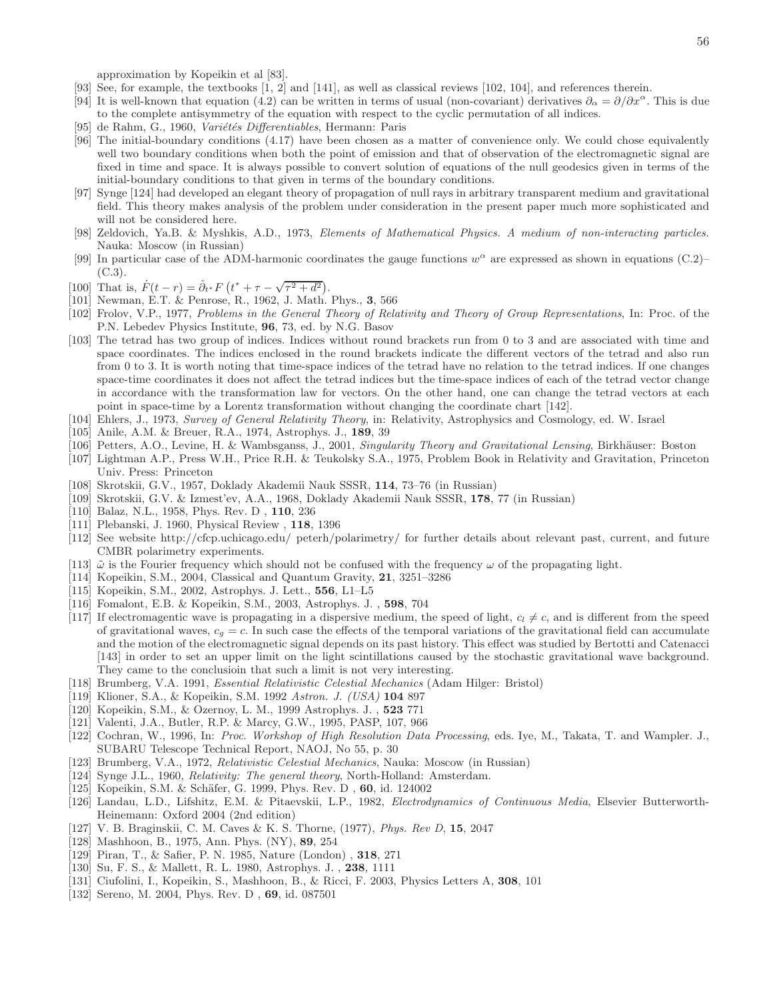approximation by Kopeikin et al [83].

- [93] See, for example, the textbooks [1, 2] and [141], as well as classical reviews [102, 104], and references therein.
- [94] It is well-known that equation (4.2) can be written in terms of usual (non-covariant) derivatives  $\partial_{\alpha} = \partial/\partial x^{\alpha}$ . This is due to the complete antisymmetry of the equation with respect to the cyclic permutation of all indices.
- [95] de Rahm, G., 1960, *Variétés Differentiables*, Hermann: Paris
- [96] The initial-boundary conditions (4.17) have been chosen as a matter of convenience only. We could chose equivalently well two boundary conditions when both the point of emission and that of observation of the electromagnetic signal are fixed in time and space. It is always possible to convert solution of equations of the null geodesics given in terms of the initial-boundary conditions to that given in terms of the boundary conditions.
- [97] Synge [124] had developed an elegant theory of propagation of null rays in arbitrary transparent medium and gravitational field. This theory makes analysis of the problem under consideration in the present paper much more sophisticated and will not be considered here.
- [98] Zeldovich, Ya.B. & Myshkis, A.D., 1973, *Elements of Mathematical Physics. A medium of non-interacting particles.* Nauka: Moscow (in Russian)
- [99] In particular case of the ADM-harmonic coordinates the gauge functions  $w^{\alpha}$  are expressed as shown in equations (C.2)–  $(C.3)$ .
- [100] That is,  $\dot{F}(t-r) = \hat{\partial}_{t} * F(t^* + \tau \sqrt{\tau^2 + d^2}).$
- [101] Newman, E.T. & Penrose, R., 1962, J. Math. Phys., 3, 566
- [102] Frolov, V.P., 1977, *Problems in the General Theory of Relativity and Theory of Group Representations*, In: Proc. of the P.N. Lebedev Physics Institute, 96, 73, ed. by N.G. Basov
- [103] The tetrad has two group of indices. Indices without round brackets run from 0 to 3 and are associated with time and space coordinates. The indices enclosed in the round brackets indicate the different vectors of the tetrad and also run from 0 to 3. It is worth noting that time-space indices of the tetrad have no relation to the tetrad indices. If one changes space-time coordinates it does not affect the tetrad indices but the time-space indices of each of the tetrad vector change in accordance with the transformation law for vectors. On the other hand, one can change the tetrad vectors at each point in space-time by a Lorentz transformation without changing the coordinate chart [142].
- [104] Ehlers, J., 1973, *Survey of General Relativity Theory*, in: Relativity, Astrophysics and Cosmology, ed. W. Israel
- [105] Anile, A.M. & Breuer, R.A., 1974, Astrophys. J., 189, 39
- [106] Petters, A.O., Levine, H. & Wambsganss, J., 2001, *Singularity Theory and Gravitational Lensing*, Birkh¨auser: Boston
- [107] Lightman A.P., Press W.H., Price R.H. & Teukolsky S.A., 1975, Problem Book in Relativity and Gravitation, Princeton Univ. Press: Princeton
- [108] Skrotskii, G.V., 1957, Doklady Akademii Nauk SSSR, 114, 73–76 (in Russian)
- [109] Skrotskii, G.V. & Izmest'ev, A.A., 1968, Doklady Akademii Nauk SSSR, 178, 77 (in Russian)
- [110] Balaz, N.L., 1958, Phys. Rev. D , 110, 236
- [111] Plebanski, J. 1960, Physical Review , 118, 1396
- [112] See website http://cfcp.uchicago.edu/ peterh/polarimetry/ for further details about relevant past, current, and future CMBR polarimetry experiments.
- [113]  $\tilde{\omega}$  is the Fourier frequency which should not be confused with the frequency  $\omega$  of the propagating light.
- [114] Kopeikin, S.M., 2004, Classical and Quantum Gravity, 21, 3251–3286
- [115] Kopeikin, S.M., 2002, Astrophys. J. Lett., 556, L1–L5
- [116] Fomalont, E.B. & Kopeikin, S.M., 2003, Astrophys. J. , 598, 704
- [117] If electromagentic wave is propagating in a dispersive medium, the speed of light,  $c_l \neq c$ , and is different from the speed of gravitational waves,  $c_g = c$ . In such case the effects of the temporal variations of the gravitational field can accumulate and the motion of the electromagnetic signal depends on its past history. This effect was studied by Bertotti and Catenacci [143] in order to set an upper limit on the light scintillations caused by the stochastic gravitational wave background. They came to the conclusioin that such a limit is not very interesting.
- [118] Brumberg, V.A. 1991, *Essential Relativistic Celestial Mechanics* (Adam Hilger: Bristol)
- [119] Klioner, S.A., & Kopeikin, S.M. 1992 *Astron. J. (USA)* 104 897
- [120] Kopeikin, S.M., & Ozernoy, L. M., 1999 Astrophys. J. , 523 771
- [121] Valenti, J.A., Butler, R.P. & Marcy, G.W., 1995, PASP, 107, 966
- [122] Cochran, W., 1996, In: *Proc. Workshop of High Resolution Data Processing*, eds. Iye, M., Takata, T. and Wampler. J., SUBARU Telescope Technical Report, NAOJ, No 55, p. 30
- [123] Brumberg, V.A., 1972, *Relativistic Celestial Mechanics*, Nauka: Moscow (in Russian)
- [124] Synge J.L., 1960, *Relativity: The general theory*, North-Holland: Amsterdam.
- [125] Kopeikin, S.M. & Schäfer, G. 1999, Phys. Rev. D, 60, id. 124002
- [126] Landau, L.D., Lifshitz, E.M. & Pitaevskii, L.P., 1982, *Electrodynamics of Continuous Media*, Elsevier Butterworth-Heinemann: Oxford 2004 (2nd edition)
- [127] V. B. Braginskii, C. M. Caves & K. S. Thorne, (1977), *Phys. Rev D*, 15, 2047
- [128] Mashhoon, B., 1975, Ann. Phys. (NY), 89, 254
- [129] Piran, T., & Safier, P. N. 1985, Nature (London) , 318, 271
- [130] Su, F. S., & Mallett, R. L. 1980, Astrophys. J. , 238, 1111
- [131] Ciufolini, I., Kopeikin, S., Mashhoon, B., & Ricci, F. 2003, Physics Letters A, 308, 101
- [132] Sereno, M. 2004, Phys. Rev. D , 69, id. 087501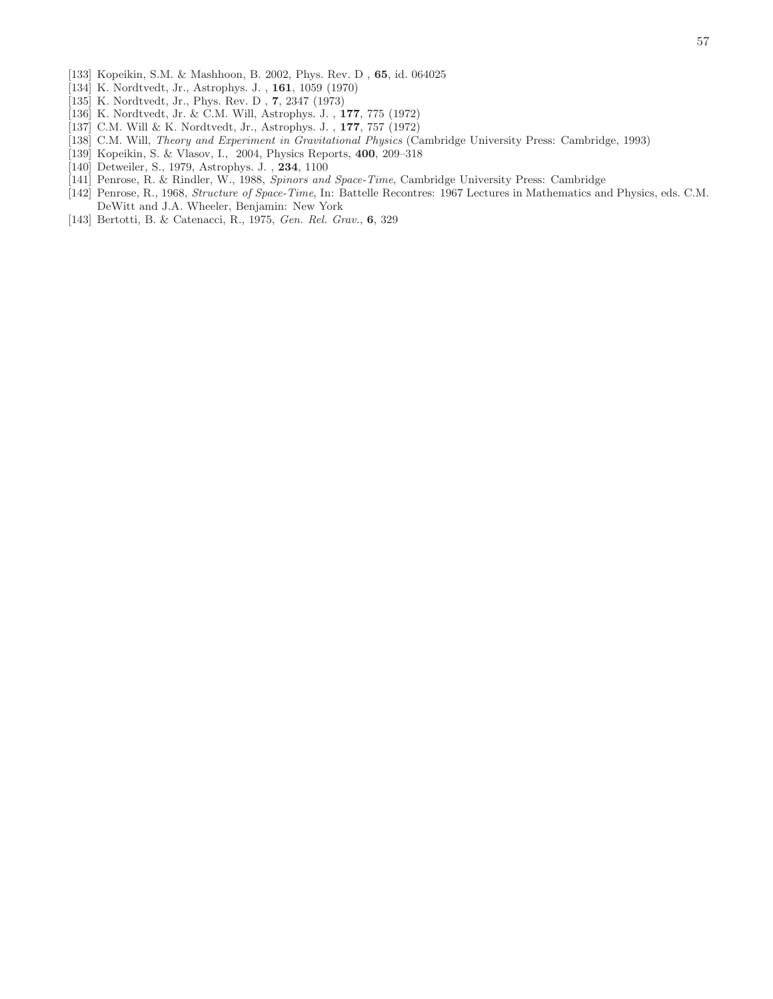- [133] Kopeikin, S.M. & Mashhoon, B. 2002, Phys. Rev. D , 65, id. 064025
- [134] K. Nordtvedt, Jr., Astrophys. J. , 161, 1059 (1970)
- [135] K. Nordtvedt, Jr., Phys. Rev. D , 7, 2347 (1973)
- [136] K. Nordtvedt, Jr. & C.M. Will, Astrophys. J. , 177, 775 (1972)
- [137] C.M. Will & K. Nordtvedt, Jr., Astrophys. J. , 177, 757 (1972)
- [138] C.M. Will, *Theory and Experiment in Gravitational Physics* (Cambridge University Press: Cambridge, 1993)
- [139] Kopeikin, S. & Vlasov, I., 2004, Physics Reports, 400, 209–318
- [140] Detweiler, S., 1979, Astrophys. J. , 234, 1100
- [141] Penrose, R. & Rindler, W., 1988, *Spinors and Space-Time*, Cambridge University Press: Cambridge
- [142] Penrose, R., 1968, *Structure of Space-Time*, In: Battelle Recontres: 1967 Lectures in Mathematics and Physics, eds. C.M. DeWitt and J.A. Wheeler, Benjamin: New York
- [143] Bertotti, B. & Catenacci, R., 1975, *Gen. Rel. Grav.*, 6, 329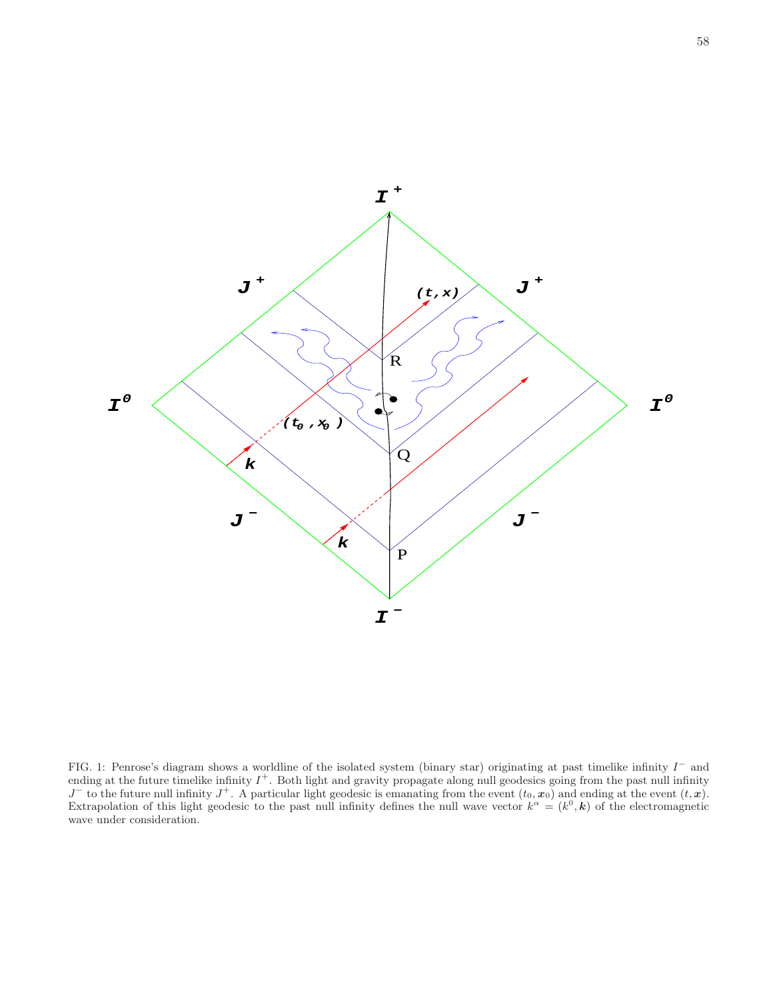

FIG. 1: Penrose's diagram shows a worldline of the isolated system (binary star) originating at past timelike infinity  $I^-$  and ending at the future timelike infinity  $I^+$ . Both light and gravity propagate along null geodesics going from the past null infinity  $J^-$  to the future null infinity  $J^+$ . A particular light geodesic is emanating from the event  $(t_0, x_0)$  and ending at the event  $(t, x)$ . Extrapolation of this light geodesic to the past null infinity defines the null wave vector  $k^{\alpha} = (k^0, \mathbf{k})$  of the electromagnetic wave under consideration.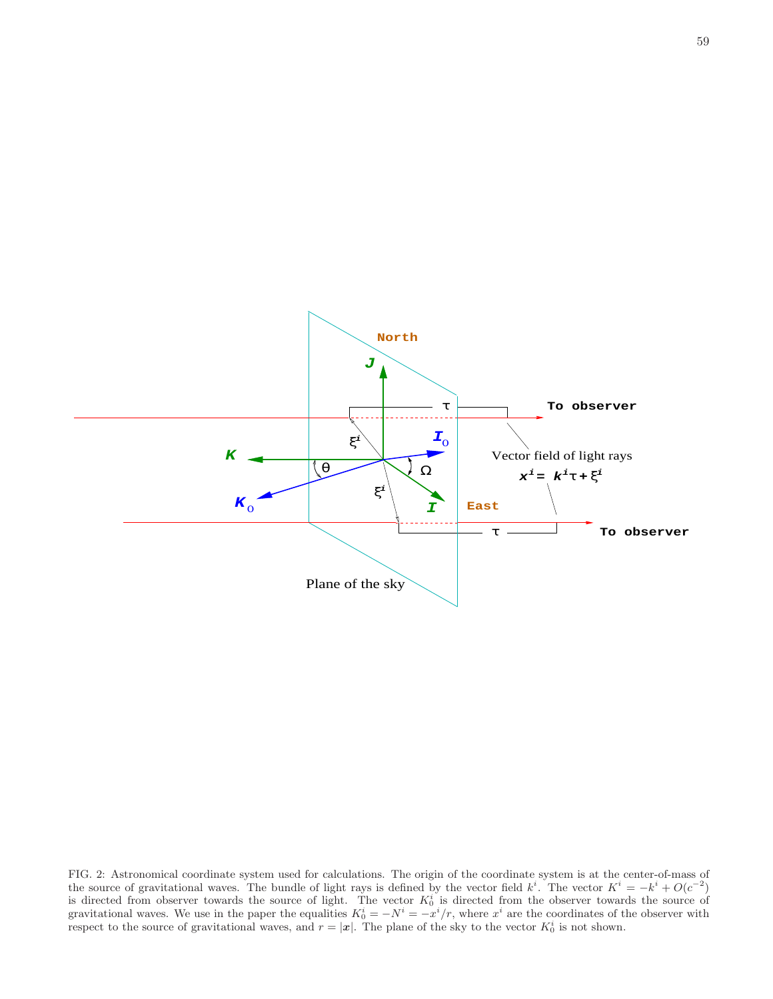

FIG. 2: Astronomical coordinate system used for calculations. The origin of the coordinate system is at the center-of-mass of the source of gravitational waves. The bundle of light rays is defined by the vector field  $k^i$ . The vector  $K^i = -k^i + O(c^{-2})$ is directed from observer towards the source of light. The vector  $K_0^i$  is directed from the observer towards the source of gravitational waves. We use in the paper the equalities  $K_0^i = -N^i = -x^i/r$ , where  $x^i$  are the coordinates of the observer with respect to the source of gravitational waves, and  $r = |\mathbf{x}|$ . The plane of the sky to the vector  $K_0^i$  is not shown.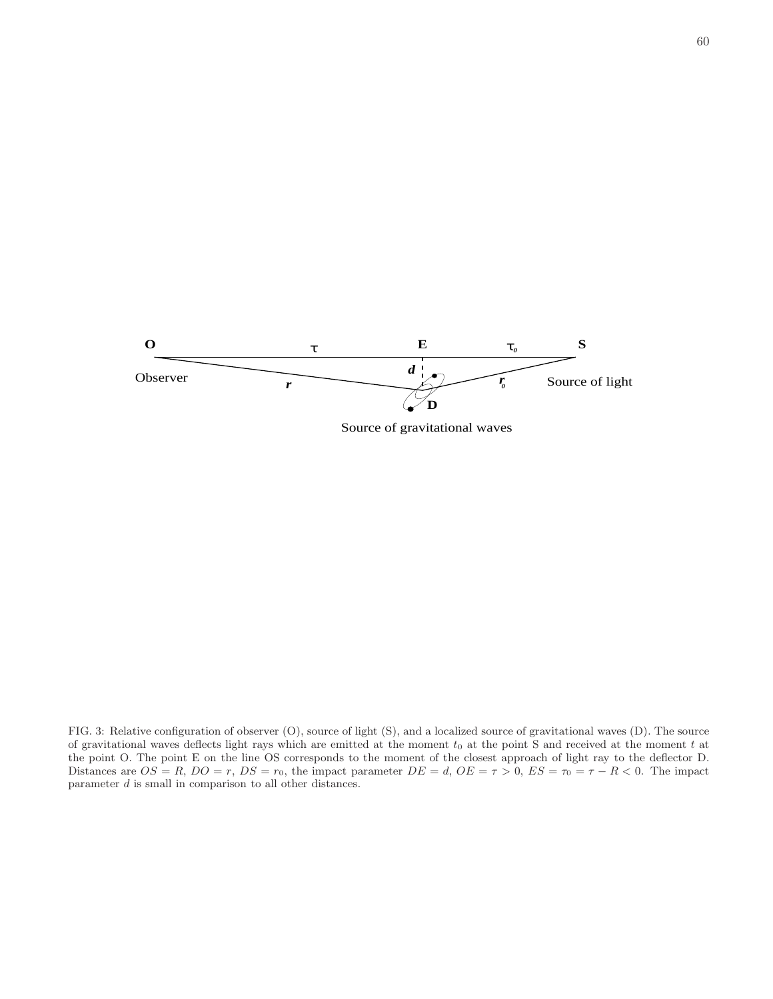

Source of gravitational waves

FIG. 3: Relative configuration of observer (O), source of light (S), and a localized source of gravitational waves (D). The source of gravitational waves deflects light rays which are emitted at the moment  $t_0$  at the point S and received at the moment  $t$  at the point O. The point E on the line OS corresponds to the moment of the closest approach of light ray to the deflector D. Distances are  $OS = R$ ,  $DO = r$ ,  $DS = r_0$ , the impact parameter  $DE = d$ ,  $OE = \tau > 0$ ,  $ES = \tau_0 = \tau - R < 0$ . The impact parameter  $d$  is small in comparison to all other distances.